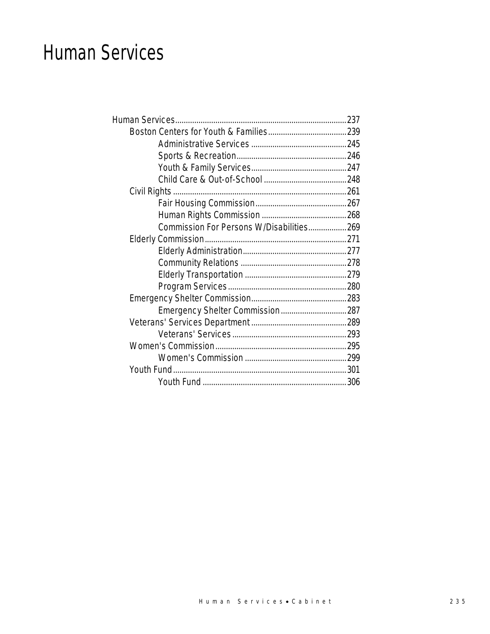### Human Services

| Commission For Persons W/Disabilities269 |  |
|------------------------------------------|--|
|                                          |  |
|                                          |  |
|                                          |  |
|                                          |  |
|                                          |  |
|                                          |  |
|                                          |  |
|                                          |  |
|                                          |  |
|                                          |  |
|                                          |  |
|                                          |  |
|                                          |  |
|                                          |  |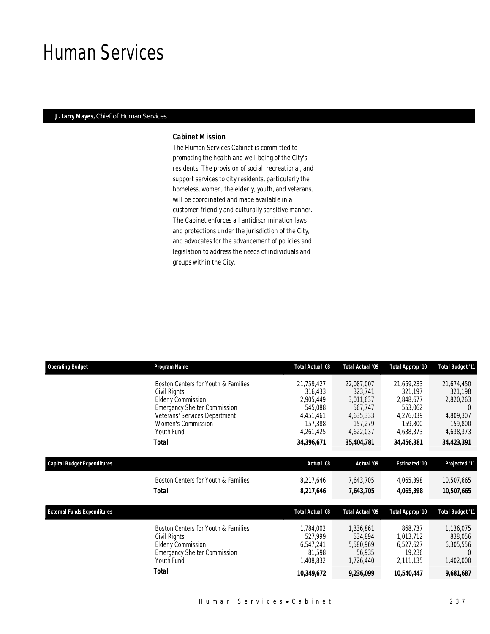### Human Services

### *J. Larry Mayes, Chief of Human Services*

### *Cabinet Mission*

The Human Services Cabinet is committed to promoting the health and well-being of the City's residents. The provision of social, recreational, and support services to city residents, particularly the homeless, women, the elderly, youth, and veterans, will be coordinated and made available in a customer-friendly and culturally sensitive manner. The Cabinet enforces all antidiscrimination laws and protections under the jurisdiction of the City, and advocates for the advancement of policies and legislation to address the needs of individuals and groups within the City.

| <b>Operating Budget</b>            | Program Name                        | <b>Total Actual '08</b> | <b>Total Actual '09</b> | <b>Total Approp '10</b> | Total Budget '11        |
|------------------------------------|-------------------------------------|-------------------------|-------------------------|-------------------------|-------------------------|
|                                    | Boston Centers for Youth & Families | 21,759,427              | 22,087,007              | 21,659,233              | 21,674,450              |
|                                    | Civil Rights                        | 316,433                 | 323,741                 | 321,197                 | 321,198                 |
|                                    | <b>Elderly Commission</b>           | 2.905.449               | 3,011,637               | 2,848,677               | 2,820,263               |
|                                    | <b>Emergency Shelter Commission</b> | 545.088                 | 567,747                 | 553,062                 | $\Omega$                |
|                                    | Veterans' Services Department       | 4,451,461               | 4,635,333               | 4,276,039               | 4,809,307               |
|                                    | Women's Commission                  | 157,388                 | 157,279                 | 159,800                 | 159,800                 |
|                                    | Youth Fund                          | 4,261,425               | 4,622,037               | 4,638,373               | 4,638,373               |
|                                    | Total                               | 34,396,671              | 35,404,781              | 34,456,381              | 34,423,391              |
| <b>Capital Budget Expenditures</b> |                                     | Actual '08              | Actual '09              | <b>Estimated '10</b>    | Projected '11           |
|                                    |                                     |                         |                         |                         |                         |
|                                    | Boston Centers for Youth & Families | 8,217,646               | 7,643,705               | 4,065,398               | 10,507,665              |
|                                    | <b>Total</b>                        | 8,217,646               | 7,643,705               | 4,065,398               | 10,507,665              |
| <b>External Funds Expenditures</b> |                                     | Total Actual '08        | <b>Total Actual '09</b> | Total Approp '10        | <b>Total Budget '11</b> |
|                                    | Boston Centers for Youth & Families | 1,784,002               | 1,336,861               | 868,737                 | 1,136,075               |
|                                    | Civil Rights                        | 527,999                 | 534,894                 | 1,013,712               | 838,056                 |
|                                    | <b>Elderly Commission</b>           | 6,547,241               | 5,580,969               | 6,527,627               | 6,305,556               |
|                                    | <b>Emergency Shelter Commission</b> | 81,598                  | 56,935                  | 19,236                  | $\Omega$                |
|                                    | Youth Fund                          | 1,408,832               | 1,726,440               | 2,111,135               | 1,402,000               |
|                                    | <b>Total</b>                        | 10,349,672              | 9,236,099               | 10,540,447              | 9,681,687               |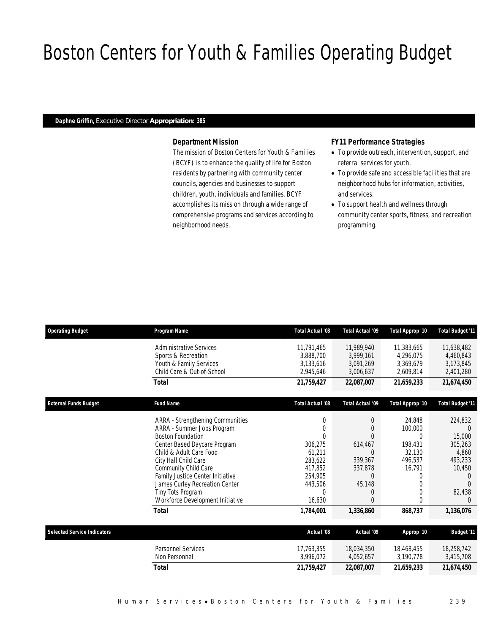# Boston Centers for Youth & Families Operating Budget

#### *Daphne Griffin, Executive Director Appropriation: 385*

### *Department Mission*

The mission of Boston Centers for Youth & Families (BCYF) is to enhance the quality of life for Boston residents by partnering with community center councils, agencies and businesses to support children, youth, individuals and families. BCYF accomplishes its mission through a wide range of comprehensive programs and services according to neighborhood needs.

### *FY11 Performance Strategies*

- To provide outreach, intervention, support, and referral services for youth.
- To provide safe and accessible facilities that are neighborhood hubs for information, activities, and services.
- To support health and wellness through community center sports, fitness, and recreation programming.

| <b>Operating Budget</b>            | Program Name                                                       | <b>Total Actual '08</b> | Total Actual '09        | Total Approp '10        | <b>Total Budget '11</b> |
|------------------------------------|--------------------------------------------------------------------|-------------------------|-------------------------|-------------------------|-------------------------|
|                                    | <b>Administrative Services</b><br>Sports & Recreation              | 11,791,465<br>3,888,700 | 11,989,940<br>3,999,161 | 11,383,665<br>4.296.075 | 11,638,482<br>4,460,843 |
|                                    | Youth & Family Services<br>Child Care & Out-of-School              | 3,133,616<br>2,945,646  | 3,091,269<br>3,006,637  | 3,369,679<br>2,609,814  | 3,173,845<br>2,401,280  |
|                                    | <b>Total</b>                                                       | 21,759,427              | 22,087,007              | 21.659.233              | 21,674,450              |
| <b>External Funds Budget</b>       | <b>Fund Name</b>                                                   | <b>Total Actual '08</b> | Total Actual '09        | Total Approp '10        | <b>Total Budget '11</b> |
|                                    | ARRA - Strengthening Communities                                   | 0                       | $\theta$                | 24.848                  | 224,832                 |
|                                    | ARRA - Summer Jobs Program                                         | 0                       | $\Omega$                | 100,000                 |                         |
|                                    | <b>Boston Foundation</b>                                           |                         | $\Omega$                | 0                       | 15,000                  |
|                                    | Center Based Daycare Program                                       | 306,275                 | 614,467                 | 198,431                 | 305,263                 |
|                                    | Child & Adult Care Food                                            | 61,211                  | $\Omega$                | 32,130                  | 4,860                   |
|                                    | City Hall Child Care                                               | 283,622                 | 339,367                 | 496.537                 | 493.233                 |
|                                    | Community Child Care                                               | 417,852                 | 337,878<br>$\Omega$     | 16,791                  | 10,450                  |
|                                    | Family Justice Center Initiative<br>James Curley Recreation Center | 254,905<br>443,506      | 45,148                  | 0<br>0                  |                         |
|                                    | Tiny Tots Program                                                  | $\Omega$                | $\Omega$                | 0                       | 82,438                  |
|                                    | Workforce Development Initiative                                   | 16,630                  | $\Omega$                | 0                       | $\Omega$                |
|                                    | Total                                                              | 1,784,001               | 1,336,860               | 868,737                 | 1,136,076               |
| <b>Selected Service Indicators</b> |                                                                    | Actual '08              | Actual '09              | Approp '10              | <b>Budget '11</b>       |
|                                    | <b>Personnel Services</b>                                          | 17.763.355              | 18,034,350              | 18,468,455              | 18,258,742              |
|                                    | Non Personnel                                                      | 3.996.072               | 4,052,657               | 3,190,778               | 3,415,708               |
|                                    | <b>Total</b>                                                       | 21,759,427              | 22,087,007              | 21,659,233              | 21,674,450              |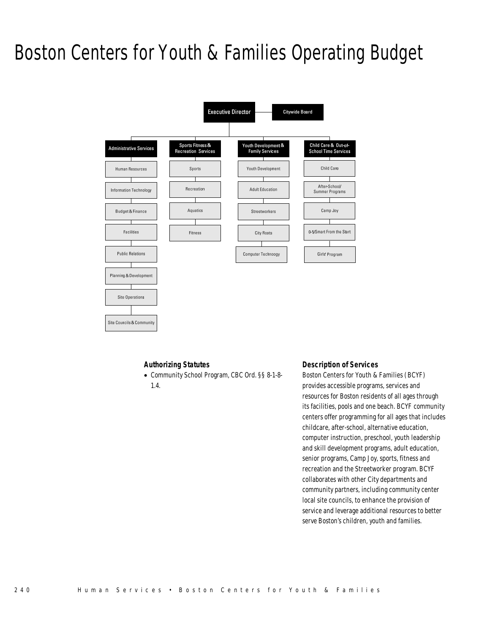# Boston Centers for Youth & Families Operating Budget



### *Authorizing Statutes*

• Community School Program, CBC Ord. §§ 8-1-8-

1.4.

Site Councils & Community

#### *Description of Services*

Boston Centers for Youth & Families (BCYF) provides accessible programs, services and resources for Boston residents of all ages through its facilities, pools and one beach. BCYF community centers offer programming for all ages that includes childcare, after-school, alternative education, computer instruction, preschool, youth leadership and skill development programs, adult education, senior programs, Camp Joy, sports, fitness and recreation and the Streetworker program. BCYF collaborates with other City departments and community partners, including community center local site councils, to enhance the provision of service and leverage additional resources to better serve Boston's children, youth and families.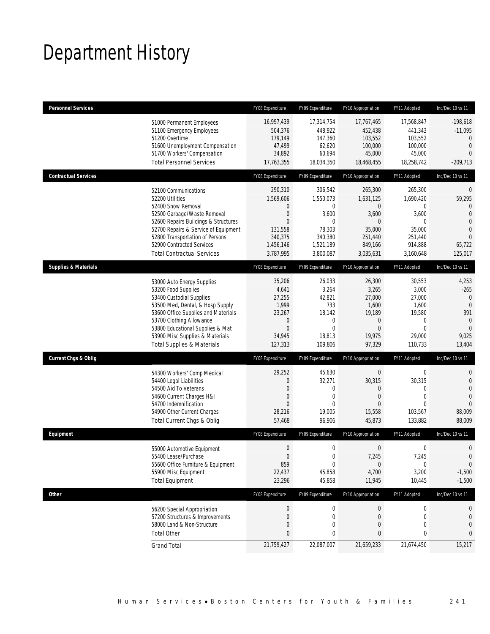# Department History

| <b>Personnel Services</b>       |                                                                                                                                                                                                                                                                                                      | FY08 Expenditure                                                                                                        | FY09 Expenditure                                                                                         | FY10 Appropriation                                                                             | FY11 Adopted                                                                                           | Inc/Dec 10 vs 11                                                                                                                   |
|---------------------------------|------------------------------------------------------------------------------------------------------------------------------------------------------------------------------------------------------------------------------------------------------------------------------------------------------|-------------------------------------------------------------------------------------------------------------------------|----------------------------------------------------------------------------------------------------------|------------------------------------------------------------------------------------------------|--------------------------------------------------------------------------------------------------------|------------------------------------------------------------------------------------------------------------------------------------|
|                                 | 51000 Permanent Employees<br>51100 Emergency Employees<br>51200 Overtime<br>51600 Unemployment Compensation<br>51700 Workers' Compensation<br><b>Total Personnel Services</b>                                                                                                                        | 16,997,439<br>504,376<br>179,149<br>47,499<br>34,892<br>17,763,355                                                      | 17,314,754<br>448,922<br>147,360<br>62,620<br>60,694<br>18,034,350                                       | 17,767,465<br>452,438<br>103,552<br>100,000<br>45,000<br>18,468,455                            | 17,568,847<br>441,343<br>103,552<br>100,000<br>45,000<br>18,258,742                                    | $-198,618$<br>$-11,095$<br>$\theta$<br>$\mathbf{0}$<br>$\overline{0}$<br>$-209,713$                                                |
| <b>Contractual Services</b>     |                                                                                                                                                                                                                                                                                                      | FY08 Expenditure                                                                                                        | FY09 Expenditure                                                                                         | FY10 Appropriation                                                                             | FY11 Adopted                                                                                           | Inc/Dec 10 vs 11                                                                                                                   |
|                                 | 52100 Communications<br>52200 Utilities<br>52400 Snow Removal<br>52500 Garbage/Waste Removal<br>52600 Repairs Buildings & Structures<br>52700 Repairs & Service of Equipment<br>52800 Transportation of Persons<br>52900 Contracted Services<br><b>Total Contractual Services</b>                    | 290,310<br>1,569,606<br>$\mathbf 0$<br>$\boldsymbol{0}$<br>$\mathbf{0}$<br>131,558<br>340,375<br>1,456,146<br>3,787,995 | 306,542<br>1,550,073<br>$\mathbf{0}$<br>3,600<br>$\Omega$<br>78,303<br>340,380<br>1,521,189<br>3,800,087 | 265,300<br>1.631.125<br>$\mathbf 0$<br>3,600<br>0<br>35,000<br>251,440<br>849,166<br>3,035,631 | 265,300<br>1,690,420<br>$\mathbf{0}$<br>3,600<br>$\Omega$<br>35,000<br>251,440<br>914,888<br>3,160,648 | $\mathbf 0$<br>59,295<br>$\mathbf{0}$<br>$\overline{0}$<br>$\overline{0}$<br>$\overline{0}$<br>$\overline{0}$<br>65,722<br>125,017 |
| <b>Supplies &amp; Materials</b> |                                                                                                                                                                                                                                                                                                      | FY08 Expenditure                                                                                                        | FY09 Expenditure                                                                                         | FY10 Appropriation                                                                             | FY11 Adopted                                                                                           | Inc/Dec 10 vs 11                                                                                                                   |
|                                 | 53000 Auto Energy Supplies<br>53200 Food Supplies<br>53400 Custodial Supplies<br>53500 Med, Dental, & Hosp Supply<br>53600 Office Supplies and Materials<br>53700 Clothing Allowance<br>53800 Educational Supplies & Mat<br>53900 Misc Supplies & Materials<br><b>Total Supplies &amp; Materials</b> | 35,206<br>4,641<br>27,255<br>1,999<br>23,267<br>$\boldsymbol{0}$<br>$\boldsymbol{0}$<br>34,945<br>127,313               | 26,033<br>3,264<br>42,821<br>733<br>18,142<br>0<br>$\mathbf{0}$<br>18,813<br>109,806                     | 26,300<br>3,265<br>27,000<br>1,600<br>19,189<br>$\theta$<br>$\overline{0}$<br>19,975<br>97,329 | 30,553<br>3,000<br>27,000<br>1,600<br>19,580<br>0<br>$\mathbf{0}$<br>29,000<br>110,733                 | 4,253<br>$-265$<br>$\mathbf{0}$<br>$\overline{0}$<br>391<br>$\mathbf{0}$<br>$\mathbf{0}$<br>9,025<br>13,404                        |
| <b>Current Chgs &amp; Oblig</b> |                                                                                                                                                                                                                                                                                                      | FY08 Expenditure                                                                                                        | FY09 Expenditure                                                                                         | FY10 Appropriation                                                                             | FY11 Adopted                                                                                           | Inc/Dec 10 vs 11                                                                                                                   |
|                                 | 54300 Workers' Comp Medical<br>54400 Legal Liabilities<br>54500 Aid To Veterans<br>54600 Current Charges H&I<br>54700 Indemnification<br>54900 Other Current Charges<br>Total Current Chgs & Oblig                                                                                                   | 29,252<br>$\mathbf 0$<br>0<br>$\mathbf 0$<br>$\Omega$<br>28,216<br>57,468                                               | 45,630<br>32,271<br>$\mathbf 0$<br>$\mathbf 0$<br>$\theta$<br>19,005<br>96,906                           | $\mathbf 0$<br>30,315<br>0<br>$\mathbf 0$<br>$\overline{0}$<br>15,558<br>45,873                | $\boldsymbol{0}$<br>30,315<br>$\mathbf{0}$<br>$\mathbf{0}$<br>$\theta$<br>103,567<br>133,882           | $\mathbf{0}$<br>$\mathbf{0}$<br>$\overline{0}$<br>$\overline{0}$<br>$\overline{0}$<br>88,009<br>88,009                             |
| Equipment                       |                                                                                                                                                                                                                                                                                                      | FY08 Expenditure                                                                                                        | FY09 Expenditure                                                                                         | FY10 Appropriation                                                                             | FY11 Adopted                                                                                           | Inc/Dec 10 vs 11                                                                                                                   |
|                                 | 55000 Automotive Equipment<br>55400 Lease/Purchase<br>55600 Office Furniture & Equipment<br>55900 Misc Equipment<br><b>Total Equipment</b>                                                                                                                                                           | $\boldsymbol{0}$<br>$\mathbf{0}$<br>859<br>22,437<br>23,296                                                             | $\boldsymbol{0}$<br>$\mathbf 0$<br>0<br>45,858<br>45,858                                                 | $\mathbf 0$<br>7,245<br>$\boldsymbol{0}$<br>4,700<br>11,945                                    | $\mathbf 0$<br>7,245<br>$\boldsymbol{0}$<br>3,200<br>10,445                                            | $\mathbf 0$<br>$\overline{0}$<br>$\mathbf 0$<br>$-1,500$<br>$-1,500$                                                               |
| <b>Other</b>                    |                                                                                                                                                                                                                                                                                                      | FY08 Expenditure                                                                                                        | FY09 Expenditure                                                                                         | FY10 Appropriation                                                                             | FY11 Adopted                                                                                           | Inc/Dec 10 vs 11                                                                                                                   |
|                                 | 56200 Special Appropriation<br>57200 Structures & Improvements<br>58000 Land & Non-Structure<br><b>Total Other</b>                                                                                                                                                                                   | $\boldsymbol{0}$<br>$\boldsymbol{0}$<br>0<br>$\pmb{0}$                                                                  | 0<br>0<br>0<br>0                                                                                         | $\boldsymbol{0}$<br>$\mathbf 0$<br>0<br>0                                                      | $\boldsymbol{0}$<br>0<br>$\mathbf 0$<br>0                                                              | 0<br>0<br>0<br>0                                                                                                                   |
|                                 | <b>Grand Total</b>                                                                                                                                                                                                                                                                                   | 21,759,427                                                                                                              | 22,087,007                                                                                               | 21,659,233                                                                                     | 21,674,450                                                                                             | 15,217                                                                                                                             |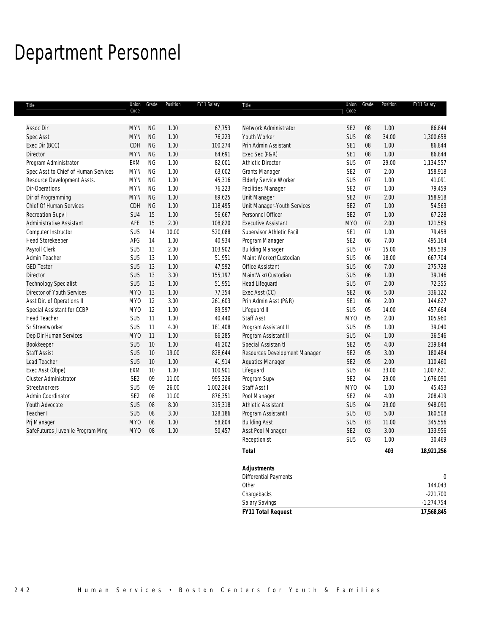# Department Personnel

| Title                                | Code            | Union Grade | Position | FY11 Salary | Title                         | Union<br>Code   | Grade  | Position | FY11 Salary |
|--------------------------------------|-----------------|-------------|----------|-------------|-------------------------------|-----------------|--------|----------|-------------|
|                                      |                 |             |          |             |                               |                 |        |          |             |
| Assoc Dir                            | <b>MYN</b>      | <b>NG</b>   | 1.00     | 67,753      | Network Administrator         | SE <sub>2</sub> | 08     | 1.00     | 86,844      |
| <b>Spec Asst</b>                     | <b>MYN</b>      | <b>NG</b>   | 1.00     | 76,223      | Youth Worker                  | SU <sub>5</sub> | $08\,$ | 34.00    | 1,300,658   |
| Exec Dir (BCC)                       | CDH             | NG          | 1.00     | 100,274     | Prin Admin Assistant          | SE1             | 08     | 1.00     | 86,844      |
| Director                             | <b>MYN</b>      | <b>NG</b>   | 1.00     | 84,691      | Exec Sec (P&R)                | SE1             | $08\,$ | 1.00     | 86,844      |
| Program Administrator                | EXM             | NG          | 1.00     | 82,001      | Athletic Director             | SU <sub>5</sub> | 07     | 29.00    | 1,134,557   |
| Spec Asst to Chief of Human Services | <b>MYN</b>      | NG          | 1.00     | 63,002      | <b>Grants Manager</b>         | SE <sub>2</sub> | 07     | 2.00     | 158,918     |
| Resource Development Assts.          | <b>MYN</b>      | <b>NG</b>   | 1.00     | 45,316      | <b>Elderly Service Worker</b> | SU <sub>5</sub> | 07     | 1.00     | 41,091      |
| Dir-Operations                       | <b>MYN</b>      | <b>NG</b>   | 1.00     | 76,223      | Facilities Manager            | SE <sub>2</sub> | 07     | 1.00     | 79,459      |
| Dir of Programming                   | <b>MYN</b>      | NG          | 1.00     | 89,625      | Unit Manager                  | SE <sub>2</sub> | 07     | 2.00     | 158,918     |
| Chief Of Human Services              | CDH             | NG          | 1.00     | 118,495     | Unit Manager-Youth Services   | SE <sub>2</sub> | 07     | 1.00     | 54,563      |
| Recreation Supv I                    | SU4             | 15          | 1.00     | 56,667      | Personnel Officer             | SE <sub>2</sub> | 07     | 1.00     | 67,228      |
| <b>Administrative Assistant</b>      | AFE             | 15          | 2.00     | 108,820     | <b>Executive Assistant</b>    | MY <sub>0</sub> | 07     | 2.00     | 121,569     |
| Computer Instructor                  | SU <sub>5</sub> | 14          | 10.00    | 520,088     | Supervisor Athletic Facil     | SE1             | 07     | 1.00     | 79,458      |
| <b>Head Storekeeper</b>              | AFG             | 14          | 1.00     | 40,934      | Program Manager               | SE <sub>2</sub> | 06     | 7.00     | 495,164     |
| Payroll Clerk                        | SU <sub>5</sub> | 13          | 2.00     | 103,902     | <b>Building Manager</b>       | SU <sub>5</sub> | 07     | 15.00    | 585,539     |
| Admin Teacher                        | SU <sub>5</sub> | 13          | 1.00     | 51,951      | Maint Worker/Custodian        | SU <sub>5</sub> | 06     | 18.00    | 667,704     |
| <b>GED Tester</b>                    | SU <sub>5</sub> | 13          | 1.00     | 47,592      | Office Assistant              | SU <sub>5</sub> | 06     | 7.00     | 275,728     |
| <b>Director</b>                      | SU <sub>5</sub> | 13          | 3.00     | 155,197     | MaintWkr/Custodian            | SU <sub>5</sub> | 06     | 1.00     | 39,146      |
| <b>Technology Specialist</b>         | SU <sub>5</sub> | 13          | 1.00     | 51,951      | <b>Head Lifeguard</b>         | SU <sub>5</sub> | 07     | 2.00     | 72,355      |
| Director of Youth Services           | MY <sub>0</sub> | 13          | 1.00     | 77,354      | Exec Asst (CC)                | SE <sub>2</sub> | 06     | 5.00     | 336,122     |
| Asst Dir. of Operations II           | MY <sub>0</sub> | 12          | 3.00     | 261,603     | Prin Admin Asst (P&R)         | SE <sub>1</sub> | 06     | 2.00     | 144,627     |
| Special Assistant for CCBP           | MY <sub>0</sub> | 12          | 1.00     | 89,597      | Lifeguard II                  | SU <sub>5</sub> | 05     | 14.00    | 457,664     |
| <b>Head Teacher</b>                  | SU <sub>5</sub> | 11          | 1.00     | 40,440      | Staff Asst                    | MY <sub>0</sub> | $05\,$ | 2.00     | 105,960     |
| Sr Streetworker                      | SU <sub>5</sub> | 11          | 4.00     | 181,408     | Program Assistant II          | SU <sub>5</sub> | $05\,$ | 1.00     | 39,040      |
| Dep Dir Human Services               | <b>MYO</b>      | 11          | 1.00     | 86,285      | Program Assistant II          | SU <sub>5</sub> | 04     | 1.00     | 36,546      |
| Bookkeeper                           | SU <sub>5</sub> | 10          | 1.00     | 46,202      | Special Assistan tl           | SE <sub>2</sub> | 05     | 4.00     | 239,844     |
| <b>Staff Assist</b>                  | SU <sub>5</sub> | 10          | 19.00    | 828,644     | Resources Development Manager | SE <sub>2</sub> | $05\,$ | 3.00     | 180,484     |
| Lead Teacher                         | SU <sub>5</sub> | 10          | 1.00     | 41,914      | <b>Aquatics Manager</b>       | SE <sub>2</sub> | 05     | 2.00     | 110,460     |
| Exec Asst (Obpe)                     | EXM             | 10          | 1.00     | 100,901     | Lifeguard                     | SU <sub>5</sub> | 04     | 33.00    | 1,007,621   |
| Cluster Administrator                | SE <sub>2</sub> | 09          | 11.00    | 995,326     | Program Supv                  | SE <sub>2</sub> | 04     | 29.00    | 1,676,090   |
| Streetworkers                        | SU <sub>5</sub> | 09          | 26.00    | 1,002,264   | Staff Asst I                  | MY <sub>0</sub> | 04     | 1.00     | 45,453      |
| Admin Coordinator                    | SE <sub>2</sub> | 08          | 11.00    | 876,351     | Pool Manager                  | SE <sub>2</sub> | 04     | 4.00     | 208,419     |
| Youth Advocate                       | SU <sub>5</sub> | 08          | 8.00     | 315,318     | <b>Athletic Assistant</b>     | SU <sub>5</sub> | 04     | 29.00    | 948,090     |
| Teacher I                            | SU <sub>5</sub> | 08          | 3.00     | 128,186     | Program Assistant I           | SU <sub>5</sub> | 03     | 5.00     | 160,508     |
| Prj Manager                          | <b>MYO</b>      | 08          | 1.00     | 58,804      | <b>Building Asst</b>          | SU <sub>5</sub> | 03     | 11.00    | 345,556     |
| SafeFutures Juvenile Program Mng     | <b>MYO</b>      | 08          | 1.00     | 50,457      | Asst Pool Manager             | SE <sub>2</sub> | 03     | 3.00     | 133,956     |
|                                      |                 |             |          |             | Receptionist                  | SU <sub>5</sub> | 03     | 1.00     | 30,469      |
|                                      |                 |             |          |             | <b>Total</b>                  |                 |        | 403      | 18,921,256  |
|                                      |                 |             |          |             |                               |                 |        |          |             |
|                                      |                 |             |          |             | <b>Adiustments</b>            |                 |        |          |             |

| <b>FY11 Total Request</b> | 17,568,845   |
|---------------------------|--------------|
| <b>Salary Savings</b>     | $-1,274,754$ |
| Chargebacks               | $-221,700$   |
| Other                     | 144,043      |
| Differential Payments     | 0            |
| Adjustments               |              |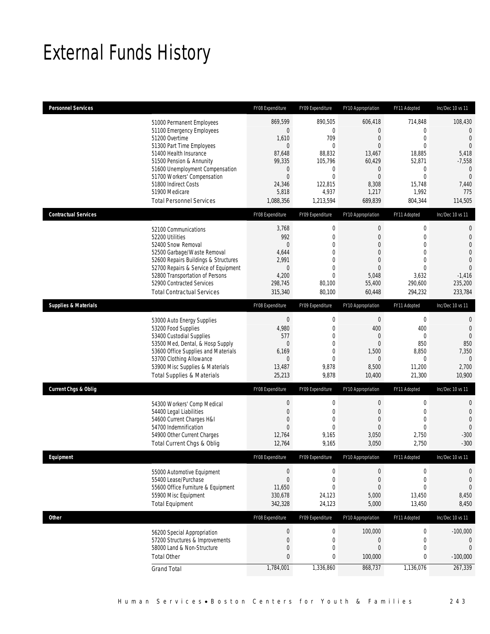# External Funds History

| Personnel Services              |                                                                     | FY08 Expenditure         | FY09 Expenditure      | FY10 Appropriation                 | FY11 Adopted                 | Inc/Dec 10 vs 11                 |
|---------------------------------|---------------------------------------------------------------------|--------------------------|-----------------------|------------------------------------|------------------------------|----------------------------------|
|                                 | 51000 Permanent Employees                                           | 869,599                  | 890,505               | 606,418                            | 714,848                      | 108,430                          |
|                                 | 51100 Emergency Employees                                           | $\theta$                 | 0                     | $\overline{0}$                     | $\mathbf 0$                  | $\overline{0}$                   |
|                                 | 51200 Overtime<br>51300 Part Time Employees                         | 1,610<br>$\theta$        | 709<br>$\theta$       | $\boldsymbol{0}$<br>$\overline{0}$ | $\mathbf 0$<br>$\mathbf{0}$  | $\overline{0}$<br>$\overline{0}$ |
|                                 | 51400 Health Insurance                                              | 87,648                   | 88,832                | 13,467                             | 18,885                       | 5,418                            |
|                                 | 51500 Pension & Annunity                                            | 99,335                   | 105,796               | 60,429                             | 52,871                       | $-7,558$                         |
|                                 | 51600 Unemployment Compensation                                     | $\theta$                 | 0                     | $\mathbf 0$                        | $\boldsymbol{0}$             | $\mathbf{0}$                     |
|                                 | 51700 Workers' Compensation                                         | $\mathbf 0$              | $\overline{0}$        | $\overline{0}$                     | $\mathbf 0$                  | $\overline{0}$                   |
|                                 | 51800 Indirect Costs                                                | 24,346                   | 122,815               | 8,308                              | 15,748                       | 7,440                            |
|                                 | 51900 Medicare<br><b>Total Personnel Services</b>                   | 5,818                    | 4,937                 | 1,217                              | 1,992                        | 775                              |
|                                 |                                                                     | 1,088,356                | 1,213,594             | 689,839                            | 804,344                      | 114,505                          |
| <b>Contractual Services</b>     |                                                                     | FY08 Expenditure         | FY09 Expenditure      | FY10 Appropriation                 | FY11 Adopted                 | Inc/Dec 10 vs 11                 |
|                                 | 52100 Communications                                                | 3,768                    | $\boldsymbol{0}$      | $\boldsymbol{0}$                   | $\boldsymbol{0}$             | $\mathbf 0$                      |
|                                 | 52200 Utilities                                                     | 992                      | $\overline{0}$        | $\overline{0}$                     | $\mathbf 0$                  | $\mathbf{0}$                     |
|                                 | 52400 Snow Removal                                                  | $\overline{0}$           | $\overline{0}$        | $\overline{0}$                     | $\mathbf{0}$                 | $\overline{0}$                   |
|                                 | 52500 Garbage/Waste Removal<br>52600 Repairs Buildings & Structures | 4,644<br>2,991           | 0<br>0                | 0<br>$\Omega$                      | $\mathbf{0}$<br>$\mathbf{0}$ | $\overline{0}$<br>$\mathbf 0$    |
|                                 | 52700 Repairs & Service of Equipment                                | $\theta$                 | 0                     | $\overline{0}$                     | $\mathbf 0$                  | $\Omega$                         |
|                                 | 52800 Transportation of Persons                                     | 4,200                    | $\theta$              | 5,048                              | 3,632                        | $-1,416$                         |
|                                 | 52900 Contracted Services                                           | 298,745                  | 80,100                | 55,400                             | 290,600                      | 235,200                          |
|                                 | <b>Total Contractual Services</b>                                   | 315,340                  | 80,100                | 60,448                             | 294,232                      | 233,784                          |
| <b>Supplies &amp; Materials</b> |                                                                     | FY08 Expenditure         | FY09 Expenditure      | FY10 Appropriation                 | FY11 Adopted                 | Inc/Dec 10 vs 11                 |
|                                 | 53000 Auto Energy Supplies                                          | $\theta$                 | $\boldsymbol{0}$      | $\theta$                           | $\boldsymbol{0}$             | $\mathbf{0}$                     |
|                                 | 53200 Food Supplies                                                 | 4,980                    | $\mathbf 0$           | 400                                | 400                          | $\mathbf{0}$                     |
|                                 | 53400 Custodial Supplies                                            | 577                      | $\overline{0}$        | 0                                  | $\mathbf{0}$                 | $\overline{0}$                   |
|                                 | 53500 Med, Dental, & Hosp Supply                                    | $\theta$                 | $\overline{0}$        | $\overline{0}$                     | 850                          | 850                              |
|                                 | 53600 Office Supplies and Materials                                 | 6,169                    | 0                     | 1,500                              | 8,850                        | 7,350                            |
|                                 | 53700 Clothing Allowance                                            | $\theta$                 | $\overline{0}$        | $\overline{0}$                     | $\mathbf 0$                  | $\theta$                         |
|                                 | 53900 Misc Supplies & Materials                                     | 13,487                   | 9,878                 | 8,500                              | 11,200                       | 2,700                            |
|                                 | <b>Total Supplies &amp; Materials</b>                               | 25,213                   | 9,878                 | 10,400                             | 21,300                       | 10,900                           |
| <b>Current Chgs &amp; Oblig</b> |                                                                     | FY08 Expenditure         | FY09 Expenditure      | FY10 Appropriation                 | FY11 Adopted                 | Inc/Dec 10 vs 11                 |
|                                 | 54300 Workers' Comp Medical                                         | $\boldsymbol{0}$         | 0                     | $\mathbf 0$                        | $\mathbf 0$                  | $\mathbf 0$                      |
|                                 | 54400 Legal Liabilities                                             | $\mathbf 0$              | $\mathbf 0$           | 0                                  | $\mathbf 0$                  | $\mathbf{0}$                     |
|                                 | 54600 Current Charges H&I                                           | 0                        | 0                     | 0                                  | $\mathbf{0}$                 | $\mathbf{0}$                     |
|                                 | 54700 Indemnification<br>54900 Other Current Charges                | $\overline{0}$<br>12,764 | $\theta$<br>9,165     | $\overline{0}$<br>3,050            | $\mathbf{0}$<br>2,750        | $\mathbf{0}$<br>$-300$           |
|                                 | Total Current Chgs & Oblig                                          | 12,764                   | 9,165                 | 3,050                              | 2,750                        | $-300$                           |
| Fauinment                       |                                                                     | FY08 Expenditure         | FY09 Expenditure      | FY10 Annronriation                 | FY11 Adopted                 | Inc/Dec 10 vs 11                 |
|                                 |                                                                     |                          |                       |                                    |                              |                                  |
|                                 | 55000 Automotive Equipment                                          | $\mathbf 0$              | 0                     | 0                                  | $\mathbf 0$                  | 0                                |
|                                 | 55400 Lease/Purchase                                                | $\overline{0}$           | 0                     | $\boldsymbol{0}$                   | $\mathbf 0$                  | $\overline{0}$                   |
|                                 | 55600 Office Furniture & Equipment<br>55900 Misc Equipment          | 11,650<br>330,678        | $\mathbf 0$<br>24,123 | $\boldsymbol{0}$<br>5,000          | $\mathbf 0$<br>13,450        | $\overline{0}$<br>8,450          |
|                                 | <b>Total Equipment</b>                                              | 342,328                  | 24,123                | 5,000                              | 13,450                       | 8,450                            |
| <b>Other</b>                    |                                                                     | FY08 Expenditure         | FY09 Expenditure      | FY10 Appropriation                 |                              |                                  |
|                                 |                                                                     |                          |                       |                                    | FY11 Adopted                 | Inc/Dec 10 vs 11                 |
|                                 | 56200 Special Appropriation                                         | $\boldsymbol{0}$         | $\boldsymbol{0}$      | 100,000                            | $\boldsymbol{0}$             | $-100,000$                       |
|                                 | 57200 Structures & Improvements                                     | $\mathbf 0$              | $\mathbf 0$           | $\boldsymbol{0}$                   | $\boldsymbol{0}$             | $\theta$                         |
|                                 | 58000 Land & Non-Structure<br><b>Total Other</b>                    | 0<br>0                   | 0<br>0                | $\mathbf 0$                        | 0<br>0                       | $\theta$<br>$-100,000$           |
|                                 |                                                                     | 1,784,001                | 1,336,860             | 100,000<br>868,737                 | 1,136,076                    | 267,339                          |
|                                 | <b>Grand Total</b>                                                  |                          |                       |                                    |                              |                                  |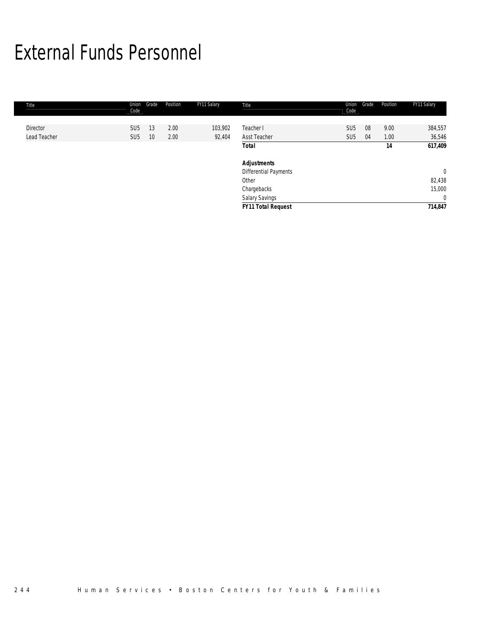# External Funds Personnel

| Title        | Union<br>Code   | Grade | Position | FY11 Salary | Title                        | Union<br>Code   | Grade | Position | FY11 Salary    |
|--------------|-----------------|-------|----------|-------------|------------------------------|-----------------|-------|----------|----------------|
|              |                 |       |          |             |                              |                 |       |          |                |
| Director     | SU <sub>5</sub> | 13    | 2.00     | 103,902     | Teacher I                    | SU <sub>5</sub> | 08    | 9.00     | 384,557        |
| Lead Teacher | SU <sub>5</sub> | 10    | 2.00     | 92,404      | Asst Teacher                 | SU <sub>5</sub> | 04    | 1.00     | 36,546         |
|              |                 |       |          |             | Total                        |                 |       | 14       | 617,409        |
|              |                 |       |          |             | <b>Adjustments</b>           |                 |       |          |                |
|              |                 |       |          |             | <b>Differential Payments</b> |                 |       |          | $\overline{0}$ |
|              |                 |       |          |             | Other                        |                 |       |          | 82,438         |
|              |                 |       |          |             | Chargebacks                  |                 |       |          | 15,000         |
|              |                 |       |          |             | Salary Savings               |                 |       |          | $\overline{0}$ |
|              |                 |       |          |             | <b>FY11 Total Request</b>    |                 |       |          | 714,847        |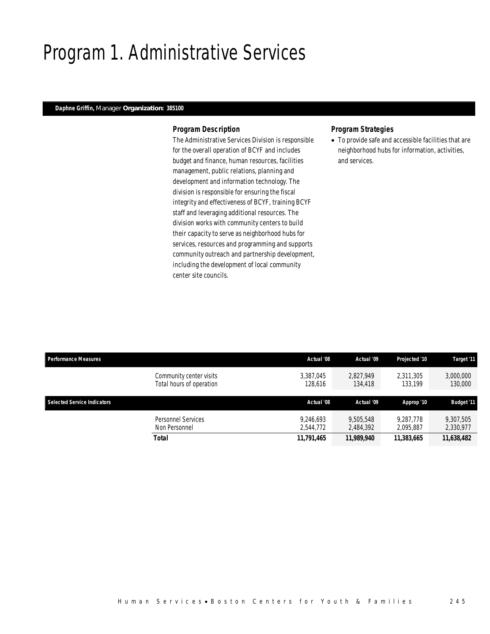# Program 1. Administrative Services

### *Daphne Griffin, Manager Organization: 385100*

#### *Program Description*

The Administrative Services Division is responsible for the overall operation of BCYF and includes budget and finance, human resources, facilities management, public relations, planning and development and information technology. The division is responsible for ensuring the fiscal integrity and effectiveness of BCYF, training BCYF staff and leveraging additional resources. The division works with community centers to build their capacity to serve as neighborhood hubs for services, resources and programming and supports community outreach and partnership development, including the development of local community center site councils.

### *Program Strategies*

• To provide safe and accessible facilities that are neighborhood hubs for information, activities, and services.

| <b>Performance Measures</b>        |                                                     | Actual '08             | Actual '09             | Projected '10          | Target '11             |
|------------------------------------|-----------------------------------------------------|------------------------|------------------------|------------------------|------------------------|
|                                    | Community center visits<br>Total hours of operation | 3,387,045<br>128,616   | 2.827.949<br>134,418   | 2,311,305<br>133,199   | 3,000,000<br>130,000   |
| <b>Selected Service Indicators</b> |                                                     | Actual '08             | Actual '09             | Approp '10             | <b>Budget '11</b>      |
|                                    | Personnel Services<br>Non Personnel                 | 9.246.693<br>2.544.772 | 9.505.548<br>2,484,392 | 9.287.778<br>2.095.887 | 9,307,505<br>2,330,977 |
|                                    | <b>Total</b>                                        | 11,791,465             | 11,989,940             | 11,383,665             | 11,638,482             |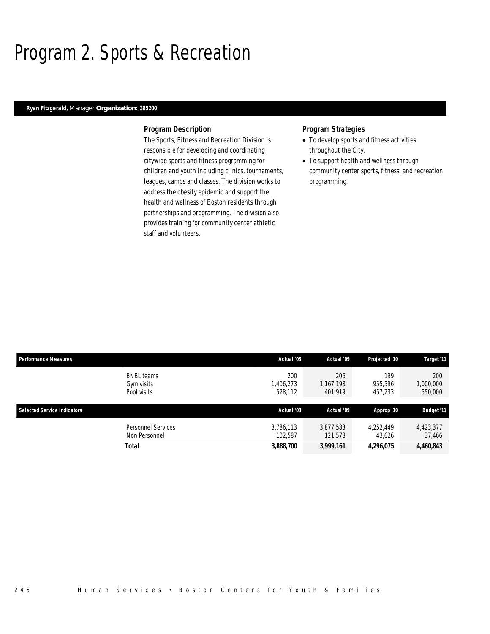### Program 2. Sports & Recreation

### *Ryan Fitzgerald, Manager Organization: 385200*

#### *Program Description*

The Sports, Fitness and Recreation Division is responsible for developing and coordinating citywide sports and fitness programming for children and youth including clinics, tournaments, leagues, camps and classes. The division works to address the obesity epidemic and support the health and wellness of Boston residents through partnerships and programming. The division also provides training for community center athletic staff and volunteers.

- To develop sports and fitness activities throughout the City.
- To support health and wellness through community center sports, fitness, and recreation programming.

| <b>Performance Measures</b>        |                                                | Actual '08                 | Actual '09                  | Projected '10             | Target '11                  |
|------------------------------------|------------------------------------------------|----------------------------|-----------------------------|---------------------------|-----------------------------|
|                                    | <b>BNBL</b> teams<br>Gym visits<br>Pool visits | 200<br>,406,273<br>528,112 | 206<br>1.167.198<br>401,919 | 199<br>955.596<br>457,233 | 200<br>1,000,000<br>550,000 |
| <b>Selected Service Indicators</b> |                                                |                            |                             |                           |                             |
|                                    |                                                | Actual '08                 | Actual '09                  | Approp '10                | <b>Budget '11</b>           |
|                                    | Personnel Services<br>Non Personnel            | 3,786,113<br>102.587       | 3,877,583<br>121.578        | 4,252,449<br>43,626       | 4,423,377<br>37,466         |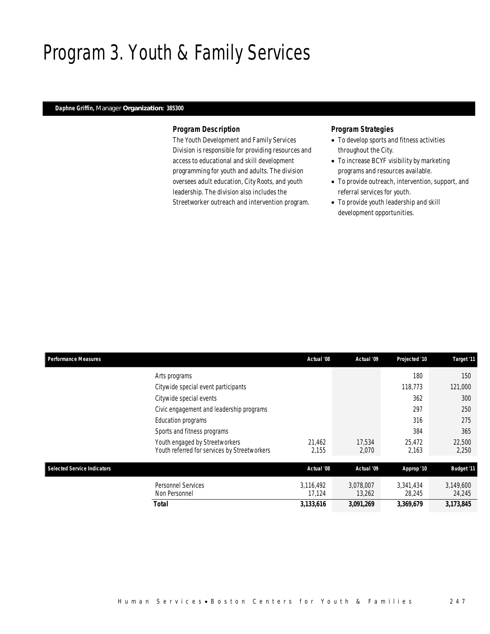# Program 3. Youth & Family Services

### *Daphne Griffin, Manager Organization: 385300*

#### *Program Description*

The Youth Development and Family Services Division is responsible for providing resources and access to educational and skill development programming for youth and adults. The division oversees adult education, City Roots, and youth leadership. The division also includes the Streetworker outreach and intervention program.

- To develop sports and fitness activities throughout the City.
- To increase BCYF visibility by marketing programs and resources available.
- To provide outreach, intervention, support, and referral services for youth.
- To provide youth leadership and skill development opportunities.

| <b>Performance Measures</b>        |                                                                                | Actual '08          | Actual '09          | Projected '10       | Target '11          |
|------------------------------------|--------------------------------------------------------------------------------|---------------------|---------------------|---------------------|---------------------|
|                                    | Arts programs                                                                  |                     |                     | 180                 | 150                 |
|                                    | Citywide special event participants                                            |                     |                     | 118,773             | 121,000             |
|                                    | Citywide special events                                                        |                     |                     | 362                 | 300                 |
|                                    | Civic engagement and leadership programs                                       |                     |                     | 297                 | 250                 |
|                                    | Education programs                                                             |                     |                     | 316                 | 275                 |
|                                    | Sports and fitness programs                                                    |                     |                     | 384                 | 365                 |
|                                    | Youth engaged by Streetworkers<br>Youth referred for services by Streetworkers | 21,462<br>2,155     | 17.534<br>2,070     | 25.472<br>2,163     | 22,500<br>2,250     |
| <b>Selected Service Indicators</b> |                                                                                | Actual '08          | Actual '09          | Approp '10          | <b>Budget '11</b>   |
|                                    | <b>Personnel Services</b><br>Non Personnel                                     | 3.116.492<br>17,124 | 3,078,007<br>13,262 | 3,341,434<br>28,245 | 3,149,600<br>24,245 |
|                                    | Total                                                                          | 3,133,616           | 3,091,269           | 3,369,679           | 3,173,845           |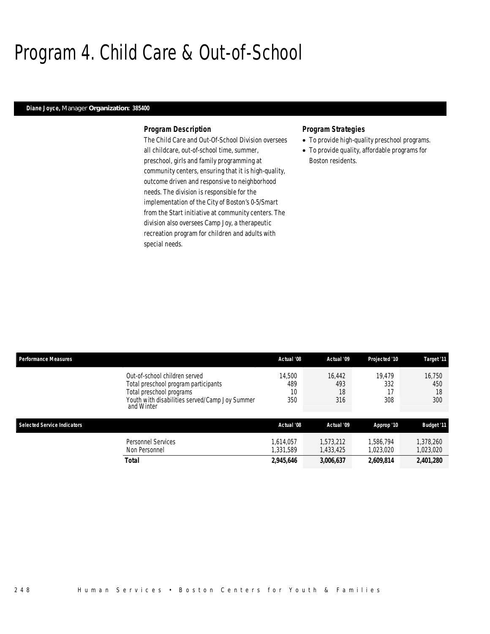# Program 4. Child Care & Out-of-School

### *Diane Joyce, Manager Organization: 385400*

#### *Program Description*

The Child Care and Out-Of-School Division oversees all childcare, out-of-school time, summer, preschool, girls and family programming at community centers, ensuring that it is high-quality, outcome driven and responsive to neighborhood needs. The division is responsible for the implementation of the City of Boston's 0-5/Smart from the Start initiative at community centers. The division also oversees Camp Joy, a therapeutic recreation program for children and adults with special needs.

- To provide high-quality preschool programs.
- To provide quality, affordable programs for Boston residents.

| <b>Performance Measures</b>                                                                                     | Actual '08                                                                   | Actual '09                 | Projected '10          | Target '11                 |
|-----------------------------------------------------------------------------------------------------------------|------------------------------------------------------------------------------|----------------------------|------------------------|----------------------------|
| Out-of-school children served<br>Total preschool program participants<br>Total preschool programs<br>and Winter | 14.500<br>489<br>10<br>350<br>Youth with disabilities served/Camp Joy Summer | 16.442<br>493<br>18<br>316 | 19.479<br>332<br>308   | 16.750<br>450<br>18<br>300 |
| <b>Selected Service Indicators</b>                                                                              | Actual '08                                                                   | Actual '09                 | Approp '10             | <b>Budget '11</b>          |
| <b>Personnel Services</b><br>Non Personnel                                                                      | 1.614.057<br>1.331.589                                                       | 1.573.212<br>1,433,425     | 1.586.794<br>1,023,020 | 1,378,260<br>1,023,020     |
| <b>Total</b>                                                                                                    | 2,945,646                                                                    | 3,006,637                  | 2,609,814              | 2,401,280                  |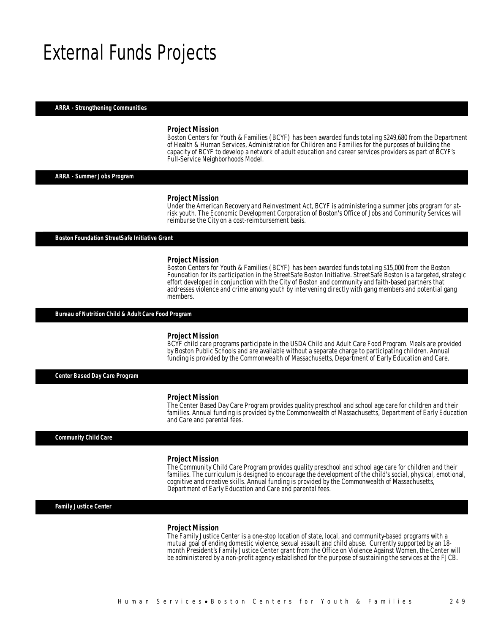### External Funds Projects

*ARRA - Strengthening Communities* 

#### *Project Mission*

Boston Centers for Youth & Families (BCYF) has been awarded funds totaling \$249,680 from the Department of Health & Human Services, Administration for Children and Families for the purposes of building the capacity of BCYF to develop a network of adult education and career services providers as part of BCYF's Full-Service Neighborhoods Model.

*ARRA - Summer Jobs Program* 

#### *Project Mission*

Under the American Recovery and Reinvestment Act, BCYF is administering a summer jobs program for atrisk youth. The Economic Development Corporation of Boston's Office of Jobs and Community Services will reimburse the City on a cost-reimbursement basis.

*Boston Foundation StreetSafe Initiative Grant* 

#### *Project Mission*

Boston Centers for Youth & Families (BCYF) has been awarded funds totaling \$15,000 from the Boston Foundation for its participation in the StreetSafe Boston Initiative. StreetSafe Boston is a targeted, strategic effort developed in conjunction with the City of Boston and community and faith-based partners that addresses violence and crime among youth by intervening directly with gang members and potential gang members.

*Bureau of Nutrition Child & Adult Care Food Program* 

#### *Project Mission*

BCYF child care programs participate in the USDA Child and Adult Care Food Program. Meals are provided by Boston Public Schools and are available without a separate charge to participating children. Annual funding is provided by the Commonwealth of Massachusetts, Department of Early Education and Care.

*Center Based Day Care Program* 

#### *Project Mission*

The Center Based Day Care Program provides quality preschool and school age care for children and their families. Annual funding is provided by the Commonwealth of Massachusetts, Department of Early Education and Care and parental fees.

#### *Community Child Care*

#### *Project Mission*

The Community Child Care Program provides quality preschool and school age care for children and their families. The curriculum is designed to encourage the development of the child's social, physical, emotional, cognitive and creative skills. Annual funding is provided by the Commonwealth of Massachusetts, Department of Early Education and Care and parental fees.

*Family Justice Center* 

#### *Project Mission*

The Family Justice Center is a one-stop location of state, local, and community-based programs with a mutual goal of ending domestic violence, sexual assault and child abuse. Currently supported by an 18 month President's Family Justice Center grant from the Office on Violence Against Women, the Center will be administered by a non-profit agency established for the purpose of sustaining the services at the FJCB.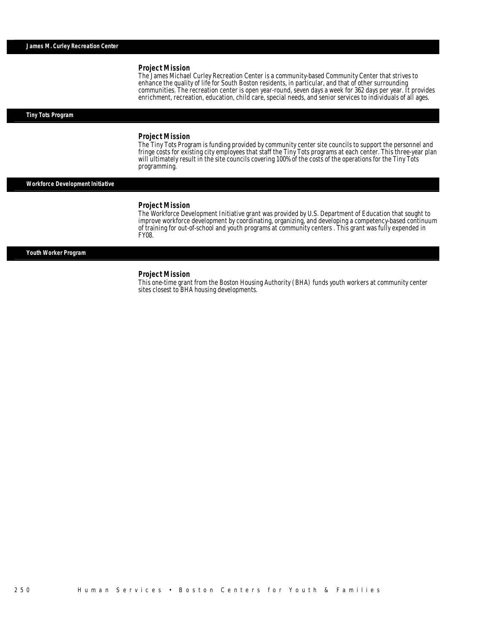#### *Project Mission*

The James Michael Curley Recreation Center is a community-based Community Center that strives to enhance the quality of life for South Boston residents, in particular, and that of other surrounding communities. The recreation center is open year-round, seven days a week for 362 days per year. It provides enrichment, recreation, education, child care, special needs, and senior services to individuals of all ages.

#### *Tiny Tots Program*

#### *Project Mission*

The Tiny Tots Program is funding provided by community center site councils to support the personnel and fringe costs for existing city employees that staff the Tiny Tots programs at each center. This three-year plan will ultimately result in the site councils covering 100% of the costs of the operations for the Tiny Tots programming.

#### *Workforce Development Initiative*

#### *Project Mission*

Î

The Workforce Development Initiative grant was provided by U.S. Department of Education that sought to improve workforce development by coordinating, organizing, and developing a competency-based continuum of training for out-of-school and youth programs at community centers . This grant was fully expended in FY08.

#### *Youth Worker Program*

#### *Project Mission*

This one-time grant from the Boston Housing Authority (BHA) funds youth workers at community center sites closest to BHA housing developments.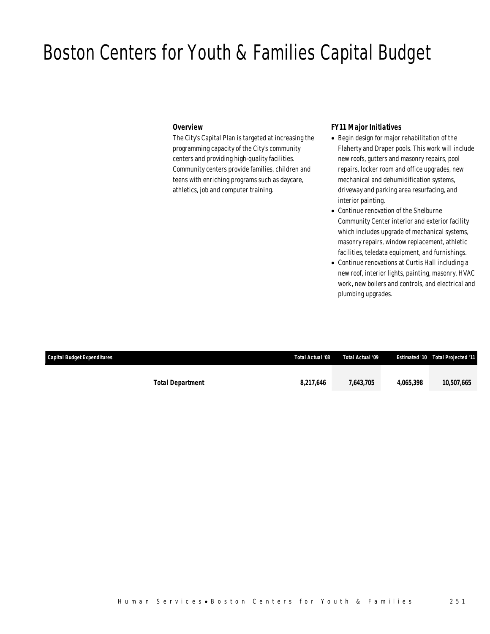### Boston Centers for Youth & Families Capital Budget

### *Overview*

The City's Capital Plan is targeted at increasing the programming capacity of the City's community centers and providing high-quality facilities. Community centers provide families, children and teens with enriching programs such as daycare, athletics, job and computer training.

### *FY11 Major Initiatives*

- Begin design for major rehabilitation of the Flaherty and Draper pools. This work will include new roofs, gutters and masonry repairs, pool repairs, locker room and office upgrades, new mechanical and dehumidification systems, driveway and parking area resurfacing, and interior painting.
- Continue renovation of the Shelburne Community Center interior and exterior facility which includes upgrade of mechanical systems, masonry repairs, window replacement, athletic facilities, teledata equipment, and furnishings.
- Continue renovations at Curtis Hall including a new roof, interior lights, painting, masonry, HVAC work, new boilers and controls, and electrical and plumbing upgrades.

| <b>Capital Budget Expenditures</b> |                         | Total Actual '08 | Total Actual '09 |           | <b>Estimated '10 Total Projected '11</b> |
|------------------------------------|-------------------------|------------------|------------------|-----------|------------------------------------------|
|                                    | <b>Total Department</b> | 8,217,646        | 7,643,705        | 4.065.398 | 10,507,665                               |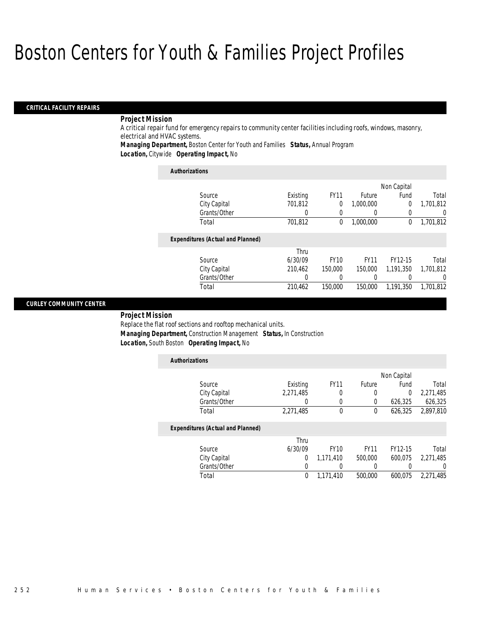#### *CRITICAL FACILITY REPAIRS*

### *Project Mission*

A critical repair fund for emergency repairs to community center facilities including roofs, windows, masonry, electrical and HVAC systems.

*Managing Department,* Boston Center for Youth and Families *Status,* Annual Program

*Location,* Citywide *Operating Impact,* No

| <b>Authorizations</b>                    |          |             |             |             |           |
|------------------------------------------|----------|-------------|-------------|-------------|-----------|
|                                          |          |             |             | Non Capital |           |
| Source                                   | Existing | <b>FY11</b> | Future      | Fund        | Total     |
| City Capital                             | 701.812  | 0           | 1.000.000   | 0           | 1,701,812 |
| Grants/Other                             | 0        | 0           |             | 0           | 0         |
| Total                                    | 701,812  | $\theta$    | 1,000,000   | 0           | 1,701,812 |
| <b>Expenditures (Actual and Planned)</b> |          |             |             |             |           |
|                                          | Thru     |             |             |             |           |
| Source                                   | 6/30/09  | <b>FY10</b> | <b>FY11</b> | FY12-15     | Total     |
| City Capital                             | 210.462  | 150,000     | 150,000     | 1.191.350   | 1,701,812 |
| Grants/Other                             | 0        | 0           | 0           | 0           | 0         |
| Total                                    | 210.462  | 150,000     | 150,000     | 1,191,350   | 1.701.812 |

### *CURLEY COMMUNITY CENTER*

*Project Mission* 

Replace the flat roof sections and rooftop mechanical units. *Managing Department,* Construction Management *Status,* In Construction *Location,* South Boston *Operating Impact,* No

| <b>Authorizations</b>                    |           |              |             |             |                  |
|------------------------------------------|-----------|--------------|-------------|-------------|------------------|
|                                          |           |              |             | Non Capital |                  |
| Source                                   | Existing  | <b>FY11</b>  | Future      | Fund        | Total            |
| City Capital                             | 2,271,485 | 0            | 0           | $\Omega$    | 2,271,485        |
| Grants/Other                             | 0         | 0            | 0           | 626,325     | 626,325          |
| Total                                    | 2,271,485 | $\mathbf{0}$ | $\theta$    | 626,325     | 2,897,810        |
| <b>Expenditures (Actual and Planned)</b> |           |              |             |             |                  |
|                                          | Thru      |              |             |             |                  |
| Source                                   | 6/30/09   | <b>FY10</b>  | <b>FY11</b> | FY12-15     | Total            |
| City Capital                             | 0         | 1.171.410    | 500,000     | 600.075     | 2.271.485        |
| Grants/Other                             | 0         |              |             |             | $\left( \right)$ |
| Total                                    | 0         | 1.171.410    | 500,000     | 600.075     | 2,271,485        |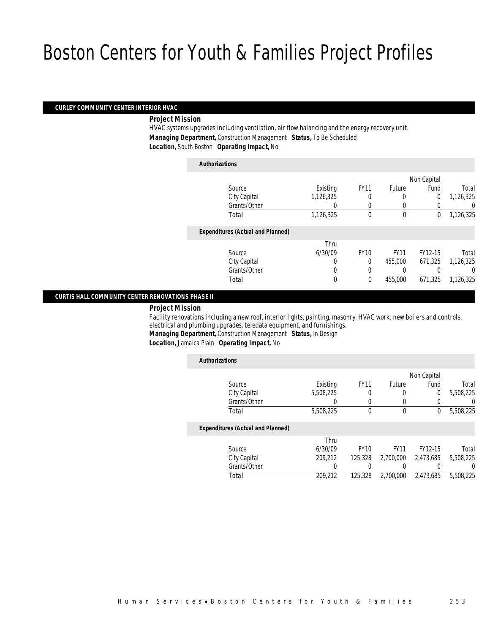#### *CURLEY COMMUNITY CENTER INTERIOR HVAC*

*Project Mission* 

HVAC systems upgrades including ventilation, air flow balancing and the energy recovery unit. *Managing Department,* Construction Management *Status,* To Be Scheduled *Location,* South Boston *Operating Impact,* No

### *Authorizations*

|                                          |           |             |             | Non Capital    |           |
|------------------------------------------|-----------|-------------|-------------|----------------|-----------|
| Source                                   | Existing  | <b>FY11</b> | Future      | Fund           | Total     |
| City Capital                             | 1,126,325 |             | 0           | $\overline{0}$ | 1,126,325 |
| Grants/Other                             | 0         | $\left($    |             |                | 0         |
| Total                                    | 1,126,325 | $\theta$    | $\mathbf 0$ | 0              | 1,126,325 |
| <b>Expenditures (Actual and Planned)</b> |           |             |             |                |           |
|                                          | Thru      |             |             |                |           |
| Source                                   | 6/30/09   | <b>FY10</b> | <b>FY11</b> | FY12-15        | Total     |
| City Capital                             | 0         | $\Omega$    | 455,000     | 671,325        | 1,126,325 |
| Grants/Other                             | 0         |             |             |                | 0         |
| Total                                    | 0         | $\theta$    | 455,000     | 671,325        | 1,126,325 |
|                                          |           |             |             |                |           |

#### *CURTIS HALL COMMUNITY CENTER RENOVATIONS PHASE II*

#### *Project Mission*

Facility renovations including a new roof, interior lights, painting, masonry, HVAC work, new boilers and controls, electrical and plumbing upgrades, teledata equipment, and furnishings.

*Managing Department,* Construction Management *Status,* In Design

*Location,* Jamaica Plain *Operating Impact,* No

| <b>Authorizations</b>                    |           |             |             |                |           |
|------------------------------------------|-----------|-------------|-------------|----------------|-----------|
|                                          |           |             |             | Non Capital    |           |
| Source                                   | Existing  | <b>FY11</b> | Future      | Fund           | Total     |
| City Capital                             | 5,508,225 | 0           | 0           | $\overline{0}$ | 5.508.225 |
| Grants/Other                             |           |             |             |                |           |
| Total                                    | 5,508,225 | $\theta$    | 0           | 0              | 5,508,225 |
| <b>Expenditures (Actual and Planned)</b> |           |             |             |                |           |
|                                          | Thru      |             |             |                |           |
| Source                                   | 6/30/09   | <b>FY10</b> | <b>FY11</b> | FY12-15        | Total     |
| City Capital                             | 209.212   | 125,328     | 2.700.000   | 2.473.685      | 5.508.225 |
| Grants/Other                             |           |             |             |                | $\left($  |
| Total                                    | 209.212   | 125,328     | 2.700.000   | 2.473.685      | 5,508,225 |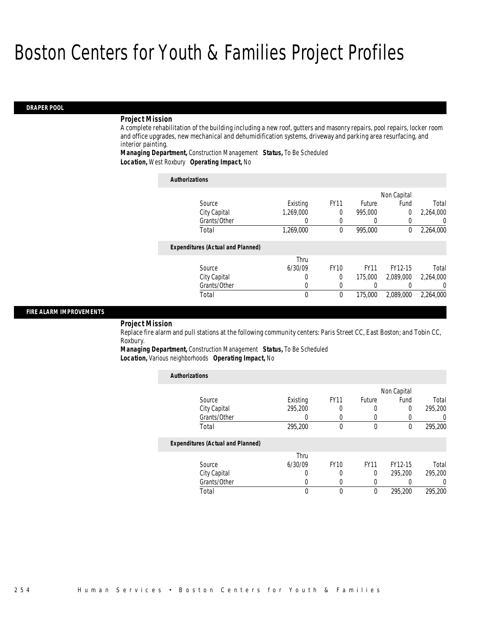#### *DRAPER POOL*

#### *Project Mission*

A complete rehabilitation of the building including a new roof, gutters and masonry repairs, pool repairs, locker room and office upgrades, new mechanical and dehumidification systems, driveway and parking area resurfacing, and interior painting.

*Managing Department,* Construction Management *Status,* To Be Scheduled *Location,* West Roxbury *Operating Impact,* No

| <b>Authorizations</b>                    |           |             |             |             |           |
|------------------------------------------|-----------|-------------|-------------|-------------|-----------|
|                                          |           |             |             | Non Capital |           |
| Source                                   | Existing  | <b>FY11</b> | Future      | Fund        | Total     |
| City Capital                             | 1,269,000 | 0           | 995,000     | 0           | 2,264,000 |
| Grants/Other                             | 0         | 0           | 0           |             | 0         |
| Total                                    | 1,269,000 | 0           | 995,000     | 0           | 2,264,000 |
| <b>Expenditures (Actual and Planned)</b> |           |             |             |             |           |
|                                          | Thru      |             |             |             |           |
| Source                                   | 6/30/09   | <b>FY10</b> | <b>FY11</b> | FY12-15     | Total     |
| City Capital                             | 0         | 0           | 175,000     | 2.089.000   | 2,264,000 |
| Grants/Other                             | 0         | 0           |             |             | $\Omega$  |
| Total                                    | 0         | 0           | 175,000     | 2.089.000   | 2.264.000 |

#### *FIRE ALARM IMPROVEMENTS*

#### *Project Mission*

Replace fire alarm and pull stations at the following community centers: Paris Street CC, East Boston; and Tobin CC, Roxbury.

*Managing Department,* Construction Management *Status,* To Be Scheduled *Location,* Various neighborhoods *Operating Impact,* No

*Authorizations*

| <b>Authorizations</b>                    |                  |             |             |             |                  |
|------------------------------------------|------------------|-------------|-------------|-------------|------------------|
|                                          |                  |             |             | Non Capital |                  |
| Source                                   | Existing         | <b>FY11</b> | Future      | Fund        | Total            |
| City Capital                             | 295,200          | 0           |             | 0           | 295,200          |
| Grants/Other                             | $\left( \right)$ |             |             |             | $\cup$           |
| Total                                    | 295,200          | 0           | $\theta$    | 0           | 295,200          |
| <b>Expenditures (Actual and Planned)</b> |                  |             |             |             |                  |
|                                          | Thru             |             |             |             |                  |
| Source                                   | 6/30/09          | <b>FY10</b> | <b>FY11</b> | FY12-15     | Total            |
| City Capital                             | 0                | 0           | 0           | 295,200     | 295,200          |
| Grants/Other                             | 0                | 0           |             |             | $\left( \right)$ |
| Total                                    | 0                | 0           | $\theta$    | 295,200     | 295,200          |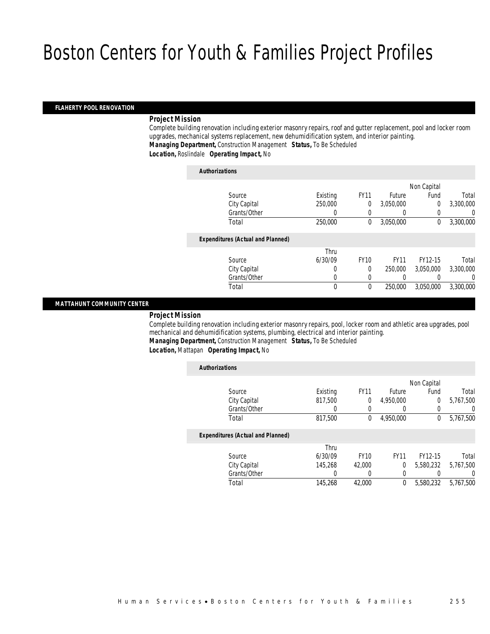### *FLAHERTY POOL RENOVATION*

#### *Project Mission*

Complete building renovation including exterior masonry repairs, roof and gutter replacement, pool and locker room upgrades, mechanical systems replacement, new dehumidification system, and interior painting. *Managing Department,* Construction Management *Status,* To Be Scheduled

*Location,* Roslindale *Operating Impact,* No

| <b>Authorizations</b>                    |          |             |             |                |           |
|------------------------------------------|----------|-------------|-------------|----------------|-----------|
|                                          |          |             |             | Non Capital    |           |
| Source                                   | Existing | <b>FY11</b> | Future      | Fund           | Total     |
| City Capital                             | 250,000  | 0           | 3.050.000   | $\overline{0}$ | 3,300,000 |
| Grants/Other                             | 0        | 0           | $\left($    | 0              | 0         |
| Total                                    | 250,000  | 0           | 3,050,000   | 0              | 3,300,000 |
| <b>Expenditures (Actual and Planned)</b> |          |             |             |                |           |
|                                          | Thru     |             |             |                |           |
| Source                                   | 6/30/09  | <b>FY10</b> | <b>FY11</b> | FY12-15        | Total     |
| City Capital                             | 0        | 0           | 250,000     | 3,050,000      | 3,300,000 |
| Grants/Other                             | 0        | $\left($    |             |                | 0         |
| Total                                    | 0        | 0           | 250,000     | 3.050.000      | 3.300.000 |
|                                          |          |             |             |                |           |

#### *MATTAHUNT COMMUNITY CENTER*

#### *Project Mission*

Complete building renovation including exterior masonry repairs, pool, locker room and athletic area upgrades, pool mechanical and dehumidification systems, plumbing, electrical and interior painting. *Managing Department,* Construction Management *Status,* To Be Scheduled

*Location,* Mattapan *Operating Impact,* No

|           |              |               |             |          | <b>Authorizations</b>                    |
|-----------|--------------|---------------|-------------|----------|------------------------------------------|
|           | Non Capital  |               |             |          |                                          |
| Total     | Fund         | <b>Future</b> | <b>FY11</b> | Existing | Source                                   |
| 5,767,500 | $\Omega$     | 4,950,000     | 0           | 817,500  | City Capital                             |
| U         | $\Omega$     |               | 0           | 0        | Grants/Other                             |
| 5,767,500 | $\mathbf{0}$ | 4,950,000     | $\theta$    | 817,500  | Total                                    |
|           |              |               |             |          | <b>Expenditures (Actual and Planned)</b> |
|           |              |               |             | Thru     |                                          |
| Total     | FY12-15      | <b>FY11</b>   | <b>FY10</b> | 6/30/09  | Source                                   |
| 5,767,500 | 5,580,232    | $\Omega$      | 42,000      | 145,268  | City Capital                             |
| 0         |              | $\left($      | 0           | 0        | Grants/Other                             |
| 5.767.500 | 5,580,232    | 0             | 42,000      | 145,268  | Total                                    |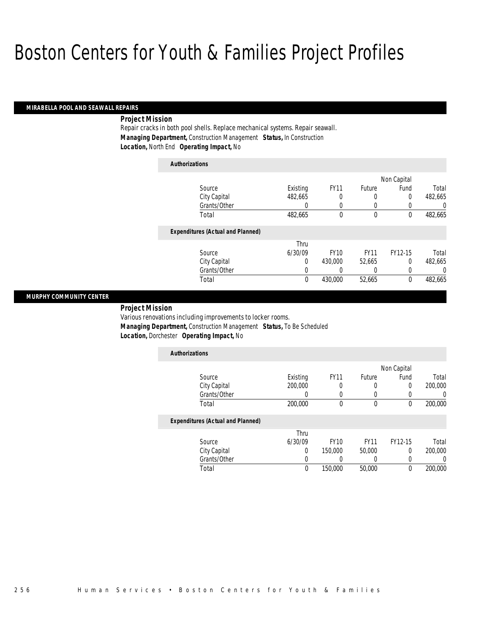### *MIRABELLA POOL AND SEAWALL REPAIRS*

### *Project Mission*

Repair cracks in both pool shells. Replace mechanical systems. Repair seawall. *Managing Department,* Construction Management *Status,* In Construction *Location,* North End *Operating Impact,* No

| <b>Authorizations</b>                    |          |             |             |             |          |
|------------------------------------------|----------|-------------|-------------|-------------|----------|
|                                          |          |             |             | Non Capital |          |
| Source                                   | Existing | <b>FY11</b> | Future      | Fund        | Total    |
| City Capital                             | 482.665  | 0           | 0           | 0           | 482.665  |
| Grants/Other                             | 0        | 0           | 0           | 0           | 0        |
| Total                                    | 482,665  | 0           | 0           | 0           | 482,665  |
| <b>Expenditures (Actual and Planned)</b> |          |             |             |             |          |
|                                          | Thru     |             |             |             |          |
| Source                                   | 6/30/09  | <b>FY10</b> | <b>FY11</b> | FY12-15     | Total    |
| City Capital                             | 0        | 430,000     | 52,665      | $\Omega$    | 482.665  |
| Grants/Other                             | 0        | 0           | 0           | 0           | $\Omega$ |
| Total                                    | 0        | 430,000     | 52,665      | $\theta$    | 482.665  |

#### *MURPHY COMMUNITY CENTER*

*Project Mission* 

Various renovations including improvements to locker rooms. *Managing Department,* Construction Management *Status,* To Be Scheduled *Location,* Dorchester *Operating Impact,* No

| <b>Authorizations</b>                    |          |             |             |                |         |
|------------------------------------------|----------|-------------|-------------|----------------|---------|
|                                          |          |             |             | Non Capital    |         |
| Source                                   | Existing | <b>FY11</b> | Future      | Fund           | Total   |
| City Capital                             | 200,000  | 0           | 0           | $\overline{0}$ | 200,000 |
| Grants/Other                             |          | 0           |             |                |         |
| Total                                    | 200,000  | $\Omega$    | 0           | 0              | 200,000 |
| <b>Expenditures (Actual and Planned)</b> |          |             |             |                |         |
|                                          | Thru     |             |             |                |         |
| Source                                   | 6/30/09  | <b>FY10</b> | <b>FY11</b> | FY12-15        | Total   |
| City Capital                             | 0        | 150,000     | 50,000      | $\Omega$       | 200,000 |
| Grants/Other                             | 0        | 0           |             | 0              |         |

Total 0 150,000 50,000 0 200,000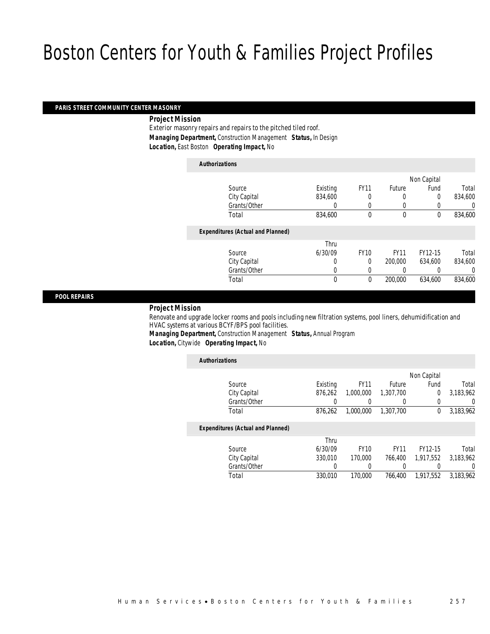#### *PARIS STREET COMMUNITY CENTER MASONRY*

*Project Mission* 

Exterior masonry repairs and repairs to the pitched tiled roof. *Managing Department,* Construction Management *Status,* In Design *Location,* East Boston *Operating Impact,* No

*Authorizations*

|                                          |          |             |             | Non Capital |         |
|------------------------------------------|----------|-------------|-------------|-------------|---------|
| Source                                   | Existing | <b>FY11</b> | Future      | Fund        | Total   |
| City Capital                             | 834,600  | 0           | 0           | 0           | 834,600 |
| Grants/Other                             | 0        | 0           | $\left($    |             | 0       |
| Total                                    | 834,600  | $\theta$    | $\mathbf 0$ | 0           | 834,600 |
| <b>Expenditures (Actual and Planned)</b> |          |             |             |             |         |
|                                          | Thru     |             |             |             |         |
| Source                                   | 6/30/09  | <b>FY10</b> | <b>FY11</b> | FY12-15     | Total   |
| City Capital                             | 0        | $\theta$    | 200,000     | 634.600     | 834,600 |
| Grants/Other                             | 0        |             |             |             | 0       |
| Total                                    | 0        | $\theta$    | 200,000     | 634,600     | 834,600 |
|                                          |          |             |             |             |         |

*POOL REPAIRS* 

#### *Project Mission*

Renovate and upgrade locker rooms and pools including new filtration systems, pool liners, dehumidification and HVAC systems at various BCYF/BPS pool facilities.

*Managing Department,* Construction Management *Status,* Annual Program *Location,* Citywide *Operating Impact,* No

| <b>Authorizations</b>                    |          |             |             |             |           |
|------------------------------------------|----------|-------------|-------------|-------------|-----------|
|                                          |          |             |             | Non Capital |           |
| Source                                   | Existing | <b>FY11</b> | Future      | Fund        | Total     |
| City Capital                             | 876.262  | 1,000,000   | 1,307,700   | 0           | 3,183,962 |
| Grants/Other                             |          |             |             | 0           | 0         |
| Total                                    | 876,262  | 1.000.000   | 1,307,700   | 0           | 3,183,962 |
| <b>Expenditures (Actual and Planned)</b> |          |             |             |             |           |
|                                          | Thru     |             |             |             |           |
| Source                                   | 6/30/09  | <b>FY10</b> | <b>FY11</b> | FY12-15     | Total     |
| City Capital                             | 330,010  | 170,000     | 766.400     | 1.917.552   | 3.183.962 |
| Grants/Other                             | 0        |             | 0           |             | $\left($  |
| Total                                    | 330.010  | 170,000     | 766.400     | 1,917,552   | 3.183.962 |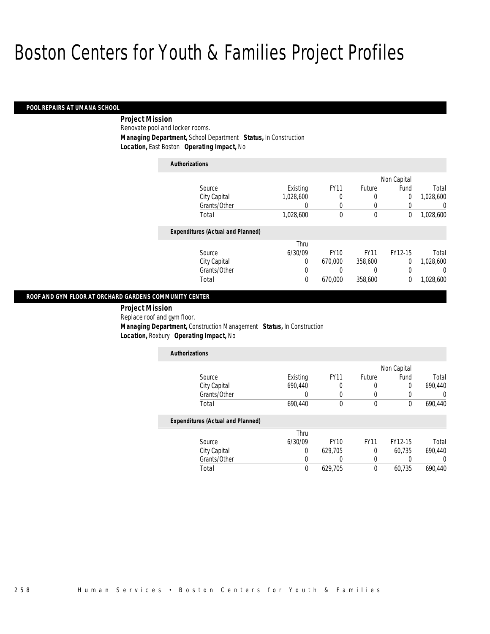#### *POOL REPAIRS AT UMANA SCHOOL*

 *Project Mission* Renovate pool and locker rooms. *Managing Department,* School Department *Status,* In Construction *Location,* East Boston *Operating Impact,* No

| <b>Authorizations</b>                    |           |             |             |                |           |
|------------------------------------------|-----------|-------------|-------------|----------------|-----------|
|                                          |           |             |             | Non Capital    |           |
| Source                                   | Existing  | <b>FY11</b> | Future      | Fund           | Total     |
| City Capital                             | 1,028,600 | 0           | 0           | 0              | 1,028,600 |
| Grants/Other                             | 0         | 0           | 0           | 0              | 0         |
| Total                                    | 1,028,600 | 0           | $\mathbf 0$ | 0              | 1,028,600 |
| <b>Expenditures (Actual and Planned)</b> |           |             |             |                |           |
|                                          | Thru      |             |             |                |           |
| Source                                   | 6/30/09   | <b>FY10</b> | <b>FY11</b> | FY12-15        | Total     |
| City Capital                             | 0         | 670,000     | 358,600     | $\overline{0}$ | 1,028,600 |
| Grants/Other                             | 0         | 0           | 0           | 0              | 0         |
| Total                                    | $\theta$  | 670.000     | 358,600     | $\theta$       | 1.028.600 |

#### *ROOF AND GYM FLOOR AT ORCHARD GARDENS COMMUNITY CENTER*

 *Project Mission* Replace roof and gym floor. *Managing Department,* Construction Management *Status,* In Construction *Location,* Roxbury *Operating Impact,* No

| <b>Authorizations</b>                                                                                                               |          |             |               |             |         |
|-------------------------------------------------------------------------------------------------------------------------------------|----------|-------------|---------------|-------------|---------|
|                                                                                                                                     |          |             |               | Non Capital |         |
| Source                                                                                                                              | Existing | <b>FY11</b> | <b>Future</b> | Fund        | Total   |
| City Capital                                                                                                                        | 690,440  |             |               | 0           | 690,440 |
| Grants/Other                                                                                                                        |          |             |               |             |         |
| Total                                                                                                                               | 690,440  |             | 0             | 0           | 690.440 |
| $\mathbf{F}$ and $\mathbf{F}$ and $\mathbf{F}$ and $\mathbf{F}$ and $\mathbf{F}$ and $\mathbf{F}$ and $\mathbf{F}$ and $\mathbf{F}$ |          |             |               |             |         |

#### *Expenditures (Actual and Planned)*

|              | Thru    |         |             |         |         |
|--------------|---------|---------|-------------|---------|---------|
| Source       | 6/30/09 | FY10    | <b>FY11</b> | FY12-15 | Total   |
| City Capital |         | 629.705 |             | 60.735  | 690.440 |
| Grants/Other |         |         |             |         |         |
| Total        |         | 629.705 |             | 60.735  | 690.440 |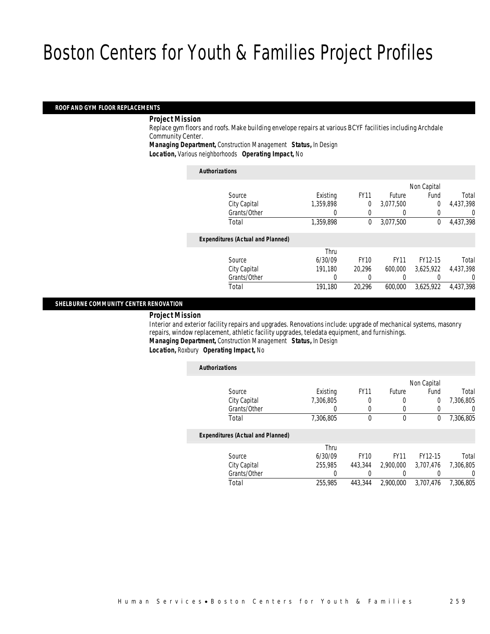#### *ROOF AND GYM FLOOR REPLACEMENTS*

#### *Project Mission*

Replace gym floors and roofs. Make building envelope repairs at various BCYF facilities including Archdale Community Center.

*Managing Department,* Construction Management *Status,* In Design

*Location,* Various neighborhoods *Operating Impact,* No

| <b>Authorizations</b>                    |           |             |             |                |           |
|------------------------------------------|-----------|-------------|-------------|----------------|-----------|
|                                          |           |             |             | Non Capital    |           |
| Source                                   | Existing  | <b>FY11</b> | Future      | Fund           | Total     |
| City Capital                             | 1,359,898 | 0           | 3,077,500   | $\overline{0}$ | 4,437,398 |
| Grants/Other                             |           | 0           |             |                | 0         |
| Total                                    | 1.359.898 | 0           | 3.077.500   | 0              | 4.437.398 |
| <b>Expenditures (Actual and Planned)</b> |           |             |             |                |           |
|                                          | Thru      |             |             |                |           |
| Source                                   | 6/30/09   | <b>FY10</b> | <b>FY11</b> | FY12-15        | Total     |
| City Capital                             | 191.180   | 20.296      | 600,000     | 3.625.922      | 4,437,398 |
| Grants/Other                             | 0         | 0           |             |                | 0         |
| Total                                    | 191,180   | 20.296      | 600.000     | 3.625.922      | 4.437.398 |
|                                          |           |             |             |                |           |

#### *SHELBURNE COMMUNITY CENTER RENOVATION*

#### *Project Mission*

Interior and exterior facility repairs and upgrades. Renovations include: upgrade of mechanical systems, masonry repairs, window replacement, athletic facility upgrades, teledata equipment, and furnishings. *Managing Department,* Construction Management *Status,* In Design

*Location,* Roxbury *Operating Impact,* No

|           |                |             |             |           | <b>Authorizations</b>                    |
|-----------|----------------|-------------|-------------|-----------|------------------------------------------|
|           | Non Capital    |             |             |           |                                          |
| Total     | Fund           | Future      | <b>FY11</b> | Existing  | Source                                   |
| 7.306.805 | $\overline{0}$ | 0           | 0           | 7.306.805 | City Capital                             |
| 0         | 0              | 0           | 0           | 0         | Grants/Other                             |
| 7,306,805 | 0              | $\mathbf 0$ | 0           | 7,306,805 | Total                                    |
|           |                |             |             |           | <b>Expenditures (Actual and Planned)</b> |
|           |                |             |             | Thru      |                                          |
| Total     | FY12-15        | <b>FY11</b> | <b>FY10</b> | 6/30/09   | Source                                   |
| 7.306.805 | 3.707.476      | 2,900,000   | 443.344     | 255,985   | City Capital                             |
| $\left($  |                |             |             | 0         | Grants/Other                             |
| 7.306.805 | 3.707.476      | 2.900.000   | 443,344     | 255,985   | Total                                    |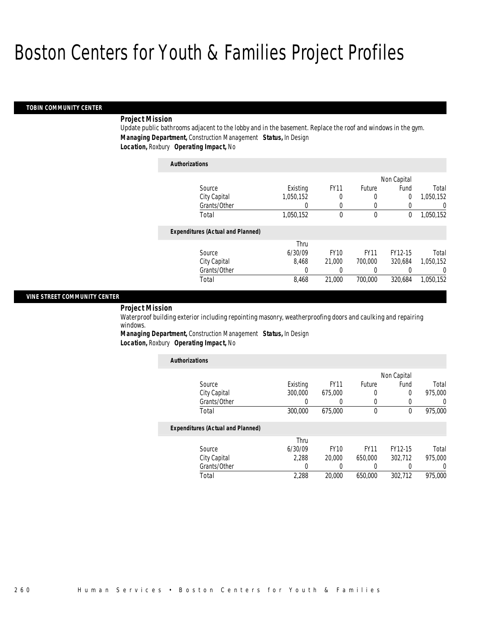#### *TOBIN COMMUNITY CENTER*

#### *Project Mission*

Update public bathrooms adjacent to the lobby and in the basement. Replace the roof and windows in the gym. *Managing Department,* Construction Management *Status,* In Design *Location,* Roxbury *Operating Impact,* No

| <b>Authorizations</b>                    |           |             |             |             |           |
|------------------------------------------|-----------|-------------|-------------|-------------|-----------|
|                                          |           |             |             | Non Capital |           |
| Source                                   | Existing  | <b>FY11</b> | Future      | Fund        | Total     |
| City Capital                             | 1,050,152 | 0           | 0           | $\Omega$    | 1,050,152 |
| Grants/Other                             |           |             | $\left($    |             | 0         |
| Total                                    | 1,050,152 | $\theta$    | 0           | 0           | 1,050,152 |
| <b>Expenditures (Actual and Planned)</b> |           |             |             |             |           |
|                                          | Thru      |             |             |             |           |
| Source                                   | 6/30/09   | <b>FY10</b> | <b>FY11</b> | FY12-15     | Total     |
| City Capital                             | 8.468     | 21,000      | 700,000     | 320.684     | 1,050,152 |
| Grants/Other                             | 0         |             |             |             | $\Omega$  |
| Total                                    | 8,468     | 21,000      | 700,000     | 320.684     | 1.050.152 |

#### *VINE STREET COMMUNITY CENTER*

### *Project Mission*

Waterproof building exterior including repointing masonry, weatherproofing doors and caulking and repairing windows.

*Managing Department,* Construction Management *Status,* In Design *Location,* Roxbury *Operating Impact,* No

| <b>Authorizations</b>                    |          |             |             |             |                  |
|------------------------------------------|----------|-------------|-------------|-------------|------------------|
|                                          |          |             |             | Non Capital |                  |
| Source                                   | Existing | <b>FY11</b> | Future      | Fund        | Total            |
| City Capital                             | 300,000  | 675,000     |             | $\Omega$    | 975,000          |
| Grants/Other                             | 0        | 0           |             |             | 0                |
| Total                                    | 300,000  | 675,000     | 0           | $\theta$    | 975,000          |
| <b>Expenditures (Actual and Planned)</b> |          |             |             |             |                  |
|                                          | Thru     |             |             |             |                  |
| Source                                   | 6/30/09  | <b>FY10</b> | <b>FY11</b> | FY12-15     | Total            |
| City Capital                             | 2.288    | 20,000      | 650,000     | 302.712     | 975,000          |
| Grants/Other                             | 0        |             |             |             | $\left( \right)$ |
| Total                                    | 2,288    | 20,000      | 650,000     | 302.712     | 975,000          |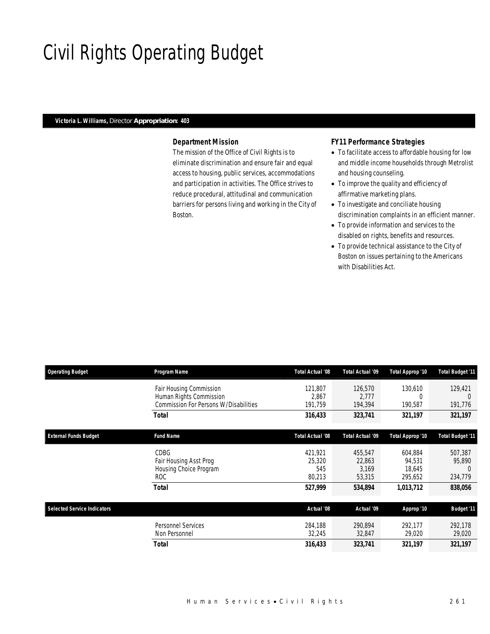# Civil Rights Operating Budget

### *Victoria L. Williams, Director Appropriation: 403*

### *Department Mission*

The mission of the Office of Civil Rights is to eliminate discrimination and ensure fair and equal access to housing, public services, accommodations and participation in activities. The Office strives to reduce procedural, attitudinal and communication barriers for persons living and working in the City of Boston.

### *FY11 Performance Strategies*

- To facilitate access to affordable housing for low and middle income households through Metrolist and housing counseling.
- To improve the quality and efficiency of affirmative marketing plans.
- To investigate and conciliate housing discrimination complaints in an efficient manner.
- To provide information and services to the disabled on rights, benefits and resources.
- To provide technical assistance to the City of Boston on issues pertaining to the Americans with Disabilities Act.

| <b>Operating Budget</b>                                                                                                                                                                                        | Program Name                          | Total Actual '08                   | Total Actual '09                     | Total Approp '10                       | <b>Total Budget '11</b>      |
|----------------------------------------------------------------------------------------------------------------------------------------------------------------------------------------------------------------|---------------------------------------|------------------------------------|--------------------------------------|----------------------------------------|------------------------------|
| Fair Housing Commission<br>Human Rights Commission<br><b>Total</b><br><b>Fund Name</b><br><b>CDBG</b><br>Fair Housing Asst Prog<br>Housing Choice Program<br>ROC.<br><b>Total</b><br><b>Personnel Services</b> | Commission For Persons W/Disabilities | 121,807<br>2,867<br>191,759        | 126,570<br>2.777<br>194,394          | 130,610<br>0<br>190,587                | 129,421<br>191,776           |
|                                                                                                                                                                                                                |                                       | 316,433                            | 323,741                              | 321,197                                | 321,197                      |
| <b>External Funds Budget</b>                                                                                                                                                                                   |                                       | Total Actual '08                   | <b>Total Actual '09</b>              | Total Approp '10                       | <b>Total Budget '11</b>      |
|                                                                                                                                                                                                                |                                       | 421,921<br>25,320<br>545<br>80,213 | 455,547<br>22,863<br>3,169<br>53,315 | 604,884<br>94,531<br>18,645<br>295,652 | 507,387<br>95,890<br>234,779 |
|                                                                                                                                                                                                                |                                       | 527,999                            | 534,894                              | 1,013,712                              | 838,056                      |
| <b>Selected Service Indicators</b>                                                                                                                                                                             |                                       | Actual '08                         | Actual '09                           | Approp '10                             | <b>Budget '11</b>            |
|                                                                                                                                                                                                                | Non Personnel                         | 284,188<br>32,245                  | 290.894<br>32,847                    | 292.177<br>29,020                      | 292,178<br>29,020            |
|                                                                                                                                                                                                                | Total                                 | 316,433                            | 323,741                              | 321,197                                | 321,197                      |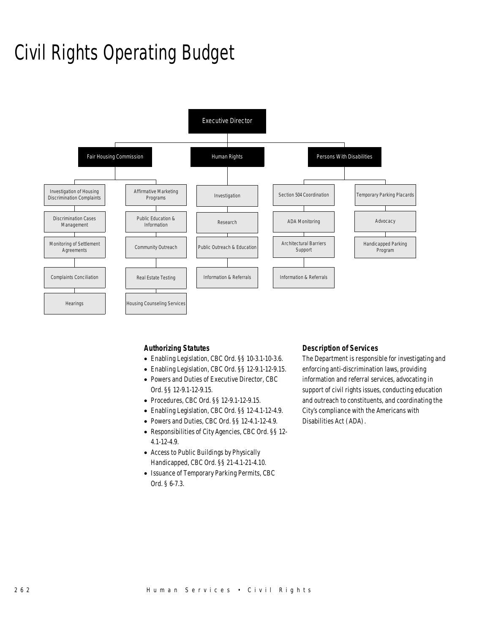# Civil Rights Operating Budget



### *Authorizing Statutes*

- Enabling Legislation, CBC Ord. §§ 10-3.1-10-3.6.
- Enabling Legislation, CBC Ord. §§ 12-9.1-12-9.15.
- Powers and Duties of Executive Director, CBC Ord. §§ 12-9.1-12-9.15.
- Procedures, CBC Ord. §§ 12-9.1-12-9.15.
- Enabling Legislation, CBC Ord. §§ 12-4.1-12-4.9.
- Powers and Duties, CBC Ord. §§ 12-4.1-12-4.9.
- Responsibilities of City Agencies, CBC Ord. §§ 12- 4.1-12-4.9.
- Access to Public Buildings by Physically Handicapped, CBC Ord. §§ 21-4.1-21-4.10.
- Issuance of Temporary Parking Permits, CBC Ord. § 6-7.3.

#### *Description of Services*

The Department is responsible for investigating and enforcing anti-discrimination laws, providing information and referral services, advocating in support of civil rights issues, conducting education and outreach to constituents, and coordinating the City's compliance with the Americans with Disabilities Act (ADA).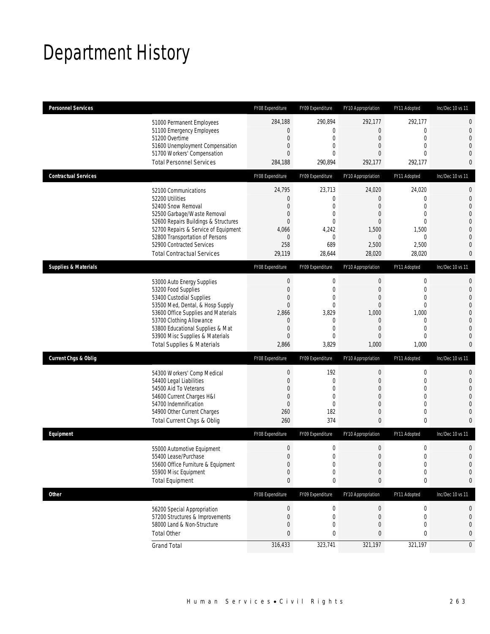# Department History

| <b>Personnel Services</b>       |                                                                                                                                                                                                                                                                                                      | FY08 Expenditure                                                                        | FY09 Expenditure                                                                                            | FY10 Appropriation                                                                                | FY11 Adopted                                                                                                                    | Inc/Dec 10 vs 11                                                              |
|---------------------------------|------------------------------------------------------------------------------------------------------------------------------------------------------------------------------------------------------------------------------------------------------------------------------------------------------|-----------------------------------------------------------------------------------------|-------------------------------------------------------------------------------------------------------------|---------------------------------------------------------------------------------------------------|---------------------------------------------------------------------------------------------------------------------------------|-------------------------------------------------------------------------------|
|                                 | 51000 Permanent Employees<br>51100 Emergency Employees<br>51200 Overtime<br>51600 Unemployment Compensation<br>51700 Workers' Compensation<br><b>Total Personnel Services</b>                                                                                                                        | 284,188<br>$\mathbf 0$<br>0<br>0<br>0<br>284,188                                        | 290,894<br>$\overline{0}$<br>0<br>$\overline{0}$<br>0<br>290,894                                            | 292,177<br>$\mathbf 0$<br>0<br>$\overline{0}$<br>0<br>292,177                                     | 292,177<br>$\mathbf 0$<br>$\mathbf 0$<br>$\mathbf{0}$<br>$\mathbf{0}$<br>292,177                                                | 0<br>0<br>$\overline{0}$<br>0<br>0<br>0                                       |
| <b>Contractual Services</b>     |                                                                                                                                                                                                                                                                                                      | FY08 Expenditure                                                                        | FY09 Expenditure                                                                                            | FY10 Appropriation                                                                                | FY11 Adopted                                                                                                                    | Inc/Dec 10 vs 11                                                              |
|                                 | 52100 Communications<br>52200 Utilities<br>52400 Snow Removal<br>52500 Garbage/Waste Removal<br>52600 Repairs Buildings & Structures<br>52700 Repairs & Service of Equipment<br>52800 Transportation of Persons<br>52900 Contracted Services<br><b>Total Contractual Services</b>                    | 24,795<br>$\mathbf 0$<br>0<br>0<br>$\overline{0}$<br>4,066<br>$\theta$<br>258<br>29,119 | 23,713<br>$\mathbf 0$<br>0<br>0<br>$\overline{0}$<br>4,242<br>0<br>689<br>28,644                            | 24,020<br>$\mathbf 0$<br>0<br>0<br>$\overline{0}$<br>1,500<br>$\mathbf 0$<br>2,500<br>28,020      | 24,020<br>$\mathbf 0$<br>$\mathbf{0}$<br>$\mathbf 0$<br>$\mathbf{0}$<br>1,500<br>$\mathbf{0}$<br>2,500<br>28,020                | 0<br>$\mathbf 0$<br>$\overline{0}$<br>0<br>0<br>$\overline{0}$<br>0<br>0<br>0 |
| <b>Supplies &amp; Materials</b> |                                                                                                                                                                                                                                                                                                      | FY08 Expenditure                                                                        | FY09 Expenditure                                                                                            | FY10 Appropriation                                                                                | FY11 Adopted                                                                                                                    | Inc/Dec 10 vs 11                                                              |
|                                 | 53000 Auto Energy Supplies<br>53200 Food Supplies<br>53400 Custodial Supplies<br>53500 Med, Dental, & Hosp Supply<br>53600 Office Supplies and Materials<br>53700 Clothing Allowance<br>53800 Educational Supplies & Mat<br>53900 Misc Supplies & Materials<br><b>Total Supplies &amp; Materials</b> | $\boldsymbol{0}$<br>$\mathbf 0$<br>0<br>0<br>2,866<br>0<br>$\mathbf 0$<br>0<br>2,866    | 0<br>$\mathbf 0$<br>0<br>$\overline{0}$<br>3,829<br>$\mathbf{0}$<br>$\overline{0}$<br>$\mathbf{0}$<br>3,829 | $\boldsymbol{0}$<br>$\mathbf 0$<br>0<br>$\overline{0}$<br>1,000<br>0<br>$\mathbf 0$<br>0<br>1,000 | $\boldsymbol{0}$<br>$\mathbf 0$<br>$\mathbf{0}$<br>$\mathbf{0}$<br>1,000<br>$\mathbf 0$<br>$\mathbf 0$<br>$\mathbf{0}$<br>1,000 | 0<br>$\mathbf 0$<br>$\overline{0}$<br>0<br>0<br>0<br>0<br>0<br>0              |
| <b>Current Chgs &amp; Oblig</b> |                                                                                                                                                                                                                                                                                                      | FY08 Expenditure                                                                        | FY09 Expenditure                                                                                            | FY10 Appropriation                                                                                | FY11 Adopted                                                                                                                    | Inc/Dec 10 vs 11                                                              |
|                                 | 54300 Workers' Comp Medical<br>54400 Legal Liabilities<br>54500 Aid To Veterans<br>54600 Current Charges H&I<br>54700 Indemnification<br>54900 Other Current Charges<br>Total Current Chgs & Oblig                                                                                                   | $\theta$<br>0<br>0<br>0<br>$\mathbf 0$<br>260<br>260                                    | 192<br>$\boldsymbol{0}$<br>0<br>0<br>$\overline{0}$<br>182<br>374                                           | $\boldsymbol{0}$<br>0<br>0<br>0<br>$\overline{0}$<br>0<br>0                                       | $\boldsymbol{0}$<br>$\mathbf 0$<br>$\mathbf{0}$<br>$\overline{0}$<br>$\mathbf{0}$<br>$\mathbf 0$<br>$\mathbf 0$                 | 0<br>$\mathbf 0$<br>$\overline{0}$<br>0<br>0<br>0<br>0                        |
| Equipment                       |                                                                                                                                                                                                                                                                                                      | FY08 Expenditure                                                                        | FY09 Expenditure                                                                                            | FY10 Appropriation                                                                                | FY11 Adopted                                                                                                                    | Inc/Dec 10 vs 11                                                              |
|                                 | 55000 Automotive Equipment<br>55400 Lease/Purchase<br>55600 Office Furniture & Equipment<br>55900 Misc Equipment<br><b>Total Equipment</b>                                                                                                                                                           | $\boldsymbol{0}$<br>$\Omega$<br>$\boldsymbol{0}$<br>0<br>0                              | $\mathbf 0$<br>$\Omega$<br>$\boldsymbol{0}$<br>0<br>0                                                       | $\mathbf 0$<br>$\Omega$<br>$\boldsymbol{0}$<br>0<br>0                                             | $\boldsymbol{0}$<br>$\boldsymbol{0}$<br>$\boldsymbol{0}$<br>$\mathbf 0$<br>$\pmb{0}$                                            | 0<br>0<br>0<br>0<br>0                                                         |
| <b>Other</b>                    |                                                                                                                                                                                                                                                                                                      | FY08 Expenditure                                                                        | FY09 Expenditure                                                                                            | FY10 Appropriation                                                                                | FY11 Adopted                                                                                                                    | Inc/Dec 10 vs 11                                                              |
|                                 | 56200 Special Appropriation<br>57200 Structures & Improvements<br>58000 Land & Non-Structure<br><b>Total Other</b>                                                                                                                                                                                   | $\theta$<br>$\boldsymbol{0}$<br>0<br>0<br>316,433                                       | 0<br>$\boldsymbol{0}$<br>0<br>0<br>323,741                                                                  | $\boldsymbol{0}$<br>$\mathbf 0$<br>0<br>0<br>321,197                                              | $\boldsymbol{0}$<br>$\boldsymbol{0}$<br>$\mathbf{0}$<br>$\pmb{0}$<br>321,197                                                    | 0<br>0<br>0<br>0<br>$\mathbf 0$                                               |
|                                 | <b>Grand Total</b>                                                                                                                                                                                                                                                                                   |                                                                                         |                                                                                                             |                                                                                                   |                                                                                                                                 |                                                                               |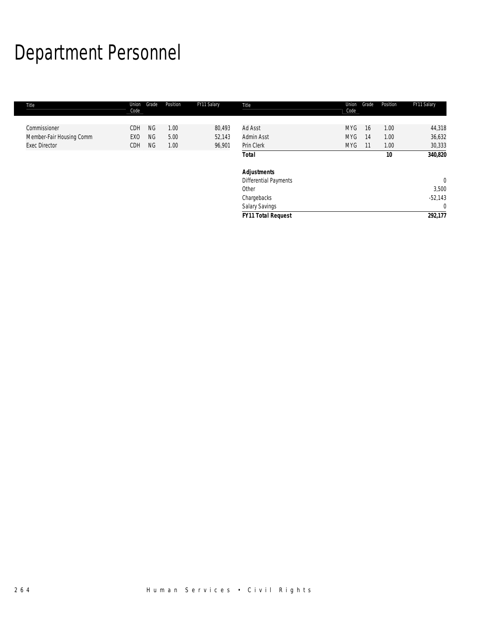# Department Personnel

I.

| Title                    | Union<br>Code   | Grade     | Position | FY11 Salary | Title                     | Union<br>Code | Grade | Position | FY11 Salary    |
|--------------------------|-----------------|-----------|----------|-------------|---------------------------|---------------|-------|----------|----------------|
|                          |                 |           |          |             |                           |               |       |          |                |
| Commissioner             | <b>CDH</b>      | <b>NG</b> | 1.00     | 80,493      | Ad Asst                   | <b>MYG</b>    | 16    | 1.00     | 44,318         |
| Member-Fair Housing Comm | EX <sub>0</sub> | <b>NG</b> | 5.00     | 52,143      | Admin Asst                | <b>MYG</b>    | 14    | 1.00     | 36,632         |
| <b>Exec Director</b>     | CDH             | NG        | 1.00     | 96,901      | Prin Clerk                | <b>MYG</b>    | -11   | 1.00     | 30,333         |
|                          |                 |           |          |             | <b>Total</b>              |               |       | 10       | 340,820        |
|                          |                 |           |          |             | <b>Adjustments</b>        |               |       |          |                |
|                          |                 |           |          |             | Differential Payments     |               |       |          | $\overline{0}$ |
|                          |                 |           |          |             | Other                     |               |       |          | 3,500          |
|                          |                 |           |          |             | Chargebacks               |               |       |          | $-52,143$      |
|                          |                 |           |          |             | Salary Savings            |               |       |          | $\overline{0}$ |
|                          |                 |           |          |             | <b>FY11 Total Request</b> |               |       |          | 292,177        |
|                          |                 |           |          |             |                           |               |       |          |                |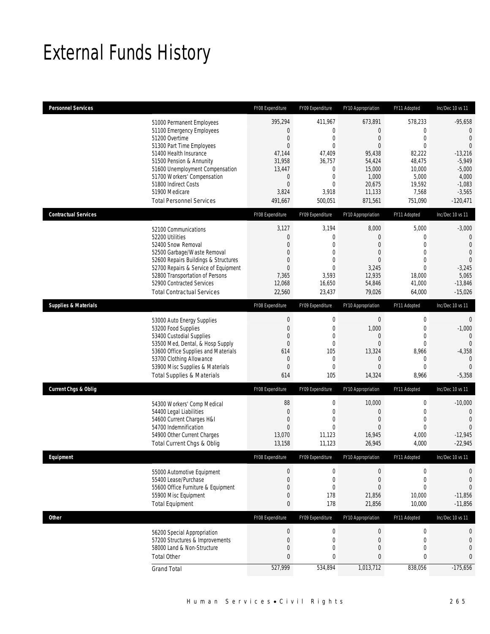# External Funds History

| <b>Personnel Services</b>       |                                                                     | FY08 Expenditure                   | FY09 Expenditure                     | FY10 Appropriation         | FY11 Adopted                    | Inc/Dec 10 vs 11                 |
|---------------------------------|---------------------------------------------------------------------|------------------------------------|--------------------------------------|----------------------------|---------------------------------|----------------------------------|
|                                 | 51000 Permanent Employees                                           | 395,294                            | 411,967                              | 673,891                    | 578,233                         | $-95,658$                        |
|                                 | 51100 Emergency Employees                                           | 0                                  | $\boldsymbol{0}$                     | $\overline{0}$             | $\mathbf 0$                     | $\overline{0}$                   |
|                                 | 51200 Overtime                                                      | $\boldsymbol{0}$                   | $\boldsymbol{0}$                     | $\mathbf 0$                | $\mathbf 0$                     | $\overline{0}$                   |
|                                 | 51300 Part Time Employees                                           | $\mathbf{0}$                       | $\mathbf 0$                          | $\overline{0}$             | $\mathbf 0$                     | $\overline{0}$                   |
|                                 | 51400 Health Insurance<br>51500 Pension & Annunity                  | 47,144<br>31,958                   | 47,409<br>36,757                     | 95,438<br>54,424           | 82,222<br>48,475                | $-13,216$<br>$-5,949$            |
|                                 | 51600 Unemployment Compensation                                     | 13,447                             | 0                                    | 15,000                     | 10,000                          | $-5,000$                         |
|                                 | 51700 Workers' Compensation                                         | 0                                  | $\boldsymbol{0}$                     | 1,000                      | 5,000                           | 4,000                            |
|                                 | 51800 Indirect Costs                                                | $\overline{0}$                     | $\mathbf 0$                          | 20,675                     | 19,592                          | $-1,083$                         |
|                                 | 51900 Medicare                                                      | 3,824                              | 3,918                                | 11,133                     | 7,568                           | $-3,565$                         |
|                                 | <b>Total Personnel Services</b>                                     | 491,667                            | 500,051                              | 871,561                    | 751,090                         | $-120,471$                       |
| <b>Contractual Services</b>     |                                                                     | FY08 Expenditure                   | FY09 Expenditure                     | FY10 Appropriation         | FY11 Adopted                    | Inc/Dec 10 vs 11                 |
|                                 | 52100 Communications                                                | 3,127                              | 3,194                                | 8,000                      | 5,000                           | $-3,000$                         |
|                                 | 52200 Utilities                                                     | $\boldsymbol{0}$                   | $\boldsymbol{0}$                     | 0                          | $\mathbf{0}$                    | $\mathbf 0$                      |
|                                 | 52400 Snow Removal                                                  | $\mathbf{0}$<br>$\mathbf{0}$       | $\mathbf 0$                          | 0                          | $\mathbf 0$<br>$\mathbf{0}$     | $\overline{0}$<br>$\overline{0}$ |
|                                 | 52500 Garbage/Waste Removal<br>52600 Repairs Buildings & Structures | 0                                  | $\boldsymbol{0}$<br>$\mathbf 0$      | 0<br>0                     | $\Omega$                        | $\theta$                         |
|                                 | 52700 Repairs & Service of Equipment                                | $\mathbf{0}$                       | $\mathbf 0$                          | 3,245                      | $\mathbf 0$                     | $-3,245$                         |
|                                 | 52800 Transportation of Persons                                     | 7,365                              | 3,593                                | 12,935                     | 18,000                          | 5,065                            |
|                                 | 52900 Contracted Services                                           | 12,068                             | 16,650                               | 54,846                     | 41,000                          | $-13,846$                        |
|                                 | <b>Total Contractual Services</b>                                   | 22,560                             | 23,437                               | 79,026                     | 64,000                          | $-15,026$                        |
| <b>Supplies &amp; Materials</b> |                                                                     | FY08 Expenditure                   | FY09 Expenditure                     | FY10 Appropriation         | FY11 Adopted                    | Inc/Dec 10 vs 11                 |
|                                 | 53000 Auto Energy Supplies                                          | $\boldsymbol{0}$                   | $\boldsymbol{0}$                     | $\boldsymbol{0}$           | $\boldsymbol{0}$                | $\mathbf{0}$                     |
|                                 | 53200 Food Supplies                                                 | $\boldsymbol{0}$                   | $\boldsymbol{0}$                     | 1,000                      | $\mathbf{0}$                    | $-1,000$                         |
|                                 | 53400 Custodial Supplies                                            | $\mathbf{0}$                       | $\mathbf 0$                          | 0                          | $\mathbf 0$                     | $\overline{0}$                   |
|                                 | 53500 Med, Dental, & Hosp Supply                                    | $\boldsymbol{0}$                   | $\boldsymbol{0}$<br>105              | $\overline{0}$             | $\mathbf 0$                     | $\Omega$                         |
|                                 | 53600 Office Supplies and Materials<br>53700 Clothing Allowance     | 614<br>$\boldsymbol{0}$            | $\boldsymbol{0}$                     | 13,324<br>0                | 8,966<br>$\mathbf 0$            | $-4,358$<br>$\overline{0}$       |
|                                 | 53900 Misc Supplies & Materials                                     | $\mathbf{0}$                       | $\boldsymbol{0}$                     | $\overline{0}$             | $\mathbf{0}$                    | $\Omega$                         |
|                                 | <b>Total Supplies &amp; Materials</b>                               | 614                                | 105                                  | 14,324                     | 8,966                           | $-5,358$                         |
| <b>Current Chgs &amp; Oblig</b> |                                                                     | FY08 Expenditure                   | FY09 Expenditure                     | FY10 Appropriation         | FY11 Adopted                    | Inc/Dec 10 vs 11                 |
|                                 | 54300 Workers' Comp Medical                                         | 88                                 | 0                                    | 10,000                     | 0                               | $-10,000$                        |
|                                 | 54400 Legal Liabilities                                             | $\boldsymbol{0}$                   | 0                                    | $\mathbf 0$                | 0                               | $\overline{0}$                   |
|                                 | 54600 Current Charges H&I                                           | $\boldsymbol{0}$                   | $\boldsymbol{0}$                     | $\mathbf 0$                | $\mathbf{0}$                    | $\theta$                         |
|                                 | 54700 Indemnification                                               | $\Omega$<br>13,070                 | $\Omega$<br>11,123                   | $\Omega$                   | $\mathbf{0}$<br>4,000           | $\Omega$<br>$-12,945$            |
|                                 | 54900 Other Current Charges<br>Total Current Chgs & Oblig           | 13,158                             | 11,123                               | 16,945<br>26,945           | 4,000                           | $-22,945$                        |
| <b>Fauinment</b>                |                                                                     | FY08 Expenditure                   | FY09 Expenditure                     | FY10 Appropriation         | FY11 Adopted                    | Inc/Dec 10 vs 11                 |
|                                 |                                                                     |                                    |                                      |                            |                                 |                                  |
|                                 | 55000 Automotive Equipment                                          | 0                                  | 0                                    | $\mathbf 0$                | $\mathbf 0$                     | $\boldsymbol{0}$                 |
|                                 | 55400 Lease/Purchase                                                | $\overline{0}$<br>$\boldsymbol{0}$ | $\boldsymbol{0}$<br>$\boldsymbol{0}$ | $\mathbf 0$<br>$\mathbf 0$ | $\boldsymbol{0}$<br>$\mathbf 0$ | $\mathbf{0}$<br>$\overline{0}$   |
|                                 | 55600 Office Furniture & Equipment<br>55900 Misc Equipment          | $\boldsymbol{0}$                   | 178                                  | 21,856                     | 10,000                          | $-11,856$                        |
|                                 | <b>Total Equipment</b>                                              | $\mathbf{0}$                       | 178                                  | 21,856                     | 10,000                          | $-11,856$                        |
| <b>Other</b>                    |                                                                     | FY08 Expenditure                   | FY09 Expenditure                     | FY10 Appropriation         | FY11 Adopted                    | Inc/Dec 10 vs 11                 |
|                                 | 56200 Special Appropriation                                         | $\boldsymbol{0}$                   | $\boldsymbol{0}$                     | 0                          | $\boldsymbol{0}$                | $\mathbf 0$                      |
|                                 | 57200 Structures & Improvements                                     | $\boldsymbol{0}$                   | $\boldsymbol{0}$                     | $\mathbf 0$                | $\mathbf 0$                     | $\overline{0}$                   |
|                                 | 58000 Land & Non-Structure                                          | $\boldsymbol{0}$                   | $\boldsymbol{0}$                     | $\mathbf 0$                | $\mathbf 0$                     | $\mathbf 0$                      |
|                                 | <b>Total Other</b>                                                  | 0                                  | 0                                    | 0                          | 0                               | $\mathbf{0}$                     |
|                                 | <b>Grand Total</b>                                                  | 527,999                            | 534,894                              | 1,013,712                  | 838,056                         | $-175,656$                       |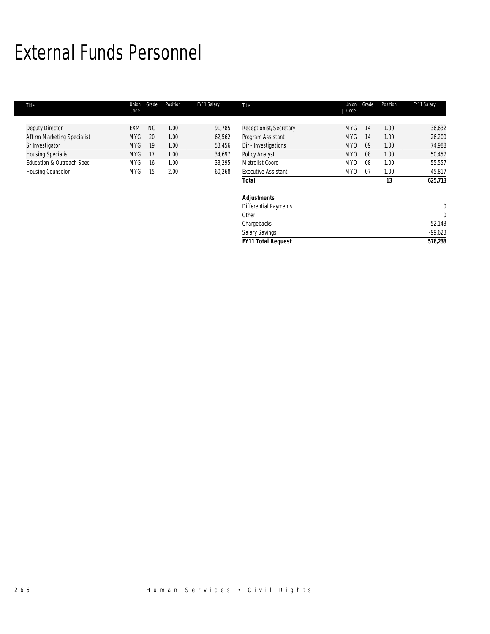# External Funds Personnel

| Title                       | Union<br>Code | Grade     | Position | FY11 Salary | Title                        | Union<br>Code   | Grade | Position | FY11 Salary  |
|-----------------------------|---------------|-----------|----------|-------------|------------------------------|-----------------|-------|----------|--------------|
|                             |               |           |          |             |                              |                 |       |          |              |
| Deputy Director             | EXM           | <b>NG</b> | 1.00     | 91,785      | Receptionist/Secretary       | MYG             | 14    | 1.00     | 36,632       |
| Affirm Marketing Specialist | <b>MYG</b>    | 20        | 1.00     | 62,562      | Program Assistant            | <b>MYG</b>      | 14    | 1.00     | 26,200       |
| Sr Investigator             | <b>MYG</b>    | 19        | 1.00     | 53,456      | Dir - Investigations         | MY <sub>0</sub> | 09    | 1.00     | 74,988       |
| <b>Housing Specialist</b>   | <b>MYG</b>    | 17        | 1.00     | 34,697      | <b>Policy Analyst</b>        | MY <sub>0</sub> | 08    | 1.00     | 50,457       |
| Education & Outreach Spec   | MYG           | 16        | 1.00     | 33,295      | Metrolist Coord              | MY <sub>0</sub> | 08    | 1.00     | 55,557       |
| <b>Housing Counselor</b>    | MYG           | 15        | 2.00     | 60,268      | <b>Executive Assistant</b>   | MY <sub>0</sub> | 07    | 1.00     | 45,817       |
|                             |               |           |          |             | <b>Total</b>                 |                 |       | 13       | 625,713      |
|                             |               |           |          |             | <b>Adjustments</b>           |                 |       |          |              |
|                             |               |           |          |             | <b>Differential Payments</b> |                 |       |          | $\mathbf{0}$ |
|                             |               |           |          |             | Other                        |                 |       |          | $\mathbf 0$  |
|                             |               |           |          |             | Chargebacks                  |                 |       |          | 52,143       |
|                             |               |           |          |             | Salary Savings               |                 |       |          | $-99,623$    |
|                             |               |           |          |             | <b>FY11 Total Request</b>    |                 |       |          | 578,233      |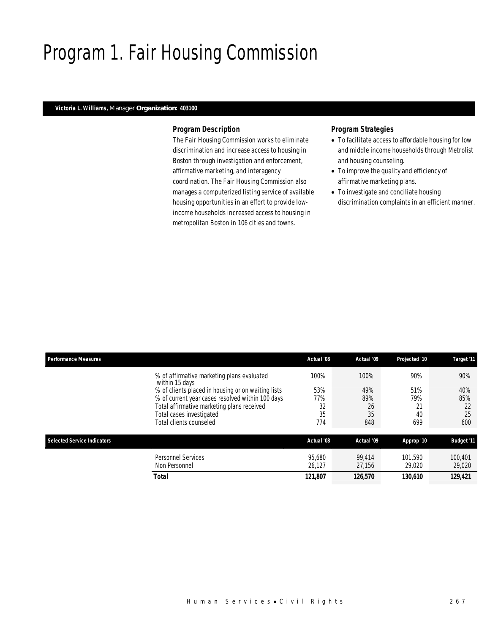# Program 1. Fair Housing Commission

#### *Victoria L. Williams, Manager Organization: 403100*

#### *Program Description*

The Fair Housing Commission works to eliminate discrimination and increase access to housing in Boston through investigation and enforcement, affirmative marketing, and interagency coordination. The Fair Housing Commission also manages a computerized listing service of available housing opportunities in an effort to provide lowincome households increased access to housing in metropolitan Boston in 106 cities and towns.

- To facilitate access to affordable housing for low and middle income households through Metrolist and housing counseling.
- To improve the quality and efficiency of affirmative marketing plans.
- To investigate and conciliate housing discrimination complaints in an efficient manner.

| <b>Performance Measures</b>        |                                                                                                                                                                                                                                                                             | Actual '08                            | Actual '09                            | Projected '10                        | Target '11                           |
|------------------------------------|-----------------------------------------------------------------------------------------------------------------------------------------------------------------------------------------------------------------------------------------------------------------------------|---------------------------------------|---------------------------------------|--------------------------------------|--------------------------------------|
|                                    | % of affirmative marketing plans evaluated<br>within 15 days<br>% of clients placed in housing or on waiting lists<br>% of current year cases resolved within 100 days<br>Total affirmative marketing plans received<br>Total cases investigated<br>Total clients counseled | 100%<br>53%<br>77%<br>32<br>35<br>774 | 100%<br>49%<br>89%<br>26<br>35<br>848 | 90%<br>51%<br>79%<br>21<br>40<br>699 | 90%<br>40%<br>85%<br>22<br>25<br>600 |
| <b>Selected Service Indicators</b> |                                                                                                                                                                                                                                                                             | Actual '08                            | Actual '09                            | Approp '10                           | <b>Budget '11</b>                    |
|                                    | Personnel Services<br>Non Personnel<br><b>Total</b>                                                                                                                                                                                                                         | 95.680<br>26,127<br>121,807           | 99.414<br>27.156<br>126,570           | 101.590<br>29,020<br>130.610         | 100.401<br>29,020<br>129,421         |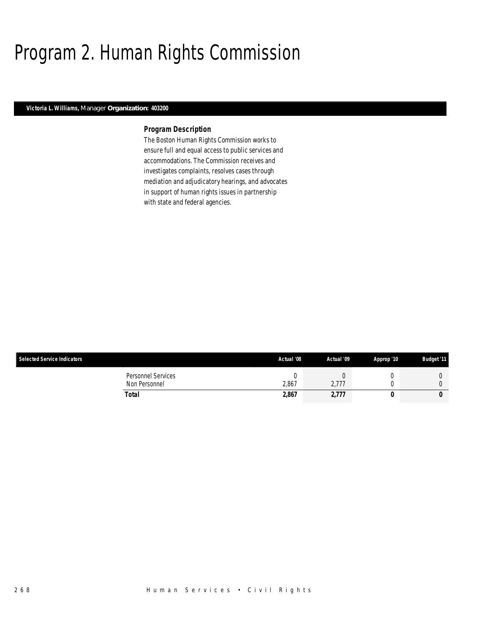# Program 2. Human Rights Commission

### *Victoria L. Williams, Manager Organization: 403200*

#### *Program Description*

The Boston Human Rights Commission works to ensure full and equal access to public services and accommodations. The Commission receives and investigates complaints, resolves cases through mediation and adjudicatory hearings, and advocates in support of human rights issues in partnership with state and federal agencies.

| <b>Selected Service Indicators</b>  | Actual '08  | Actual '09 | Approp '10 | <b>Budget '11</b> |
|-------------------------------------|-------------|------------|------------|-------------------|
| Personnel Services<br>Non Personnel | ι.<br>2.867 | 2,777      |            |                   |
| Total                               | 2,867       | 2,777      |            | 0                 |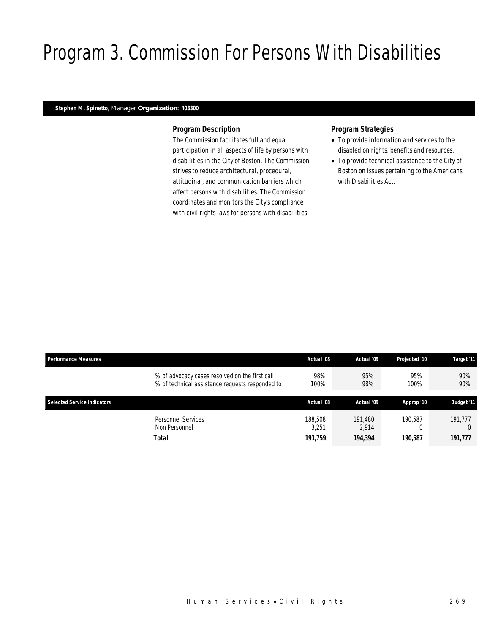# Program 3. Commission For Persons With Disabilities

### *Stephen M. Spinetto, Manager Organization: 403300*

### *Program Description*

The Commission facilitates full and equal participation in all aspects of life by persons with disabilities in the City of Boston. The Commission strives to reduce architectural, procedural, attitudinal, and communication barriers which affect persons with disabilities. The Commission coordinates and monitors the City's compliance with civil rights laws for persons with disabilities.

- To provide information and services to the disabled on rights, benefits and resources.
- To provide technical assistance to the City of Boston on issues pertaining to the Americans with Disabilities Act.

| Performance Measures                                                                              | Actual '08       | Actual '09       | Projected '10 | Target '11        |
|---------------------------------------------------------------------------------------------------|------------------|------------------|---------------|-------------------|
| % of advocacy cases resolved on the first call<br>% of technical assistance requests responded to | 98%<br>100%      | 95%<br>98%       | 95%<br>100%   | 90%<br>90%        |
| <b>Selected Service Indicators</b>                                                                | Actual '08       | Actual '09       | Approp '10    | <b>Budget '11</b> |
| Personnel Services<br>Non Personnel                                                               | 188,508<br>3.251 | 191.480<br>2.914 | 190.587       | 191.777           |
| Total                                                                                             | 191.759          | 194,394          | 190.587       | 191,777           |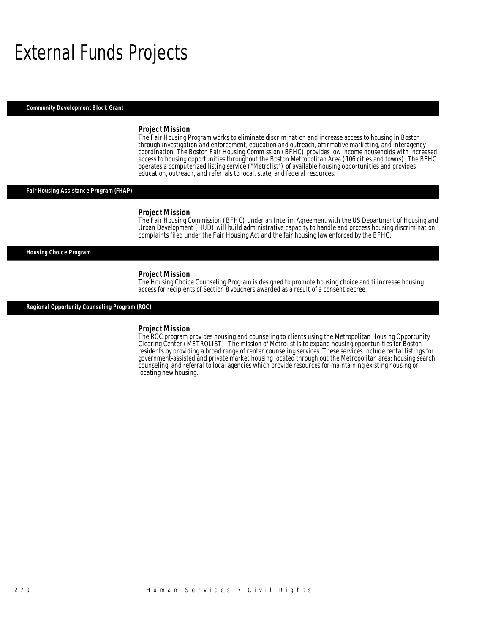# External Funds Projects

*Community Development Block Grant* 

#### *Project Mission*

The Fair Housing Program works to eliminate discrimination and increase access to housing in Boston through investigation and enforcement, education and outreach, affirmative marketing, and interagency coordination. The Boston Fair Housing Commission (BFHC) provides low income households with increased access to housing opportunities throughout the Boston Metropolitan Area (106 cities and towns). The BFHC operates a computerized listing service ("Metrolist") of available housing opportunities and provides education, outreach, and referrals to local, state, and federal resources.

#### *Fair Housing Assistance Program (FHAP)*

#### *Project Mission*

The Fair Housing Commission (BFHC) under an Interim Agreement with the US Department of Housing and Urban Development (HUD) will build administrative capacity to handle and process housing discrimination complaints filed under the Fair Housing Act and the fair housing law enforced by the BFHC.

#### *Housing Choice Program*

*Project Mission*<br>The Housing Choice Counseling Program is designed to promote housing choice and ti increase housing access for recipients of Section 8 vouchers awarded as a result of a consent decree.

*Regional Opportunity Counseling Program (ROC)* 

#### *Project Mission*

The ROC program provides housing and counseling to clients using the Metropolitan Housing Opportunity Clearing Center (METROLIST). The mission of Metrolist is to expand housing opportunities for Boston residents by providing a broad range of renter counseling services. These services include rental listings for government-assisted and private market housing located through out the Metropolitan area; housing search counseling; and referral to local agencies which provide resources for maintaining existing housing or locating new housing.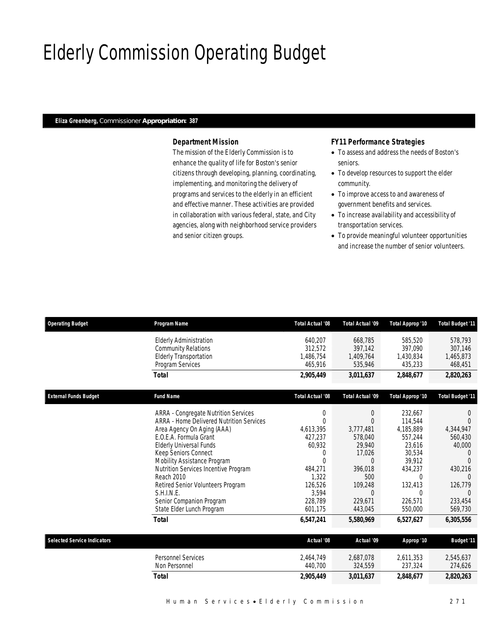# Elderly Commission Operating Budget

#### *Eliza Greenberg, Commissioner Appropriation: 387*

## *Department Mission*

The mission of the Elderly Commission is to enhance the quality of life for Boston's senior citizens through developing, planning, coordinating, implementing, and monitoring the delivery of programs and services to the elderly in an efficient and effective manner. These activities are provided in collaboration with various federal, state, and City agencies, along with neighborhood service providers and senior citizen groups.

### *FY11 Performance Strategies*

- To assess and address the needs of Boston's seniors.
- To develop resources to support the elder community.
- To improve access to and awareness of government benefits and services.
- To increase availability and accessibility of transportation services.
- To provide meaningful volunteer opportunities and increase the number of senior volunteers.

| <b>Operating Budget</b>            | Program Name                                    | <b>Total Actual '08</b> | <b>Total Actual '09</b> | Total Approp '10 | <b>Total Budget '11</b> |
|------------------------------------|-------------------------------------------------|-------------------------|-------------------------|------------------|-------------------------|
|                                    | <b>Elderly Administration</b>                   | 640,207                 | 668,785                 | 585,520          | 578,793                 |
|                                    | <b>Community Relations</b>                      | 312.572                 | 397,142                 | 397.090          | 307.146                 |
|                                    | <b>Elderly Transportation</b>                   | 1,486,754               | 1,409,764               | 1,430,834        | 1,465,873               |
|                                    | Program Services                                | 465,916                 | 535,946                 | 435,233          | 468,451                 |
|                                    | <b>Total</b>                                    | 2,905,449               | 3,011,637               | 2,848,677        | 2,820,263               |
| <b>External Funds Budget</b>       | <b>Fund Name</b>                                | Total Actual '08        | Total Actual '09        | Total Approp '10 | Total Budget '11        |
|                                    | <b>ARRA - Congregate Nutrition Services</b>     | 0                       | $\theta$                | 232,667          | $\theta$                |
|                                    | <b>ARRA - Home Delivered Nutrition Services</b> | 0                       | $\Omega$                | 114,544          | $\Omega$                |
|                                    | Area Agency On Aging (AAA)                      | 4,613,395               | 3,777,481               | 4,185,889        | 4,344,947               |
|                                    | E.O.E.A. Formula Grant                          | 427.237                 | 578.040                 | 557.244          | 560.430                 |
|                                    | <b>Elderly Universal Funds</b>                  | 60,932                  | 29.940                  | 23.616           | 40,000                  |
|                                    | Keep Seniors Connect                            | 0                       | 17,026                  | 30.534           | $\Omega$                |
|                                    | Mobility Assistance Program                     | $\Omega$                | $\Omega$                | 39,912           | $\Omega$                |
|                                    | Nutrition Services Incentive Program            | 484,271                 | 396,018                 | 434,237          | 430,216                 |
|                                    | Reach 2010                                      | 1,322                   | 500                     | $\Omega$         | $\Omega$                |
|                                    | Retired Senior Volunteers Program               | 126,526                 | 109,248                 | 132,413          | 126.779                 |
|                                    | S.H.I.N.E.                                      | 3,594                   | $\Omega$                | <sup>0</sup>     | $\Omega$                |
|                                    | Senior Companion Program                        | 228.789                 | 229.671                 | 226.571          | 233.454                 |
|                                    | State Elder Lunch Program                       | 601,175                 | 443,045                 | 550,000          | 569,730                 |
|                                    | <b>Total</b>                                    | 6,547,241               | 5,580,969               | 6,527,627        | 6,305,556               |
| <b>Selected Service Indicators</b> |                                                 | Actual '08              | Actual '09              | Approp '10       | <b>Budget '11</b>       |
|                                    | <b>Personnel Services</b>                       | 2,464,749               | 2,687,078               | 2,611,353        | 2,545,637               |
|                                    | Non Personnel                                   | 440,700                 | 324,559                 | 237,324          | 274,626                 |
|                                    | <b>Total</b>                                    | 2,905,449               | 3,011,637               | 2,848,677        | 2,820,263               |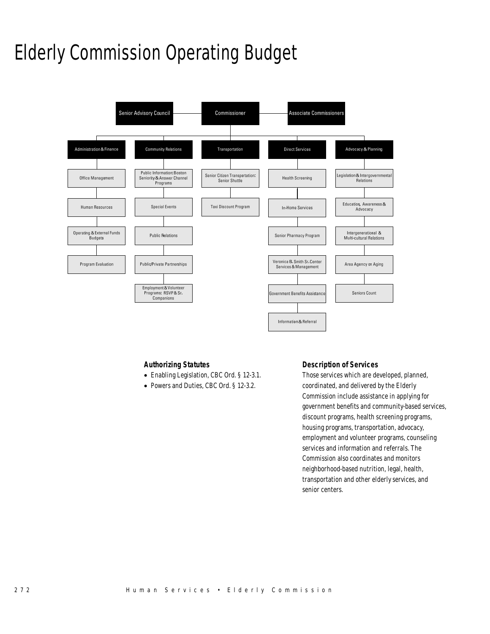# Elderly Commission Operating Budget



### *Authorizing Statutes*

- Enabling Legislation, CBC Ord. § 12-3.1.
- Powers and Duties, CBC Ord. § 12-3.2.

### *Description of Services*

Those services which are developed, planned, coordinated, and delivered by the Elderly Commission include assistance in applying for government benefits and community-based services, discount programs, health screening programs, housing programs, transportation, advocacy, employment and volunteer programs, counseling services and information and referrals. The Commission also coordinates and monitors neighborhood-based nutrition, legal, health, transportation and other elderly services, and senior centers.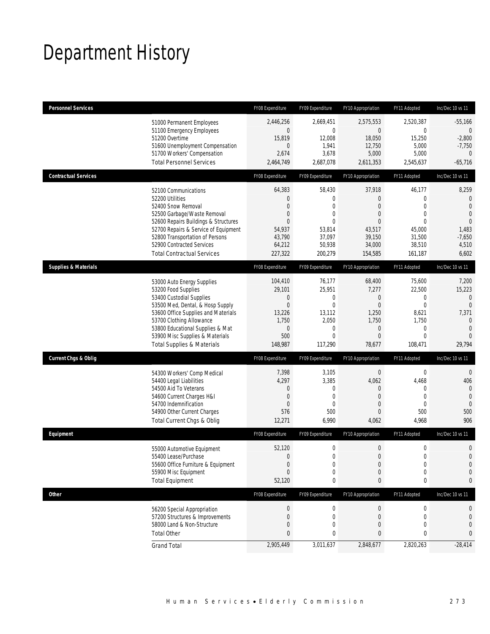# Department History

| <b>Personnel Services</b>       |                                                                                                                                                                                                                                                                                                      | FY08 Expenditure                                                                                        | FY09 Expenditure                                                                                                       | FY10 Appropriation                                                                            | FY11 Adopted                                                                                                    | Inc/Dec 10 vs 11                                                                                               |
|---------------------------------|------------------------------------------------------------------------------------------------------------------------------------------------------------------------------------------------------------------------------------------------------------------------------------------------------|---------------------------------------------------------------------------------------------------------|------------------------------------------------------------------------------------------------------------------------|-----------------------------------------------------------------------------------------------|-----------------------------------------------------------------------------------------------------------------|----------------------------------------------------------------------------------------------------------------|
|                                 | 51000 Permanent Employees<br>51100 Emergency Employees<br>51200 Overtime<br>51600 Unemployment Compensation<br>51700 Workers' Compensation<br><b>Total Personnel Services</b>                                                                                                                        | 2,446,256<br>$\mathbf 0$<br>15,819<br>$\overline{0}$<br>2,674<br>2,464,749                              | 2,669,451<br>$\mathbf 0$<br>12,008<br>1,941<br>3,678<br>2,687,078                                                      | 2,575,553<br>$\mathbf 0$<br>18,050<br>12,750<br>5,000<br>2,611,353                            | 2,520,387<br>$\mathbf 0$<br>15,250<br>5,000<br>5,000<br>2,545,637                                               | $-55,166$<br>$\overline{0}$<br>$-2,800$<br>$-7,750$<br>$\overline{0}$<br>$-65,716$                             |
| <b>Contractual Services</b>     |                                                                                                                                                                                                                                                                                                      | FY08 Expenditure                                                                                        | FY09 Expenditure                                                                                                       | FY10 Appropriation                                                                            | FY11 Adopted                                                                                                    | Inc/Dec 10 vs 11                                                                                               |
|                                 | 52100 Communications<br>52200 Utilities<br>52400 Snow Removal<br>52500 Garbage/Waste Removal<br>52600 Repairs Buildings & Structures<br>52700 Repairs & Service of Equipment<br>52800 Transportation of Persons<br>52900 Contracted Services<br><b>Total Contractual Services</b>                    | 64,383<br>$\mathbf 0$<br>$\overline{0}$<br>0<br>$\overline{0}$<br>54,937<br>43,790<br>64,212<br>227,322 | 58,430<br>$\boldsymbol{0}$<br>$\overline{0}$<br>$\overline{0}$<br>$\mathbf 0$<br>53,814<br>37,097<br>50,938<br>200,279 | 37,918<br>0<br>$\overline{0}$<br>0<br>$\overline{0}$<br>43,517<br>39,150<br>34,000<br>154,585 | 46,177<br>$\mathbf{0}$<br>$\mathbf{0}$<br>$\mathbf{0}$<br>$\mathbf{0}$<br>45,000<br>31,500<br>38,510<br>161,187 | 8,259<br>$\theta$<br>$\mathbf{0}$<br>$\overline{0}$<br>$\mathbf{0}$<br>1,483<br>$-7,650$<br>4,510<br>6,602     |
| <b>Supplies &amp; Materials</b> |                                                                                                                                                                                                                                                                                                      | FY08 Expenditure                                                                                        | FY09 Expenditure                                                                                                       | FY10 Appropriation                                                                            | FY11 Adopted                                                                                                    | Inc/Dec 10 vs 11                                                                                               |
|                                 | 53000 Auto Energy Supplies<br>53200 Food Supplies<br>53400 Custodial Supplies<br>53500 Med, Dental, & Hosp Supply<br>53600 Office Supplies and Materials<br>53700 Clothing Allowance<br>53800 Educational Supplies & Mat<br>53900 Misc Supplies & Materials<br><b>Total Supplies &amp; Materials</b> | 104,410<br>29,101<br>$\mathbf 0$<br>$\mathbf 0$<br>13,226<br>1,750<br>$\mathbf 0$<br>500<br>148,987     | 76,177<br>25,951<br>0<br>$\mathbf 0$<br>13,112<br>2,050<br>$\mathbf{0}$<br>$\Omega$<br>117,290                         | 68,400<br>7,277<br>0<br>$\mathbf 0$<br>1,250<br>1,750<br>0<br>$\overline{0}$<br>78,677        | 75,600<br>22,500<br>0<br>$\overline{0}$<br>8,621<br>1,750<br>$\mathbf{0}$<br>$\mathbf{0}$<br>108,471            | 7,200<br>15,223<br>$\mathbf{0}$<br>$\overline{0}$<br>7,371<br>$\theta$<br>$\overline{0}$<br>$\Omega$<br>29,794 |
| <b>Current Chgs &amp; Oblig</b> |                                                                                                                                                                                                                                                                                                      | FY08 Expenditure                                                                                        | FY09 Expenditure                                                                                                       | FY10 Appropriation                                                                            | FY11 Adopted                                                                                                    | Inc/Dec 10 vs 11                                                                                               |
|                                 | 54300 Workers' Comp Medical<br>54400 Legal Liabilities<br>54500 Aid To Veterans<br>54600 Current Charges H&I<br>54700 Indemnification<br>54900 Other Current Charges<br>Total Current Chgs & Oblig                                                                                                   | 7,398<br>4,297<br>0<br>$\mathbf 0$<br>$\overline{0}$<br>576<br>12,271                                   | 3,105<br>3,385<br>$\mathbf 0$<br>$\mathbf 0$<br>$\mathbf 0$<br>500<br>6,990                                            | $\boldsymbol{0}$<br>4,062<br>0<br>$\overline{0}$<br>0<br>$\mathbf 0$<br>4,062                 | $\mathbf 0$<br>4,468<br>$\mathbf{0}$<br>$\mathbf{0}$<br>$\mathbf{0}$<br>500<br>4,968                            | $\mathbf 0$<br>406<br>$\mathbf{0}$<br>$\overline{0}$<br>$\mathbf 0$<br>500<br>906                              |
| Equipment                       |                                                                                                                                                                                                                                                                                                      | FY08 Expenditure                                                                                        | FY09 Expenditure                                                                                                       | FY10 Appropriation                                                                            | FY11 Adopted                                                                                                    | Inc/Dec 10 vs 11                                                                                               |
|                                 | 55000 Automotive Equipment<br>55400 Lease/Purchase<br>55600 Office Furniture & Equipment<br>55900 Misc Equipment<br><b>Total Equipment</b>                                                                                                                                                           | 52,120<br>$\Omega$<br>$\boldsymbol{0}$<br>$\overline{0}$<br>52,120                                      | 0<br>$\theta$<br>$\boldsymbol{0}$<br>0<br>0                                                                            | 0<br>$\Omega$<br>$\mathbf 0$<br>0<br>0                                                        | $\mathbf 0$<br>$\Omega$<br>$\mathbf 0$<br>$\mathbf 0$<br>0                                                      | $\mathbf 0$<br>$\Omega$<br>$\mathbf 0$<br>$\mathbf 0$<br>0                                                     |
| <b>Other</b>                    |                                                                                                                                                                                                                                                                                                      | FY08 Expenditure                                                                                        | FY09 Expenditure                                                                                                       | FY10 Appropriation                                                                            | FY11 Adopted                                                                                                    | Inc/Dec 10 vs 11                                                                                               |
|                                 | 56200 Special Appropriation<br>57200 Structures & Improvements<br>58000 Land & Non-Structure<br><b>Total Other</b>                                                                                                                                                                                   | $\boldsymbol{0}$<br>0<br>0<br>0                                                                         | 0<br>0<br>0<br>0                                                                                                       | $\pmb{0}$<br>$\mathbf 0$<br>0<br>0                                                            | $\boldsymbol{0}$<br>0<br>$\mathbf{0}$<br>0                                                                      | 0<br>$\mathbf 0$<br>$\mathbf 0$<br>0                                                                           |
|                                 | <b>Grand Total</b>                                                                                                                                                                                                                                                                                   | 2,905,449                                                                                               | 3,011,637                                                                                                              | 2,848,677                                                                                     | 2,820,263                                                                                                       | $-28,414$                                                                                                      |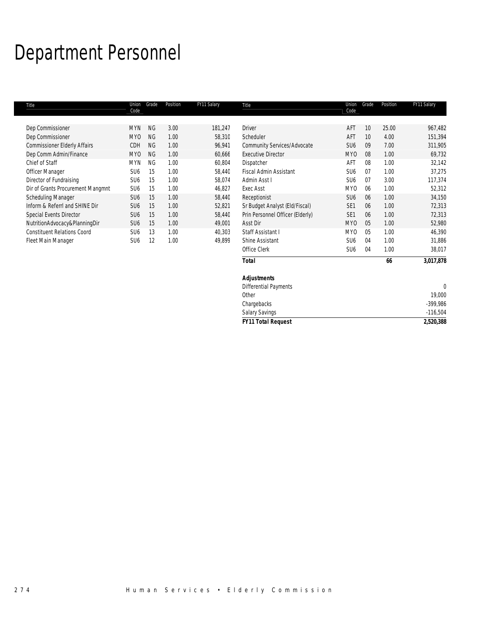# Department Personnel

| Title                               | Union<br>Code   | Grade     | Position | FY11 Salary | Title                            | Union<br>Code   | Grade | Position | FY11 Salary |
|-------------------------------------|-----------------|-----------|----------|-------------|----------------------------------|-----------------|-------|----------|-------------|
|                                     |                 |           |          |             |                                  |                 |       |          |             |
| Dep Commissioner                    | <b>MYN</b>      | <b>NG</b> | 3.00     | 181,247     | <b>Driver</b>                    | AFT             | 10    | 25.00    | 967,482     |
| Dep Commissioner                    | MY0             | <b>NG</b> | 1.00     | 58,310      | Scheduler                        | AFT             | 10    | 4.00     | 151,394     |
| <b>Commissioner Elderly Affairs</b> | CDH             | <b>NG</b> | 1.00     | 96,941      | Community Services/Advocate      | SU <sub>6</sub> | 09    | 7.00     | 311,905     |
| Dep Comm Admin/Finance              | MY0             | <b>NG</b> | 1.00     | 60,666      | <b>Executive Director</b>        | MY <sub>0</sub> | 08    | 1.00     | 69,732      |
| Chief of Staff                      | <b>MYN</b>      | <b>NG</b> | 1.00     | 60,804      | Dispatcher                       | AFT             | 08    | 1.00     | 32,142      |
| Officer Manager                     | SU <sub>6</sub> | 15        | 1.00     | 58.440      | <b>Fiscal Admin Assistant</b>    | SU <sub>6</sub> | 07    | 1.00     | 37,275      |
| Director of Fundraising             | SU <sub>6</sub> | 15        | 1.00     | 58,074      | Admin Asst I                     | SU <sub>6</sub> | 07    | 3.00     | 117,374     |
| Dir of Grants Procurement Mangmnt   | SU <sub>6</sub> | 15        | 1.00     | 46,827      | <b>Exec Asst</b>                 | MY0             | 06    | 1.00     | 52,312      |
| Scheduling Manager                  | SU <sub>6</sub> | 15        | 1.00     | 58,440      | Receptionist                     | SU <sub>6</sub> | 06    | 1.00     | 34,150      |
| Inform & ReferrI and SHINE Dir      | SU <sub>6</sub> | 15        | 1.00     | 52,821      | Sr Budget Analyst (Eld/Fiscal)   | SE <sub>1</sub> | 06    | 1.00     | 72,313      |
| Special Events Director             | SU <sub>6</sub> | 15        | 1.00     | 58,440      | Prin Personnel Officer (Elderly) | SE <sub>1</sub> | 06    | 1.00     | 72,313      |
| NutritionAdvocacy&PlanningDir       | SU <sub>6</sub> | 15        | 1.00     | 49,001      | Asst Dir                         | MY <sub>0</sub> | 05    | 1.00     | 52,980      |
| <b>Constituent Relations Coord</b>  | SU <sub>6</sub> | 13        | 1.00     | 40,303      | Staff Assistant I                | MY <sub>0</sub> | 05    | 1.00     | 46,390      |
| Fleet Main Manager                  | SU <sub>6</sub> | 12        | 1.00     | 49,899      | Shine Assistant                  | SU <sub>6</sub> | 04    | 1.00     | 31,886      |
|                                     |                 |           |          |             | Office Clerk                     | SU <sub>6</sub> | 04    | 1.00     | 38,017      |
|                                     |                 |           |          |             | <b>Total</b>                     |                 |       | 66       | 3,017,878   |

| <b>Total</b>                 | 66          | 3,017,878  |
|------------------------------|-------------|------------|
| <b>Adjustments</b>           |             |            |
| <b>Differential Payments</b> |             |            |
| Other                        |             | 19,000     |
|                              |             | $-399,986$ |
| <b>Salary Savings</b>        |             | $-116,504$ |
| <b>FY11 Total Request</b>    |             | 2,520,388  |
|                              | Chargebacks |            |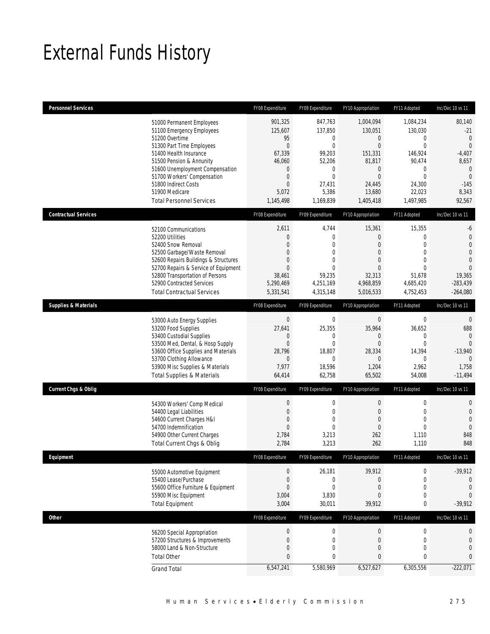# External Funds History

| <b>Personnel Services</b>       |                                                                                                                                                                                                                                                                                                            | FY08 Expenditure                                                                                                                 | FY09 Expenditure                                                                                                           | FY10 Appropriation                                                                                                                        | FY11 Adopted                                                                                                           | Inc/Dec 10 vs 11                                                                                                                 |
|---------------------------------|------------------------------------------------------------------------------------------------------------------------------------------------------------------------------------------------------------------------------------------------------------------------------------------------------------|----------------------------------------------------------------------------------------------------------------------------------|----------------------------------------------------------------------------------------------------------------------------|-------------------------------------------------------------------------------------------------------------------------------------------|------------------------------------------------------------------------------------------------------------------------|----------------------------------------------------------------------------------------------------------------------------------|
|                                 | 51000 Permanent Employees<br>51100 Emergency Employees<br>51200 Overtime<br>51300 Part Time Employees<br>51400 Health Insurance<br>51500 Pension & Annunity<br>51600 Unemployment Compensation<br>51700 Workers' Compensation<br>51800 Indirect Costs<br>51900 Medicare<br><b>Total Personnel Services</b> | 901,325<br>125,607<br>95<br>$\mathbf 0$<br>67,339<br>46,060<br>$\mathbf 0$<br>$\theta$<br>$\boldsymbol{0}$<br>5,072<br>1,145,498 | 847,763<br>137,850<br>0<br>$\mathbf{0}$<br>99,203<br>52,206<br>$\mathbf{0}$<br>$\mathbf 0$<br>27,431<br>5,386<br>1,169,839 | 1,004,094<br>130,051<br>$\mathbf 0$<br>$\mathbf 0$<br>151,331<br>81,817<br>$\mathbf 0$<br>$\overline{0}$<br>24,445<br>13,680<br>1,405,418 | 1,084,234<br>130,030<br>0<br>$\mathbf 0$<br>146,924<br>90,474<br>0<br>$\mathbf 0$<br>24,300<br>22,023<br>1,497,985     | 80,140<br>$-21$<br>$\theta$<br>$\overline{0}$<br>$-4,407$<br>8,657<br>$\mathbf 0$<br>$\overline{0}$<br>$-145$<br>8,343<br>92,567 |
| <b>Contractual Services</b>     |                                                                                                                                                                                                                                                                                                            | FY08 Expenditure                                                                                                                 | FY09 Expenditure                                                                                                           | FY10 Appropriation                                                                                                                        | FY11 Adopted                                                                                                           | Inc/Dec 10 vs 11                                                                                                                 |
|                                 | 52100 Communications<br>52200 Utilities<br>52400 Snow Removal<br>52500 Garbage/Waste Removal<br>52600 Repairs Buildings & Structures<br>52700 Repairs & Service of Equipment<br>52800 Transportation of Persons<br>52900 Contracted Services<br><b>Total Contractual Services</b>                          | 2,611<br>$\mathbf 0$<br>$\overline{0}$<br>$\mathbf 0$<br>$\overline{0}$<br>$\overline{0}$<br>38,461<br>5,290,469<br>5,331,541    | 4,744<br>$\boldsymbol{0}$<br>$\mathbf{0}$<br>$\mathbf{0}$<br>0<br>$\Omega$<br>59,235<br>4,251,169<br>4,315,148             | 15,361<br>$\boldsymbol{0}$<br>0<br>$\overline{0}$<br>$\overline{0}$<br>$\Omega$<br>32,313<br>4,968,859<br>5,016,533                       | 15,355<br>$\mathbf{0}$<br>$\mathbf{0}$<br>$\mathbf{0}$<br>$\mathbf{0}$<br>$\Omega$<br>51,678<br>4,685,420<br>4,752,453 | -6<br>$\mathbf{0}$<br>$\overline{0}$<br>$\overline{0}$<br>$\overline{0}$<br>$\Omega$<br>19,365<br>$-283,439$<br>$-264,080$       |
| <b>Supplies &amp; Materials</b> |                                                                                                                                                                                                                                                                                                            | FY08 Expenditure                                                                                                                 | FY09 Expenditure                                                                                                           | FY10 Appropriation                                                                                                                        | FY11 Adopted                                                                                                           | Inc/Dec 10 vs 11                                                                                                                 |
|                                 | 53000 Auto Energy Supplies<br>53200 Food Supplies<br>53400 Custodial Supplies<br>53500 Med, Dental, & Hosp Supply<br>53600 Office Supplies and Materials<br>53700 Clothing Allowance<br>53900 Misc Supplies & Materials<br><b>Total Supplies &amp; Materials</b>                                           | $\boldsymbol{0}$<br>27,641<br>0<br>$\mathbf 0$<br>28,796<br>$\theta$<br>7,977<br>64,414                                          | $\mathbf 0$<br>25,355<br>0<br>$\mathbf 0$<br>18,807<br>$\mathbf{0}$<br>18,596<br>62,758                                    | $\boldsymbol{0}$<br>35,964<br>0<br>$\mathbf 0$<br>28,334<br>$\theta$<br>1,204<br>65,502                                                   | $\boldsymbol{0}$<br>36,652<br>$\mathbf{0}$<br>$\mathbf 0$<br>14,394<br>$\mathbf 0$<br>2,962<br>54,008                  | $\mathbf{0}$<br>688<br>$\overline{0}$<br>$\mathbf{0}$<br>$-13,940$<br>$\Omega$<br>1,758<br>$-11,494$                             |
| <b>Current Chgs &amp; Oblig</b> |                                                                                                                                                                                                                                                                                                            | FY08 Expenditure                                                                                                                 | FY09 Expenditure                                                                                                           | FY10 Appropriation                                                                                                                        | FY11 Adopted                                                                                                           | Inc/Dec 10 vs 11                                                                                                                 |
|                                 | 54300 Workers' Comp Medical<br>54400 Legal Liabilities<br>54600 Current Charges H&I<br>54700 Indemnification<br>54900 Other Current Charges<br>Total Current Chgs & Oblig                                                                                                                                  | $\boldsymbol{0}$<br>$\mathbf 0$<br>$\boldsymbol{0}$<br>$\overline{0}$<br>2,784<br>2,784                                          | 0<br>$\mathbf 0$<br>$\overline{0}$<br>0<br>3,213<br>3,213                                                                  | $\boldsymbol{0}$<br>$\mathbf 0$<br>$\mathbf{0}$<br>$\overline{0}$<br>262<br>262                                                           | $\mathbf 0$<br>$\mathbf 0$<br>$\mathbf{0}$<br>$\mathbf{0}$<br>1,110<br>1,110                                           | 0<br>$\mathbf 0$<br>$\mathbf 0$<br>$\mathbf 0$<br>848<br>848                                                                     |
| Eauipment                       |                                                                                                                                                                                                                                                                                                            | FY08 Expenditure                                                                                                                 | FY09 Expenditure                                                                                                           | FY10 Appropriation                                                                                                                        | FY11 Adopted                                                                                                           | Inc/Dec 10 vs 11                                                                                                                 |
|                                 | 55000 Automotive Equipment<br>55400 Lease/Purchase<br>55600 Office Furniture & Equipment<br>55900 Misc Equipment<br><b>Total Equipment</b>                                                                                                                                                                 | $\boldsymbol{0}$<br>$\theta$<br>$\overline{0}$<br>3,004<br>3,004                                                                 | 26,181<br>$\mathbf 0$<br>$\overline{0}$<br>3,830<br>30,011                                                                 | 39,912<br>0<br>$\mathbf 0$<br>0<br>39,912                                                                                                 | $\mathbf 0$<br>$\boldsymbol{0}$<br>$\mathbf 0$<br>$\mathbf 0$<br>0                                                     | $-39,912$<br>0<br>$\theta$<br>$\overline{0}$<br>$-39,912$                                                                        |
| <b>Other</b>                    |                                                                                                                                                                                                                                                                                                            | FY08 Expenditure                                                                                                                 | FY09 Expenditure                                                                                                           | FY10 Appropriation                                                                                                                        | FY11 Adopted                                                                                                           | Inc/Dec 10 vs 11                                                                                                                 |
|                                 | 56200 Special Appropriation<br>57200 Structures & Improvements<br>58000 Land & Non-Structure<br><b>Total Other</b><br><b>Grand Total</b>                                                                                                                                                                   | $\boldsymbol{0}$<br>$\boldsymbol{0}$<br>$\boldsymbol{0}$<br>0<br>6,547,241                                                       | $\boldsymbol{0}$<br>$\mathbf 0$<br>$\overline{0}$<br>0<br>5,580,969                                                        | $\boldsymbol{0}$<br>$\mathbf 0$<br>$\mathbf 0$<br>0<br>6,527,627                                                                          | $\boldsymbol{0}$<br>$\mathbf 0$<br>$\mathbf 0$<br>0<br>6,305,556                                                       | $\mathbf 0$<br>$\mathbf 0$<br>$\mathbf 0$<br>$\mathbf{0}$<br>$-222,071$                                                          |
|                                 |                                                                                                                                                                                                                                                                                                            |                                                                                                                                  |                                                                                                                            |                                                                                                                                           |                                                                                                                        |                                                                                                                                  |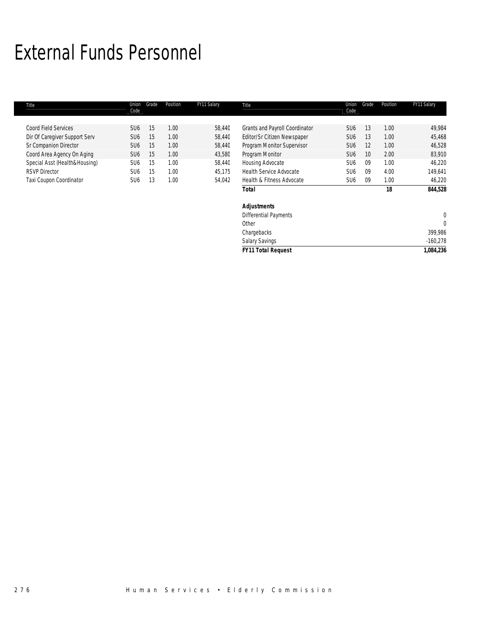# External Funds Personnel

| Title                         | Union<br>Code   | Grade | Position | FY11 Salary | Title                                 | Union<br>Code   | Grade | Position | FY11 Salary  |
|-------------------------------|-----------------|-------|----------|-------------|---------------------------------------|-----------------|-------|----------|--------------|
|                               |                 |       |          |             |                                       |                 |       |          |              |
| <b>Coord Field Services</b>   | SU <sub>6</sub> | 15    | 1.00     | 58,440      | <b>Grants and Payroll Coordinator</b> | SU <sub>6</sub> | 13    | 1.00     | 49,984       |
| Dir Of Caregiver Support Serv | SU <sub>6</sub> | 15    | 1.00     | 58,440      | Editor/Sr Citizen Newspaper           | SU <sub>6</sub> | 13    | 1.00     | 45,468       |
| Sr Companion Director         | SU <sub>6</sub> | 15    | 1.00     | 58,440      | Program Monitor Supervisor            | SU <sub>6</sub> | 12    | 1.00     | 46,528       |
| Coord Area Agency On Aging    | SU <sub>6</sub> | 15    | 1.00     | 43,580      | Program Monitor                       | SU <sub>6</sub> | 10    | 2.00     | 83,910       |
| Special Asst (Health&Housing) | SU <sub>6</sub> | 15    | 1.00     | 58,440      | Housing Advocate                      | SU <sub>6</sub> | 09    | 1.00     | 46,220       |
| <b>RSVP Director</b>          | SU <sub>6</sub> | 15    | 1.00     | 45,175      | <b>Health Service Advocate</b>        | SU <sub>6</sub> | 09    | 4.00     | 149,641      |
| Taxi Coupon Coordinator       | SU <sub>6</sub> | 13    | 1.00     | 54,042      | Health & Fitness Advocate             | SU <sub>6</sub> | 09    | 1.00     | 46,220       |
|                               |                 |       |          |             | <b>Total</b>                          |                 |       | 18       | 844,528      |
|                               |                 |       |          |             | <b>Adjustments</b>                    |                 |       |          |              |
|                               |                 |       |          |             | <b>Differential Payments</b>          |                 |       |          | $\mathbf{0}$ |
|                               |                 |       |          |             | Other                                 |                 |       |          | $\Omega$     |
|                               |                 |       |          |             | Chargebacks                           |                 |       |          | 399,986      |
|                               |                 |       |          |             | <b>Salary Savings</b>                 |                 |       |          | $-160,278$   |
|                               |                 |       |          |             | <b>FY11 Total Request</b>             |                 |       |          | 1,084,236    |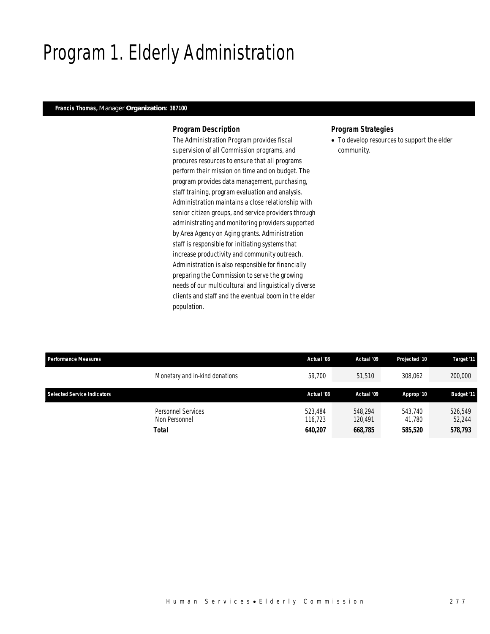# Program 1. Elderly Administration

### *Francis Thomas, Manager Organization: 387100*

### *Program Description*

The Administration Program provides fiscal supervision of all Commission programs, and procures resources to ensure that all programs perform their mission on time and on budget. The program provides data management, purchasing, staff training, program evaluation and analysis. Administration maintains a close relationship with senior citizen groups, and service providers through administrating and monitoring providers supported by Area Agency on Aging grants. Administration staff is responsible for initiating systems that increase productivity and community outreach. Administration is also responsible for financially preparing the Commission to serve the growing needs of our multicultural and linguistically diverse clients and staff and the eventual boom in the elder population.

### *Program Strategies*

• To develop resources to support the elder community.

| <b>Performance Measures</b> |                                            | Actual '08         | Actual '09         | Projected '10     | Target '11        |
|-----------------------------|--------------------------------------------|--------------------|--------------------|-------------------|-------------------|
|                             | Monetary and in-kind donations             | 59.700             | 51,510             | 308.062           | 200,000           |
|                             |                                            |                    |                    |                   |                   |
| Selected Service Indicators |                                            | Actual '08         | Actual '09         | Approp '10        | <b>Budget '11</b> |
|                             | <b>Personnel Services</b><br>Non Personnel | 523,484<br>116.723 | 548.294<br>120.491 | 543.740<br>41.780 | 526.549<br>52,244 |
|                             | <b>Total</b>                               | 640.207            | 668,785            | 585,520           | 578,793           |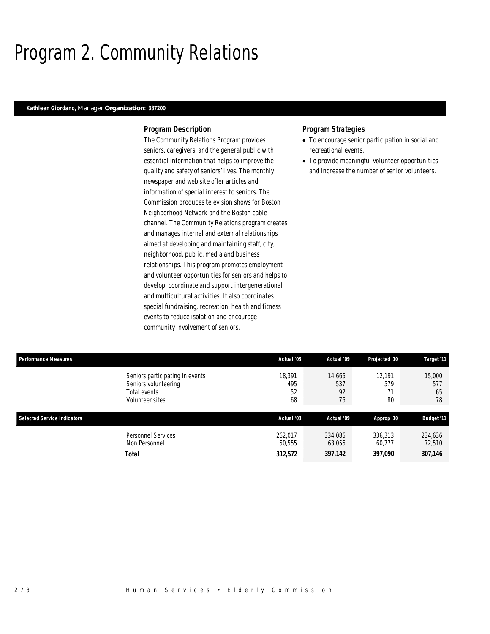# Program 2. Community Relations

#### *Kathleen Giordano, Manager Organization: 387200*

### *Program Description*

The Community Relations Program provides seniors, caregivers, and the general public with essential information that helps to improve the quality and safety of seniors' lives. The monthly newspaper and web site offer articles and information of special interest to seniors. The Commission produces television shows for Boston Neighborhood Network and the Boston cable channel. The Community Relations program creates and manages internal and external relationships aimed at developing and maintaining staff, city, neighborhood, public, media and business relationships. This program promotes employment and volunteer opportunities for seniors and helps to develop, coordinate and support intergenerational and multicultural activities. It also coordinates special fundraising, recreation, health and fitness events to reduce isolation and encourage community involvement of seniors.

### *Program Strategies*

- To encourage senior participation in social and recreational events.
- To provide meaningful volunteer opportunities and increase the number of senior volunteers.

|                           |                           | Projected '10       | Target '11                |
|---------------------------|---------------------------|---------------------|---------------------------|
| 18.391<br>495<br>52<br>68 | 14,666<br>537<br>92<br>76 | 12.191<br>579<br>80 | 15,000<br>577<br>65<br>78 |
|                           |                           |                     |                           |
| Actual '08                | Actual '09                | Approp '10          | <b>Budget '11</b>         |
| 262.017<br>50,555         | 334,086<br>63,056         | 336,313<br>60.777   | 234,636<br>72,510         |
|                           | Actual '08                | Actual '09          |                           |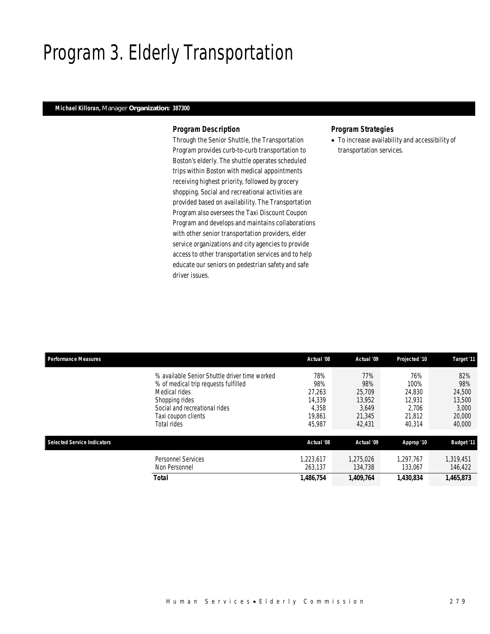# Program 3. Elderly Transportation

## *Michael Killoran, Manager Organization: 387300*

### *Program Description*

Through the Senior Shuttle, the Transportation Program provides curb-to-curb transportation to Boston's elderly. The shuttle operates scheduled trips within Boston with medical appointments receiving highest priority, followed by grocery shopping. Social and recreational activities are provided based on availability. The Transportation Program also oversees the Taxi Discount Coupon Program and develops and maintains collaborations with other senior transportation providers, elder service organizations and city agencies to provide access to other transportation services and to help educate our seniors on pedestrian safety and safe driver issues.

### *Program Strategies*

• To increase availability and accessibility of transportation services.

| <b>Performance Measures</b>        |                                                                                                                                                                                                 | Actual '08                                                  | Actual '09                                                  | Projected '10                                                | Target '11                                                  |
|------------------------------------|-------------------------------------------------------------------------------------------------------------------------------------------------------------------------------------------------|-------------------------------------------------------------|-------------------------------------------------------------|--------------------------------------------------------------|-------------------------------------------------------------|
|                                    | % available Senior Shuttle driver time worked<br>% of medical trip requests fulfilled<br>Medical rides<br>Shopping rides<br>Social and recreational rides<br>Taxi coupon clients<br>Total rides | 78%<br>98%<br>27.263<br>14,339<br>4,358<br>19.861<br>45,987 | 77%<br>98%<br>25,709<br>13,952<br>3.649<br>21,345<br>42,431 | 76%<br>100%<br>24,830<br>12.931<br>2.706<br>21,812<br>40.314 | 82%<br>98%<br>24.500<br>13,500<br>3.000<br>20,000<br>40,000 |
| <b>Selected Service Indicators</b> |                                                                                                                                                                                                 | Actual '08                                                  | Actual '09                                                  | Approp '10                                                   | <b>Budget '11</b>                                           |
|                                    | <b>Personnel Services</b><br>Non Personnel                                                                                                                                                      | 1.223.617<br>263.137                                        | 1.275.026<br>134,738                                        | 1.297.767<br>133,067                                         | 1,319,451<br>146,422                                        |
|                                    | <b>Total</b>                                                                                                                                                                                    | 1,486,754                                                   | 1,409,764                                                   | 1,430,834                                                    | 1,465,873                                                   |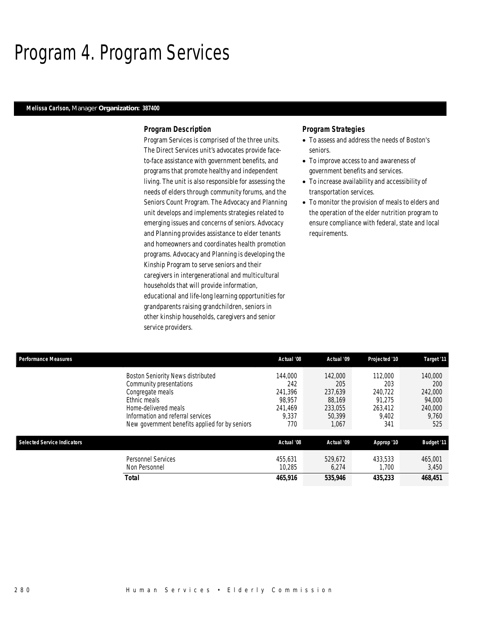## Program 4. Program Services

#### *Melissa Carlson, Manager Organization: 387400*

#### *Program Description*

Program Services is comprised of the three units. The Direct Services unit's advocates provide faceto-face assistance with government benefits, and programs that promote healthy and independent living. The unit is also responsible for assessing the needs of elders through community forums, and the Seniors Count Program. The Advocacy and Planning unit develops and implements strategies related to emerging issues and concerns of seniors. Advocacy and Planning provides assistance to elder tenants and homeowners and coordinates health promotion programs. Advocacy and Planning is developing the Kinship Program to serve seniors and their caregivers in intergenerational and multicultural households that will provide information, educational and life-long learning opportunities for grandparents raising grandchildren, seniors in other kinship households, caregivers and senior service providers.

### *Program Strategies*

- To assess and address the needs of Boston's seniors.
- To improve access to and awareness of government benefits and services.
- To increase availability and accessibility of transportation services.
- To monitor the provision of meals to elders and the operation of the elder nutrition program to ensure compliance with federal, state and local requirements.

| <b>Performance Measures</b>        |                                                | Actual '08 | Actual '09 | Projected '10 | Target '11        |
|------------------------------------|------------------------------------------------|------------|------------|---------------|-------------------|
|                                    | Boston Seniority News distributed              | 144,000    | 142,000    | 112,000       | 140,000           |
|                                    | Community presentations                        | 242        | 205        | 203           | 200               |
|                                    | Congregate meals                               | 241.396    | 237.639    | 240.722       | 242,000           |
|                                    | Ethnic meals                                   | 98.957     | 88.169     | 91.275        | 94,000            |
|                                    | Home-delivered meals                           | 241.469    | 233,055    | 263,412       | 240,000           |
|                                    | Information and referral services              | 9.337      | 50.399     | 9.402         | 9,760             |
|                                    | New government benefits applied for by seniors | 770        | 1,067      | 341           | 525               |
| <b>Selected Service Indicators</b> |                                                | Actual '08 | Actual '09 | Approp '10    | <b>Budget '11</b> |
|                                    | <b>Personnel Services</b>                      | 455.631    | 529.672    | 433.533       | 465.001           |
|                                    | Non Personnel                                  | 10.285     | 6,274      | 1.700         | 3,450             |
|                                    | Total                                          | 465,916    | 535,946    | 435,233       | 468,451           |
|                                    |                                                |            |            |               |                   |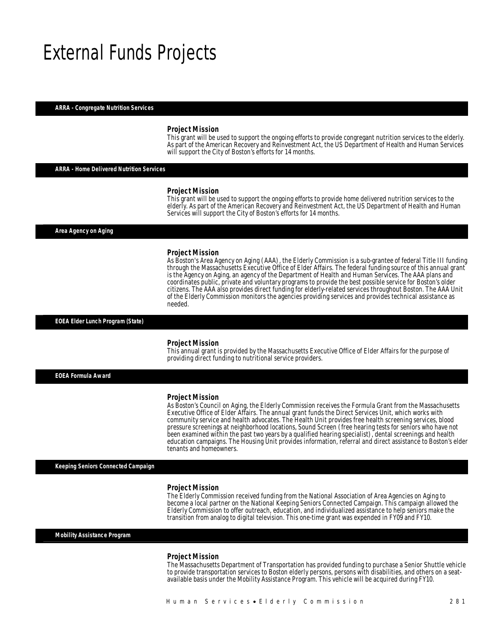## External Funds Projects

#### *ARRA - Congregate Nutrition Services*

#### *Project Mission*

This grant will be used to support the ongoing efforts to provide congregant nutrition services to the elderly. As part of the American Recovery and Reinvestment Act, the US Department of Health and Human Services will support the City of Boston's efforts for 14 months.

#### *ARRA - Home Delivered Nutrition Services*

#### *Project Mission*

This grant will be used to support the ongoing efforts to provide home delivered nutrition services to the elderly. As part of the American Recovery and Reinvestment Act, the US Department of Health and Human Services will support the City of Boston's efforts for 14 months.

*Area Agency on Aging* 

#### *Project Mission*

As Boston's Area Agency on Aging (AAA), the Elderly Commission is a sub-grantee of federal Title III funding through the Massachusetts Executive Office of Elder Affairs. The federal funding source of this annual grant is the Agency on Aging, an agency of the Department of Health and Human Services. The AAA plans and coordinates public, private and voluntary programs to provide the best possible service for Boston's older citizens. The AAA also provides direct funding for elderly-related services throughout Boston. The AAA Unit of the Elderly Commission monitors the agencies providing services and provides technical assistance as needed. 

#### *EOEA Elder Lunch Program (State)*

#### *Project Mission*

Î

This annual grant is provided by the Massachusetts Executive Office of Elder Affairs for the purpose of providing direct funding to nutritional service providers.

*EOEA Formula Award* 

#### *Project Mission*

As Boston's Council on Aging, the Elderly Commission receives the Formula Grant from the Massachusetts Executive Office of Elder Affairs. The annual grant funds the Direct Services Unit, which works with community service and health advocates. The Health Unit provides free health screening services, blood pressure screenings at neighborhood locations, Sound Screen (free hearing tests for seniors who have not been examined within the past two years by a qualified hearing specialist), dental screenings and health education campaigns. The Housing Unit provides information, referral and direct assistance to Boston's elder tenants and homeowners.

*Keeping Seniors Connected Campaign* 

#### *Project Mission*

The Elderly Commission received funding from the National Association of Area Agencies on Aging to become a local partner on the National Keeping Seniors Connected Campaign. This campaign allowed the Elderly Commission to offer outreach, education, and individualized assistance to help seniors make the transition from analog to digital television. This one-time grant was expended in FY09 and FY10.

*Mobility Assistance Program* 

#### *Project Mission*

The Massachusetts Department of Transportation has provided funding to purchase a Senior Shuttle vehicle to provide transportation services to Boston elderly persons, persons with disabilities, and others on a seatavailable basis under the Mobility Assistance Program. This vehicle will be acquired during FY10.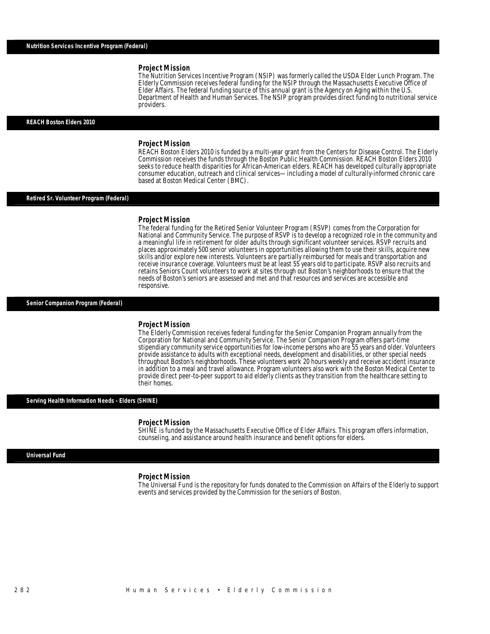#### *Project Mission*

The Nutrition Services Incentive Program (NSIP) was formerly called the USDA Elder Lunch Program. The Elderly Commission receives federal funding for the NSIP through the Massachusetts Executive Office of Elder Affairs. The federal funding source of this annual grant is the Agency on Aging within the U.S. Department of Health and Human Services. The NSIP program provides direct funding to nutritional service providers. Î

#### *REACH Boston Elders 2010*

#### *Project Mission*

REACH Boston Elders 2010 is funded by a multi-year grant from the Centers for Disease Control. The Elderly Commission receives the funds through the Boston Public Health Commission. REACH Boston Elders 2010 seeks to reduce health disparities for African-American elders. REACH has developed culturally appropriate consumer education, outreach and clinical services—including a model of culturally-informed chronic care based at Boston Medical Center (BMC).

#### *Retired Sr. Volunteer Program (Federal)*

#### *Project Mission*

The federal funding for the Retired Senior Volunteer Program (RSVP) comes from the Corporation for National and Community Service. The purpose of RSVP is to develop a recognized role in the community and a meaningful life in retirement for older adults through significant volunteer services. RSVP recruits and places approximately 500 senior volunteers in opportunities allowing them to use their skills, acquire new skills and/or explore new interests. Volunteers are partially reimbursed for meals and transportation and receive insurance coverage. Volunteers must be at least 55 years old to participate. RSVP also recruits and retains Seniors Count volunteers to work at sites through out Boston's neighborhoods to ensure that the needs of Boston's seniors are assessed and met and that resources and services are accessible and responsive.

#### *Senior Companion Program (Federal)*

#### *Project Mission*

The Elderly Commission receives federal funding for the Senior Companion Program annually from the Corporation for National and Community Service. The Senior Companion Program offers part-time stipendiary community service opportunities for low-income persons who are 55 years and older. Volunteers provide assistance to adults with exceptional needs, development and disabilities, or other special needs throughout Boston's neighborhoods. These volunteers work 20 hours weekly and receive accident insurance in addition to a meal and travel allowance. Program volunteers also work with the Boston Medical Center to provide direct peer-to-peer support to aid elderly clients as they transition from the healthcare setting to their homes.

#### *Serving Health Information Needs - Elders (SHINE)*

#### *Project Mission*

SHINE is funded by the Massachusetts Executive Office of Elder Affairs. This program offers information, counseling, and assistance around health insurance and benefit options for elders.

#### *Universal Fund*

#### *Project Mission*

The Universal Fund is the repository for funds donated to the Commission on Affairs of the Elderly to support events and services provided by the Commission for the seniors of Boston.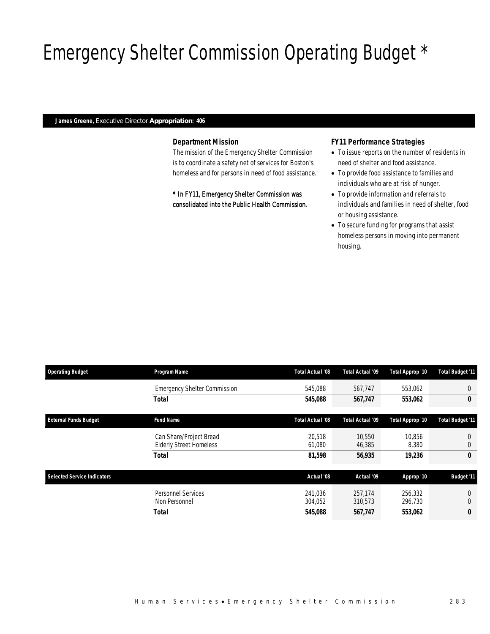# Emergency Shelter Commission Operating Budget \*

#### *James Greene, Executive Director Appropriation: 406*

## *Department Mission*

The mission of the Emergency Shelter Commission is to coordinate a safety net of services for Boston's homeless and for persons in need of food assistance.

\* In FY11, Emergency Shelter Commission was consolidated into the Public Health Commission.

### *FY11 Performance Strategies*

- To issue reports on the number of residents in need of shelter and food assistance.
- To provide food assistance to families and individuals who are at risk of hunger.
- To provide information and referrals to individuals and families in need of shelter, food or housing assistance.
- To secure funding for programs that assist homeless persons in moving into permanent housing.

| <b>Operating Budget</b>            | Program Name                                              | Total Actual '08   | Total Actual '09   | Total Approp '10   | <b>Total Budget '11</b> |
|------------------------------------|-----------------------------------------------------------|--------------------|--------------------|--------------------|-------------------------|
|                                    | <b>Emergency Shelter Commission</b>                       | 545,088            | 567,747            | 553,062            | 0                       |
|                                    | Total                                                     | 545,088            | 567,747            | 553,062            | 0                       |
| <b>External Funds Budget</b>       | <b>Fund Name</b>                                          | Total Actual '08   | Total Actual '09   | Total Approp '10   | <b>Total Budget '11</b> |
|                                    | Can Share/Project Bread<br><b>Elderly Street Homeless</b> | 20.518<br>61,080   | 10.550<br>46,385   | 10.856<br>8,380    | 0                       |
|                                    | Total                                                     | 81,598             | 56,935             | 19,236             | 0                       |
| <b>Selected Service Indicators</b> |                                                           | Actual '08         | Actual '09         | Approp '10         | <b>Budget '11</b>       |
|                                    | Personnel Services<br>Non Personnel                       | 241.036<br>304,052 | 257.174<br>310,573 | 256,332<br>296,730 | 0                       |
|                                    | Total                                                     | 545,088            | 567,747            | 553,062            | 0                       |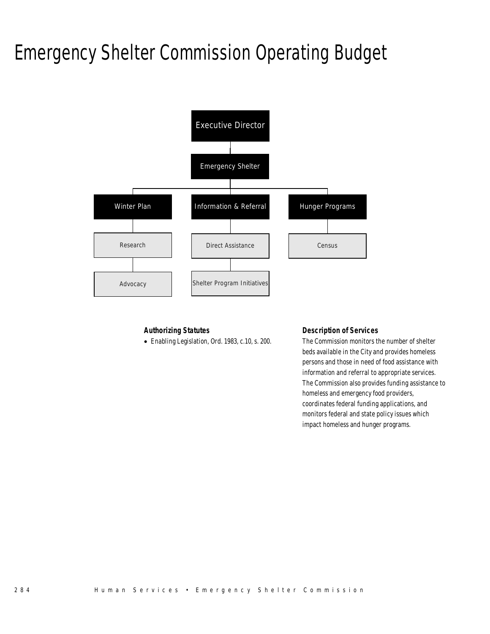# Emergency Shelter Commission Operating Budget



## *Authorizing Statutes*

• Enabling Legislation, Ord. 1983, c.10, s. 200.

## *Description of Services*

The Commission monitors the number of shelter beds available in the City and provides homeless persons and those in need of food assistance with information and referral to appropriate services. The Commission also provides funding assistance to homeless and emergency food providers, coordinates federal funding applications, and monitors federal and state policy issues which impact homeless and hunger programs.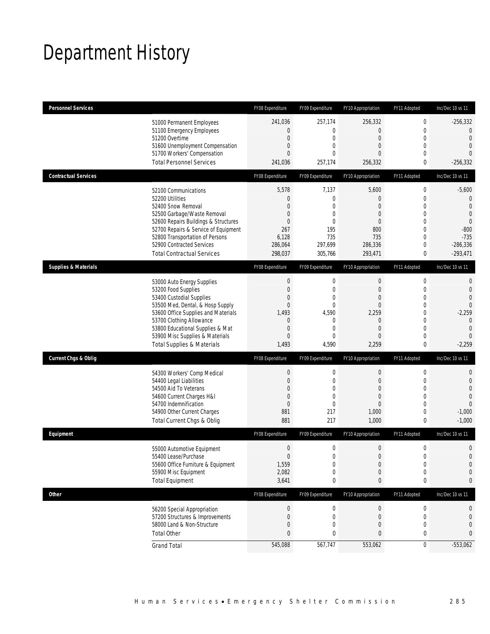# Department History

| <b>Personnel Services</b>       |                                                              | FY08 Expenditure              | FY09 Expenditure            | FY10 Appropriation               | FY11 Adopted                | Inc/Dec 10 vs 11                 |
|---------------------------------|--------------------------------------------------------------|-------------------------------|-----------------------------|----------------------------------|-----------------------------|----------------------------------|
|                                 | 51000 Permanent Employees                                    | 241,036                       | 257,174                     | 256,332                          | $\boldsymbol{0}$            | $-256,332$                       |
|                                 | 51100 Emergency Employees                                    | 0                             | $\mathbf{0}$                | $\mathbf 0$                      | $\mathbf 0$                 | $\overline{0}$                   |
|                                 | 51200 Overtime<br>51600 Unemployment Compensation            | $\mathbf 0$<br>$\overline{0}$ | $\mathbf 0$<br>$\mathbf 0$  | $\boldsymbol{0}$<br>$\mathbf{0}$ | $\mathbf 0$<br>$\mathbf{0}$ | $\overline{0}$<br>$\overline{0}$ |
|                                 | 51700 Workers' Compensation                                  | $\overline{0}$                | $\Omega$                    | 0                                | $\mathbf{0}$                | $\Omega$                         |
|                                 | <b>Total Personnel Services</b>                              | 241,036                       | 257,174                     | 256,332                          | 0                           | $-256,332$                       |
| <b>Contractual Services</b>     |                                                              | FY08 Expenditure              | FY09 Expenditure            | FY10 Appropriation               | FY11 Adopted                | Inc/Dec 10 vs 11                 |
|                                 | 52100 Communications                                         | 5,578                         | 7,137                       | 5,600                            | $\boldsymbol{0}$            | $-5,600$                         |
|                                 | 52200 Utilities                                              | 0                             | $\mathbf 0$                 | $\boldsymbol{0}$                 | $\mathbf 0$                 | $\mathbf 0$                      |
|                                 | 52400 Snow Removal                                           | $\Omega$                      | $\mathbf{0}$                | $\overline{0}$                   | $\mathbf{0}$                | $\mathbf{0}$                     |
|                                 | 52500 Garbage/Waste Removal                                  | 0                             | $\mathbf 0$                 | $\mathbf{0}$                     | $\mathbf 0$                 | $\overline{0}$                   |
|                                 | 52600 Repairs Buildings & Structures                         | $\overline{0}$                | $\mathbf{0}$                | $\mathbf{0}$                     | $\mathbf{0}$                | $\theta$                         |
|                                 | 52700 Repairs & Service of Equipment                         | 267<br>6,128                  | 195<br>735                  | 800<br>735                       | $\mathbf 0$<br>$\mathbf 0$  | $-800$<br>$-735$                 |
|                                 | 52800 Transportation of Persons<br>52900 Contracted Services | 286,064                       | 297,699                     | 286,336                          | $\mathbf 0$                 | $-286,336$                       |
|                                 | <b>Total Contractual Services</b>                            | 298,037                       | 305,766                     | 293,471                          | $\bf{0}$                    | $-293,471$                       |
| <b>Supplies &amp; Materials</b> |                                                              | FY08 Expenditure              | FY09 Expenditure            | FY10 Appropriation               | FY11 Adopted                | Inc/Dec 10 vs 11                 |
|                                 |                                                              | $\boldsymbol{0}$              | $\boldsymbol{0}$            | $\boldsymbol{0}$                 | $\boldsymbol{0}$            | $\mathbf{0}$                     |
|                                 | 53000 Auto Energy Supplies<br>53200 Food Supplies            | $\mathbf 0$                   | $\mathbf 0$                 | $\boldsymbol{0}$                 | $\mathbf 0$                 | $\mathbf{0}$                     |
|                                 | 53400 Custodial Supplies                                     | $\overline{0}$                | $\mathbf 0$                 | $\mathbf{0}$                     | $\mathbf{0}$                | $\overline{0}$                   |
|                                 | 53500 Med, Dental, & Hosp Supply                             | $\overline{0}$                | $\mathbf{0}$                | $\boldsymbol{0}$                 | $\mathbf 0$                 | $\Omega$                         |
|                                 | 53600 Office Supplies and Materials                          | 1,493                         | 4,590                       | 2,259                            | $\mathbf{0}$                | $-2,259$                         |
|                                 | 53700 Clothing Allowance                                     | 0                             | $\mathbf 0$                 | $\mathbf 0$                      | $\mathbf 0$                 | $\mathbf{0}$                     |
|                                 | 53800 Educational Supplies & Mat                             | 0                             | $\mathbf 0$                 | $\mathbf{0}$                     | $\mathbf{0}$                | $\overline{0}$                   |
|                                 | 53900 Misc Supplies & Materials                              | $\overline{0}$                | $\mathbf{0}$                | $\mathbf{0}$                     | $\mathbf{0}$                | $\overline{0}$                   |
|                                 | <b>Total Supplies &amp; Materials</b>                        | 1,493                         | 4,590                       | 2,259                            | $\bf{0}$                    | $-2,259$                         |
| <b>Current Chgs &amp; Oblig</b> |                                                              | FY08 Expenditure              | FY09 Expenditure            | FY10 Appropriation               | FY11 Adopted                | Inc/Dec 10 vs 11                 |
|                                 | 54300 Workers' Comp Medical                                  | $\boldsymbol{0}$              | $\boldsymbol{0}$            | $\boldsymbol{0}$                 | $\boldsymbol{0}$            | $\mathbf{0}$                     |
|                                 | 54400 Legal Liabilities                                      | 0                             | $\mathbf 0$                 | $\boldsymbol{0}$                 | $\mathbf 0$                 | $\mathbf 0$                      |
|                                 | 54500 Aid To Veterans                                        | $\mathbf{0}$                  | $\mathbf 0$                 | $\mathbf{0}$                     | $\mathbf{0}$                | $\overline{0}$                   |
|                                 | 54600 Current Charges H&I<br>54700 Indemnification           | $\mathbf 0$<br>$\mathbf 0$    | $\mathbf 0$<br>$\mathbf{0}$ | 0<br>$\mathbf{0}$                | $\mathbf 0$<br>$\mathbf{0}$ | $\overline{0}$<br>$\overline{0}$ |
|                                 | 54900 Other Current Charges                                  | 881                           | 217                         | 1,000                            | $\mathbf 0$                 | $-1,000$                         |
|                                 | Total Current Chgs & Oblig                                   | 881                           | 217                         | 1,000                            | $\mathbf 0$                 | $-1,000$                         |
| Equipment                       |                                                              | FY08 Expenditure              | FY09 Expenditure            | FY10 Appropriation               | FY11 Adopted                | Inc/Dec 10 vs 11                 |
|                                 | 55000 Automotive Equipment                                   | $\mathbf 0$                   | $\mathbf 0$                 | $\mathbf 0$                      | $\mathbf 0$                 | $\mathbf 0$                      |
|                                 | 55400 Lease/Purchase                                         | $\overline{0}$                | $\Omega$                    | $\overline{0}$                   | $\mathbf 0$                 | $\overline{0}$                   |
|                                 | 55600 Office Furniture & Equipment                           | 1,559                         | $\boldsymbol{0}$            | 0                                | $\mathbf 0$                 | $\mathbf 0$                      |
|                                 | 55900 Misc Equipment                                         | 2,082                         | $\mathbf 0$                 | 0                                | $\mathbf 0$                 | $\mathbf 0$                      |
|                                 | <b>Total Equipment</b>                                       | 3,641                         | 0                           | 0                                | 0                           | 0                                |
| <b>Other</b>                    |                                                              | FY08 Expenditure              | FY09 Expenditure            | FY10 Appropriation               | FY11 Adopted                | Inc/Dec 10 vs 11                 |
|                                 | 56200 Special Appropriation                                  | $\boldsymbol{0}$              | 0                           | $\pmb{0}$                        | 0                           | 0                                |
|                                 | 57200 Structures & Improvements                              | 0                             | 0                           | 0                                | $\boldsymbol{0}$            | 0                                |
|                                 | 58000 Land & Non-Structure                                   | 0                             | $\mathbf 0$                 | 0                                | $\mathbf 0$                 | 0                                |
|                                 | <b>Total Other</b>                                           | 0                             | 0                           | $\boldsymbol{0}$                 | 0                           | 0                                |
|                                 | <b>Grand Total</b>                                           | 545,088                       | 567,747                     | 553,062                          | $\boldsymbol{0}$            | $-553,062$                       |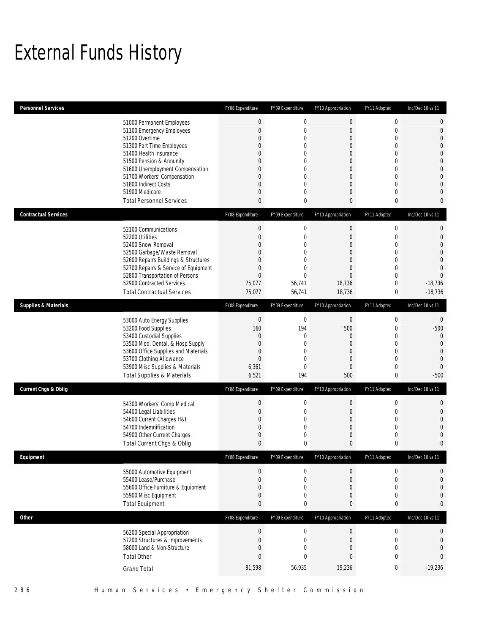# External Funds History

| <b>Personnel Services</b>                                                    | FY08 Expenditure                   | FY09 Expenditure                     | FY10 Appropriation              | FY11 Adopted                    | Inc/Dec 10 vs 11                 |
|------------------------------------------------------------------------------|------------------------------------|--------------------------------------|---------------------------------|---------------------------------|----------------------------------|
| 51000 Permanent Employees<br>51100 Emergency Employees                       | $\boldsymbol{0}$<br>$\overline{0}$ | 0<br>$\mathbf{0}$                    | $\boldsymbol{0}$<br>$\mathbf 0$ | $\boldsymbol{0}$<br>$\mathbf 0$ | $\mathbf 0$<br>$\mathbf{0}$      |
| 51200 Overtime                                                               | 0                                  | $\mathbf 0$                          | 0                               | $\mathbf{0}$                    | $\mathbf 0$                      |
| 51300 Part Time Employees                                                    | $\overline{0}$                     | 0                                    | 0                               | $\mathbf{0}$                    | $\overline{0}$                   |
| 51400 Health Insurance                                                       | 0<br>$\Omega$                      | $\mathbf 0$                          | $\mathbf 0$                     | $\mathbf{0}$<br>$\mathbf{0}$    | $\mathbf 0$<br>$\overline{0}$    |
| 51500 Pension & Annunity<br>51600 Unemployment Compensation                  | 0                                  | 0<br>$\mathbf 0$                     | 0<br>0                          | $\mathbf 0$                     | $\overline{0}$                   |
| 51700 Workers' Compensation                                                  | 0                                  | $\overline{0}$                       | 0                               | $\mathbf{0}$                    | $\mathbf 0$                      |
| 51800 Indirect Costs                                                         | $\overline{0}$                     | $\mathbf{0}$                         | 0                               | $\mathbf 0$                     | $\overline{0}$                   |
| 51900 Medicare                                                               | 0                                  | $\mathbf 0$                          | 0                               | $\mathbf{0}$                    | $\overline{0}$                   |
| <b>Total Personnel Services</b>                                              | 0                                  | 0                                    | 0                               | 0                               | $\mathbf{0}$                     |
| <b>Contractual Services</b>                                                  | FY08 Expenditure                   | FY09 Expenditure                     | FY10 Appropriation              | FY11 Adopted                    | Inc/Dec 10 vs 11                 |
| 52100 Communications                                                         | $\mathbf 0$                        | 0                                    | $\boldsymbol{0}$                | $\boldsymbol{0}$                | 0                                |
| 52200 Utilities                                                              | 0                                  | 0                                    | 0                               | $\mathbf 0$                     | $\mathbf{0}$                     |
| 52400 Snow Removal                                                           | 0                                  | $\mathbf 0$                          | $\mathbf 0$                     | $\mathbf 0$                     | $\mathbf 0$                      |
| 52500 Garbage/Waste Removal                                                  | $\Omega$<br>$\Omega$               | 0                                    | 0                               | $\mathbf{0}$<br>$\mathbf{0}$    | $\overline{0}$<br>$\overline{0}$ |
| 52600 Repairs Buildings & Structures<br>52700 Repairs & Service of Equipment | $\overline{0}$                     | 0<br>$\mathbf 0$                     | 0<br>$\overline{0}$             | $\mathbf{0}$                    | $\overline{0}$                   |
| 52800 Transportation of Persons                                              | $\overline{0}$                     | $\mathbf 0$                          | $\overline{0}$                  | $\mathbf 0$                     | $\Omega$                         |
| 52900 Contracted Services                                                    | 75,077                             | 56,741                               | 18,736                          | $\mathbf 0$                     | $-18,736$                        |
| <b>Total Contractual Services</b>                                            | 75,077                             | 56,741                               | 18,736                          | 0                               | $-18.736$                        |
| <b>Supplies &amp; Materials</b>                                              | FY08 Expenditure                   | FY09 Expenditure                     | FY10 Appropriation              | FY11 Adopted                    | Inc/Dec 10 vs 11                 |
| 53000 Auto Energy Supplies                                                   | $\mathbf{0}$                       | $\boldsymbol{0}$                     | $\mathbf 0$                     | 0                               | 0                                |
| 53200 Food Supplies                                                          | 160                                | 194                                  | 500                             | $\mathbf 0$                     | $-500$                           |
| 53400 Custodial Supplies                                                     | 0                                  | 0                                    | 0                               | $\mathbf 0$                     | $\mathbf 0$                      |
| 53500 Med, Dental, & Hosp Supply                                             | $\overline{0}$                     | 0                                    | 0                               | $\mathbf{0}$                    | $\overline{0}$                   |
| 53600 Office Supplies and Materials                                          | $\overline{0}$                     | 0                                    | $\mathbf{0}$                    | $\mathbf{0}$                    | $\overline{0}$                   |
| 53700 Clothing Allowance<br>53900 Misc Supplies & Materials                  | $\overline{0}$<br>6,361            | $\mathbf{0}$<br>$\mathbf 0$          | $\overline{0}$<br>$\mathbf 0$   | $\mathbf{0}$<br>$\mathbf 0$     | $\overline{0}$<br>$\overline{0}$ |
| <b>Total Supplies &amp; Materials</b>                                        | 6,521                              | 194                                  | 500                             | $\bf{0}$                        | $-500$                           |
|                                                                              |                                    |                                      |                                 |                                 |                                  |
|                                                                              |                                    |                                      |                                 |                                 |                                  |
| <b>Current Chgs &amp; Oblig</b>                                              | FY08 Expenditure                   | FY09 Expenditure                     | FY10 Appropriation              | FY11 Adopted                    | Inc/Dec 10 vs 11                 |
| 54300 Workers' Comp Medical                                                  | $\mathbf 0$                        | $\boldsymbol{0}$                     | $\overline{0}$                  | $\boldsymbol{0}$                | $\mathbf 0$                      |
| 54400 Legal Liabilities                                                      | $\overline{0}$                     | $\boldsymbol{0}$                     | $\mathbf 0$                     | $\mathbf 0$                     | $\overline{0}$                   |
| 54600 Current Charges H&I                                                    | 0                                  | 0                                    | 0                               | $\mathbf 0$                     | $\overline{0}$                   |
| 54700 Indemnification                                                        | 0                                  | $\boldsymbol{0}$                     | $\mathbf 0$                     | $\mathbf 0$                     | $\mathbf{0}$                     |
| 54900 Other Current Charges<br>Total Current Chgs & Oblig                    | 0<br>0                             | 0<br>0                               | 0<br>0                          | $\mathbf 0$<br>0                | $\overline{0}$<br>0              |
|                                                                              | r Yu8 Expenaiture                  | FYUY EXpenditure                     | FYTO Appropriation              | FY I I Ааортеа                  | INC/DEC IN AS II                 |
| <i><b>Equipment</b></i>                                                      |                                    |                                      |                                 |                                 |                                  |
| 55000 Automotive Equipment                                                   | 0                                  | $\boldsymbol{0}$                     | $\pmb{0}$                       | $\boldsymbol{0}$                | $\mathbf 0$                      |
| 55400 Lease/Purchase                                                         | 0                                  | $\boldsymbol{0}$                     | $\mathbf 0$                     | $\boldsymbol{0}$                | $\boldsymbol{0}$                 |
| 55600 Office Furniture & Equipment                                           | 0                                  | $\boldsymbol{0}$                     | 0                               | $\boldsymbol{0}$                | $\mathbf 0$                      |
| 55900 Misc Equipment<br><b>Total Equipment</b>                               | 0<br>0                             | 0<br>0                               | 0<br>0                          | $\mathbf 0$<br>0                | $\mathbf 0$<br>0                 |
| <b>Other</b>                                                                 | FY08 Expenditure                   | FY09 Expenditure                     | FY10 Appropriation              | FY11 Adopted                    | Inc/Dec 10 vs 11                 |
|                                                                              |                                    |                                      |                                 |                                 |                                  |
| 56200 Special Appropriation                                                  | $\theta$                           | 0                                    | $\pmb{0}$                       | 0                               | 0                                |
| 57200 Structures & Improvements                                              | 0<br>$\mathbf 0$                   | $\boldsymbol{0}$<br>$\boldsymbol{0}$ | $\boldsymbol{0}$<br>0           | $\boldsymbol{0}$<br>$\mathbf 0$ | $\mathbf 0$<br>$\mathbf 0$       |
| 58000 Land & Non-Structure<br><b>Total Other</b>                             | $\overline{0}$                     | $\pmb{0}$                            | 0                               | $\pmb{0}$                       | $\bf{0}$                         |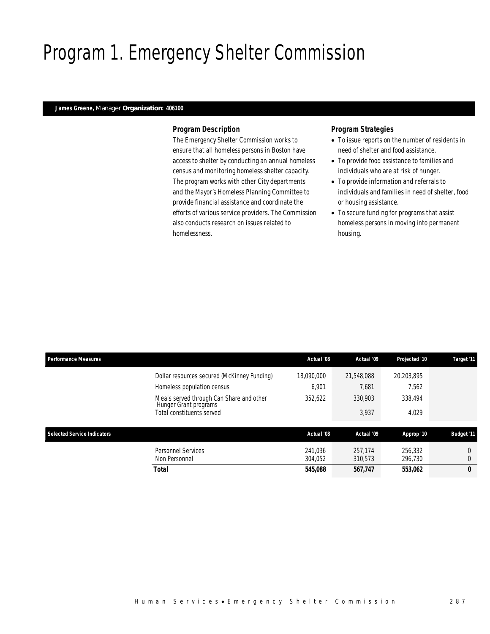# Program 1. Emergency Shelter Commission

### *James Greene, Manager Organization: 406100*

### *Program Description*

The Emergency Shelter Commission works to ensure that all homeless persons in Boston have access to shelter by conducting an annual homeless census and monitoring homeless shelter capacity. The program works with other City departments and the Mayor's Homeless Planning Committee to provide financial assistance and coordinate the efforts of various service providers. The Commission also conducts research on issues related to homelessness.

### *Program Strategies*

- To issue reports on the number of residents in need of shelter and food assistance.
- To provide food assistance to families and individuals who are at risk of hunger.
- To provide information and referrals to individuals and families in need of shelter, food or housing assistance.
- To secure funding for programs that assist homeless persons in moving into permanent housing.

| <b>Performance Measures</b> |                                                                   | Actual '08         | Actual '09         | Projected '10      | Target '11        |
|-----------------------------|-------------------------------------------------------------------|--------------------|--------------------|--------------------|-------------------|
|                             | Dollar resources secured (McKinney Funding)                       | 18.090.000         | 21.548.088         | 20.203.895         |                   |
|                             | Homeless population census                                        | 6.901              | 7,681              | 7.562              |                   |
|                             | Meals served through Can Share and other<br>Hunger Grant programs | 352.622            | 330.903            | 338.494            |                   |
|                             | Total constituents served                                         |                    | 3,937              | 4.029              |                   |
| Selected Service Indicators |                                                                   | Actual '08         | Actual '09         | Approp '10         | <b>Budget '11</b> |
| Non Personnel               | <b>Personnel Services</b>                                         | 241.036<br>304.052 | 257.174<br>310.573 | 256.332<br>296.730 | 0<br>$\theta$     |
| Total                       |                                                                   | 545,088            | 567.747            | 553,062            | 0                 |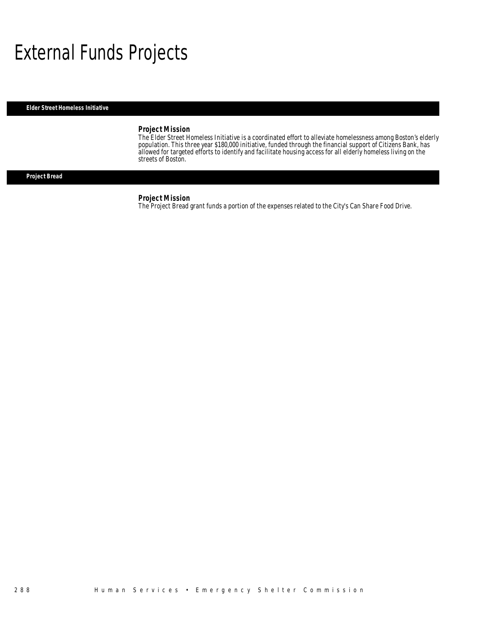# External Funds Projects

*Elder Street Homeless Initiative* 

### *Project Mission*

The Elder Street Homeless Initiative is a coordinated effort to alleviate homelessness among Boston's elderly population. This three year \$180,000 initiative, funded through the financial support of Citizens Bank, has allowed for targeted efforts to identify and facilitate housing access for all elderly homeless living on the streets of Boston.

## *Project Bread*

#### *Project Mission*

The Project Bread grant funds a portion of the expenses related to the City's Can Share Food Drive.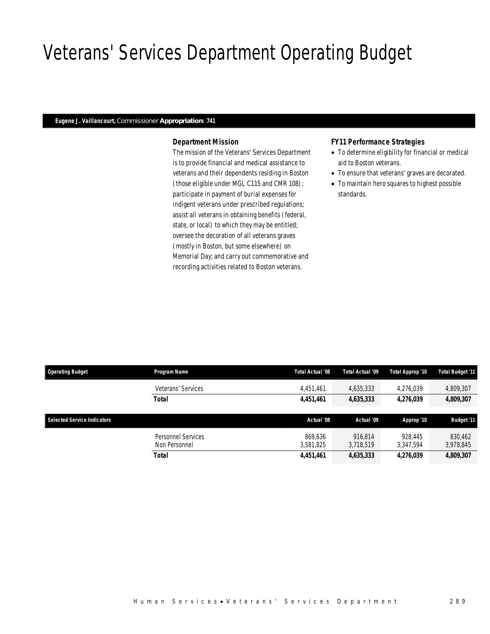# Veterans' Services Department Operating Budget

### *Eugene J. Vaillancourt, Commissioner Appropriation: 741*

### *Department Mission*

The mission of the Veterans' Services Department is to provide financial and medical assistance to veterans and their dependents residing in Boston (those eligible under MGL C115 and CMR 108); participate in payment of burial expenses for indigent veterans under prescribed regulations; assist all veterans in obtaining benefits (federal, state, or local) to which they may be entitled; oversee the decoration of all veterans graves (mostly in Boston, but some elsewhere) on Memorial Day; and carry out commemorative and recording activities related to Boston veterans.

#### *FY11 Performance Strategies*

- To determine eligibility for financial or medical aid to Boston veterans.
- To ensure that veterans' graves are decorated.
- To maintain hero squares to highest possible standards.

| <b>Operating Budget</b>            | Program Name                        | Total Actual '08     | Total Actual '09     | Total Approp '10     | <b>Total Budget '11</b> |
|------------------------------------|-------------------------------------|----------------------|----------------------|----------------------|-------------------------|
|                                    | Veterans' Services                  | 4,451,461            | 4,635,333            | 4,276,039            | 4,809,307               |
|                                    | <b>Total</b>                        | 4,451,461            | 4,635,333            | 4,276,039            | 4,809,307               |
| <b>Selected Service Indicators</b> |                                     | Actual '08           | Actual '09           | Approp '10           | <b>Budget '11</b>       |
|                                    | Personnel Services<br>Non Personnel | 869.636<br>3.581.825 | 916.814<br>3.718.519 | 928.445<br>3.347.594 | 830.462<br>3,978,845    |
|                                    | <b>Total</b>                        | 4,451,461            | 4,635,333            | 4,276,039            | 4,809,307               |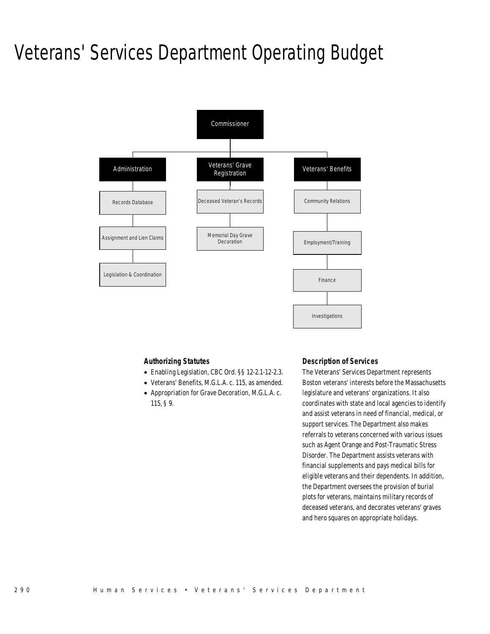# Veterans' Services Department Operating Budget



### *Authorizing Statutes*

- Enabling Legislation, CBC Ord. §§ 12-2.1-12-2.3.
- Veterans' Benefits, M.G.L.A. c. 115, as amended.
- Appropriation for Grave Decoration, M.G.L.A. c. 115, § 9.

### *Description of Services*

The Veterans' Services Department represents Boston veterans' interests before the Massachusetts legislature and veterans' organizations. It also coordinates with state and local agencies to identify and assist veterans in need of financial, medical, or support services. The Department also makes referrals to veterans concerned with various issues such as Agent Orange and Post-Traumatic Stress Disorder. The Department assists veterans with financial supplements and pays medical bills for eligible veterans and their dependents. In addition, the Department oversees the provision of burial plots for veterans, maintains military records of deceased veterans, and decorates veterans' graves and hero squares on appropriate holidays.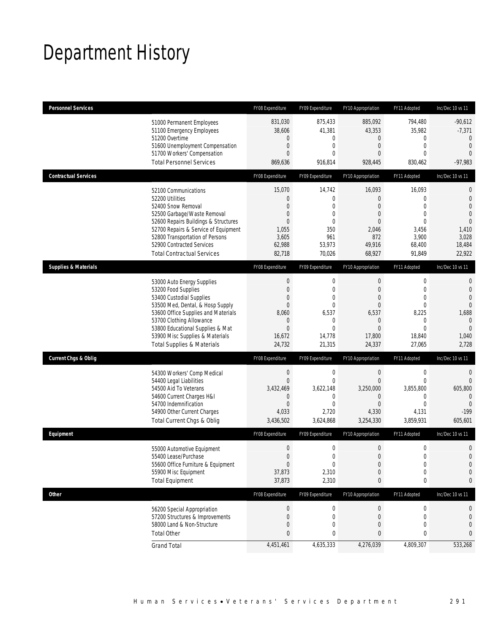# Department History

| <b>Personnel Services</b>       |                                                                                                                                                                                                                                                                                                      | FY08 Expenditure                                                                                                         | FY09 Expenditure                                                                                                            | FY10 Appropriation                                                                                                                   | FY11 Adopted                                                                                                                | Inc/Dec 10 vs 11                                                                                                        |
|---------------------------------|------------------------------------------------------------------------------------------------------------------------------------------------------------------------------------------------------------------------------------------------------------------------------------------------------|--------------------------------------------------------------------------------------------------------------------------|-----------------------------------------------------------------------------------------------------------------------------|--------------------------------------------------------------------------------------------------------------------------------------|-----------------------------------------------------------------------------------------------------------------------------|-------------------------------------------------------------------------------------------------------------------------|
|                                 | 51000 Permanent Employees<br>51100 Emergency Employees<br>51200 Overtime<br>51600 Unemployment Compensation<br>51700 Workers' Compensation<br><b>Total Personnel Services</b>                                                                                                                        | 831,030<br>38,606<br>$\mathbf 0$<br>$\boldsymbol{0}$<br>$\overline{0}$<br>869,636                                        | 875,433<br>41,381<br>0<br>0<br>$\Omega$<br>916,814                                                                          | 885,092<br>43,353<br>$\mathbf 0$<br>$\overline{0}$<br>$\overline{0}$<br>928,445                                                      | 794,480<br>35,982<br>0<br>$\mathbf{0}$<br>$\mathbf{0}$<br>830,462                                                           | $-90,612$<br>$-7,371$<br>$\theta$<br>$\mathbf{0}$<br>$\overline{0}$<br>$-97,983$                                        |
| <b>Contractual Services</b>     |                                                                                                                                                                                                                                                                                                      | FY08 Expenditure                                                                                                         | FY09 Expenditure                                                                                                            | FY10 Appropriation                                                                                                                   | FY11 Adopted                                                                                                                | Inc/Dec 10 vs 11                                                                                                        |
|                                 | 52100 Communications<br>52200 Utilities<br>52400 Snow Removal<br>52500 Garbage/Waste Removal<br>52600 Repairs Buildings & Structures<br>52700 Repairs & Service of Equipment<br>52800 Transportation of Persons<br>52900 Contracted Services<br><b>Total Contractual Services</b>                    | 15,070<br>$\mathbf 0$<br>$\overline{0}$<br>$\mathbf 0$<br>$\overline{0}$<br>1,055<br>3,605<br>62,988<br>82,718           | 14,742<br>$\mathbf 0$<br>$\mathbf 0$<br>$\mathbf 0$<br>0<br>350<br>961<br>53,973<br>70,026                                  | 16,093<br>$\boldsymbol{0}$<br>$\overline{0}$<br>0<br>0<br>2,046<br>872<br>49,916<br>68,927                                           | 16,093<br>$\mathbf{0}$<br>$\mathbf{0}$<br>$\mathbf{0}$<br>$\mathbf{0}$<br>3,456<br>3,900<br>68,400<br>91,849                | $\mathbf{0}$<br>$\mathbf 0$<br>$\overline{0}$<br>$\overline{0}$<br>$\overline{0}$<br>1,410<br>3,028<br>18,484<br>22,922 |
| <b>Supplies &amp; Materials</b> |                                                                                                                                                                                                                                                                                                      | FY08 Expenditure                                                                                                         | FY09 Expenditure                                                                                                            | FY10 Appropriation                                                                                                                   | FY11 Adopted                                                                                                                | Inc/Dec 10 vs 11                                                                                                        |
|                                 | 53000 Auto Energy Supplies<br>53200 Food Supplies<br>53400 Custodial Supplies<br>53500 Med, Dental, & Hosp Supply<br>53600 Office Supplies and Materials<br>53700 Clothing Allowance<br>53800 Educational Supplies & Mat<br>53900 Misc Supplies & Materials<br><b>Total Supplies &amp; Materials</b> | $\boldsymbol{0}$<br>$\boldsymbol{0}$<br>0<br>$\boldsymbol{0}$<br>8,060<br>$\theta$<br>$\overline{0}$<br>16,672<br>24,732 | $\mathbf 0$<br>$\mathbf{0}$<br>$\mathbf{0}$<br>$\overline{0}$<br>6,537<br>$\mathbf 0$<br>$\overline{0}$<br>14,778<br>21,315 | $\boldsymbol{0}$<br>$\overline{0}$<br>$\overline{0}$<br>$\overline{0}$<br>6,537<br>$\mathbf 0$<br>$\overline{0}$<br>17,800<br>24,337 | $\boldsymbol{0}$<br>$\mathbf 0$<br>$\mathbf{0}$<br>$\mathbf{0}$<br>8,225<br>$\mathbf 0$<br>$\mathbf{0}$<br>18,840<br>27,065 | $\mathbf{0}$<br>$\mathbf{0}$<br>$\overline{0}$<br>$\Omega$<br>1,688<br>$\mathbf{0}$<br>$\overline{0}$<br>1,040<br>2,728 |
| <b>Current Chgs &amp; Oblig</b> |                                                                                                                                                                                                                                                                                                      | FY08 Expenditure                                                                                                         | FY09 Expenditure                                                                                                            | FY10 Appropriation                                                                                                                   | FY11 Adopted                                                                                                                | Inc/Dec 10 vs 11                                                                                                        |
|                                 | 54300 Workers' Comp Medical<br>54400 Legal Liabilities<br>54500 Aid To Veterans<br>54600 Current Charges H&I<br>54700 Indemnification<br>54900 Other Current Charges<br>Total Current Chgs & Oblig                                                                                                   | $\boldsymbol{0}$<br>$\mathbf 0$<br>3,432,469<br>$\mathbf 0$<br>$\overline{0}$<br>4,033<br>3,436,502                      | $\mathbf 0$<br>$\overline{0}$<br>3,622,148<br>0<br>$\mathbf{0}$<br>2,720<br>3,624,868                                       | $\boldsymbol{0}$<br>$\overline{0}$<br>3,250,000<br>$\mathbf 0$<br>$\overline{0}$<br>4,330<br>3,254,330                               | $\boldsymbol{0}$<br>$\mathbf 0$<br>3,855,800<br>$\mathbf 0$<br>$\mathbf{0}$<br>4,131<br>3,859,931                           | $\overline{0}$<br>$\overline{0}$<br>605,800<br>$\overline{0}$<br>$\mathbf{0}$<br>$-199$<br>605,601                      |
| Equipment                       |                                                                                                                                                                                                                                                                                                      | FY08 Expenditure                                                                                                         | FY09 Expenditure                                                                                                            | FY10 Appropriation                                                                                                                   | FY11 Adopted                                                                                                                | Inc/Dec 10 vs 11                                                                                                        |
|                                 | 55000 Automotive Equipment<br>55400 Lease/Purchase<br>55600 Office Furniture & Equipment<br>55900 Misc Equipment<br><b>Total Equipment</b>                                                                                                                                                           | $\mathbf 0$<br>$\overline{0}$<br>$\boldsymbol{0}$<br>37,873<br>37,873                                                    | $\mathbf 0$<br>0<br>$\boldsymbol{0}$<br>2,310<br>2,310                                                                      | $\boldsymbol{0}$<br>$\overline{0}$<br>$\boldsymbol{0}$<br>$\mathbf 0$<br>0                                                           | $\boldsymbol{0}$<br>$\mathbf 0$<br>$\boldsymbol{0}$<br>$\mathbf 0$<br>0                                                     | $\mathbf 0$<br>$\overline{0}$<br>$\mathbf 0$<br>$\mathbf 0$<br>0                                                        |
| <b>Other</b>                    |                                                                                                                                                                                                                                                                                                      | FY08 Expenditure                                                                                                         | FY09 Expenditure                                                                                                            | FY10 Appropriation                                                                                                                   | FY11 Adopted                                                                                                                | Inc/Dec 10 vs 11                                                                                                        |
|                                 | 56200 Special Appropriation<br>57200 Structures & Improvements<br>58000 Land & Non-Structure<br><b>Total Other</b>                                                                                                                                                                                   | $\boldsymbol{0}$<br>$\boldsymbol{0}$<br>$\boldsymbol{0}$<br>0                                                            | 0<br>0<br>0<br>0                                                                                                            | $\boldsymbol{0}$<br>$\mathbf 0$<br>0<br>0                                                                                            | 0<br>$\mathbf 0$<br>$\mathbf{0}$<br>0                                                                                       | 0<br>0<br>$\mathbf 0$<br>0                                                                                              |
|                                 | <b>Grand Total</b>                                                                                                                                                                                                                                                                                   | 4,451,461                                                                                                                | 4,635,333                                                                                                                   | 4,276,039                                                                                                                            | 4,809,307                                                                                                                   | 533,268                                                                                                                 |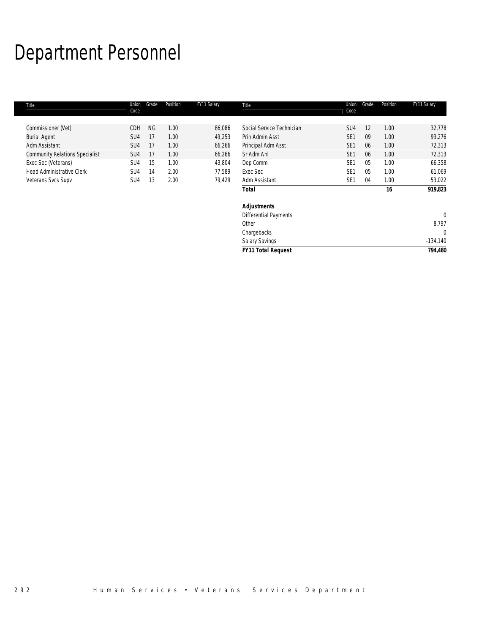# Department Personnel

| Title                                 | Union<br>Code   | Grade     | Position | FY11 Salary | Title                        | Union<br>Code   | Grade | Position | FY11 Salary  |
|---------------------------------------|-----------------|-----------|----------|-------------|------------------------------|-----------------|-------|----------|--------------|
|                                       |                 |           |          |             |                              |                 |       |          |              |
| Commissioner (Vet)                    | CDH             | <b>NG</b> | 1.00     | 86,086      | Social Service Technician    | SU <sub>4</sub> | 12    | 1.00     | 32,778       |
| <b>Burial Agent</b>                   | SU <sub>4</sub> | 17        | 1.00     | 49,253      | Prin Admin Asst              | SE <sub>1</sub> | 09    | 1.00     | 93,276       |
| Adm Assistant                         | SU <sub>4</sub> | 17        | 1.00     | 66,266      | Principal Adm Asst           | SE <sub>1</sub> | 06    | 1.00     | 72,313       |
| <b>Community Relations Specialist</b> | SU <sub>4</sub> | 17        | 1.00     | 66,266      | Sr Adm Anl                   | SE <sub>1</sub> | 06    | 1.00     | 72,313       |
| Exec Sec (Veterans)                   | SU <sub>4</sub> | 15        | 1.00     | 43,804      | Dep Comm                     | SE <sub>1</sub> | 05    | 1.00     | 66,358       |
| <b>Head Administrative Clerk</b>      | SU <sub>4</sub> | 14        | 2.00     | 77,589      | Exec Sec                     | SE <sub>1</sub> | 05    | 1.00     | 61,069       |
| Veterans Svcs Supv                    | SU <sub>4</sub> | 13        | 2.00     | 79,429      | Adm Assistant                | SE <sub>1</sub> | 04    | 1.00     | 53,022       |
|                                       |                 |           |          |             | <b>Total</b>                 |                 |       | 16       | 919,823      |
|                                       |                 |           |          |             | <b>Adjustments</b>           |                 |       |          |              |
|                                       |                 |           |          |             | <b>Differential Payments</b> |                 |       |          | $\mathbf{0}$ |
|                                       |                 |           |          |             | Other                        |                 |       |          | 8,797        |
|                                       |                 |           |          |             | Chargebacks                  |                 |       |          | 0            |
|                                       |                 |           |          |             | <b>Salary Savings</b>        |                 |       |          | $-134,140$   |
|                                       |                 |           |          |             | <b>FY11 Total Request</b>    |                 |       |          | 794,480      |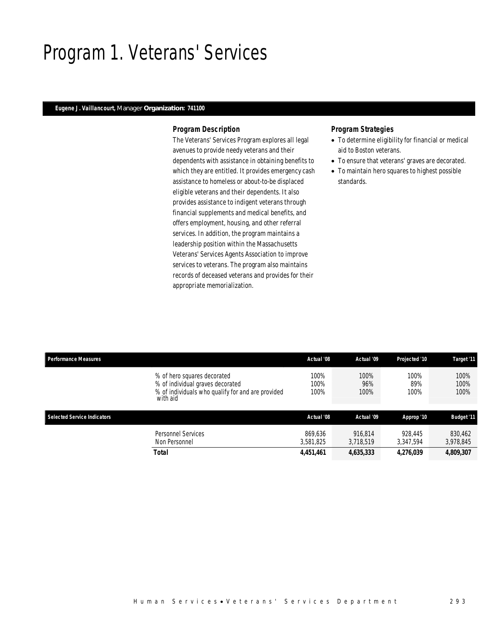## Program 1. Veterans' Services

### *Eugene J. Vaillancourt, Manager Organization: 741100*

### *Program Description*

The Veterans' Services Program explores all legal avenues to provide needy veterans and their dependents with assistance in obtaining benefits to which they are entitled. It provides emergency cash assistance to homeless or about-to-be displaced eligible veterans and their dependents. It also provides assistance to indigent veterans through financial supplements and medical benefits, and offers employment, housing, and other referral services. In addition, the program maintains a leadership position within the Massachusetts Veterans' Services Agents Association to improve services to veterans. The program also maintains records of deceased veterans and provides for their appropriate memorialization.

### *Program Strategies*

- To determine eligibility for financial or medical aid to Boston veterans.
- To ensure that veterans' graves are decorated.
- To maintain hero squares to highest possible standards.

| <b>Performance Measures</b>        |                                                                                                                                  | Actual '08           | Actual '09           | Projected '10        | Target '11           |
|------------------------------------|----------------------------------------------------------------------------------------------------------------------------------|----------------------|----------------------|----------------------|----------------------|
|                                    | % of hero squares decorated<br>% of individual graves decorated<br>% of individuals who qualify for and are provided<br>with aid | 100%<br>100%<br>100% | 100%<br>96%<br>100%  | 100%<br>89%<br>100%  | 100%<br>100%<br>100% |
| <b>Selected Service Indicators</b> |                                                                                                                                  | Actual '08           | Actual '09           | Approp '10           | <b>Budget '11</b>    |
|                                    | Personnel Services<br>Non Personnel                                                                                              | 869.636<br>3.581.825 | 916.814<br>3.718.519 | 928.445<br>3.347.594 | 830.462<br>3,978,845 |
|                                    | <b>Total</b>                                                                                                                     | 4,451,461            | 4,635,333            | 4,276,039            | 4,809,307            |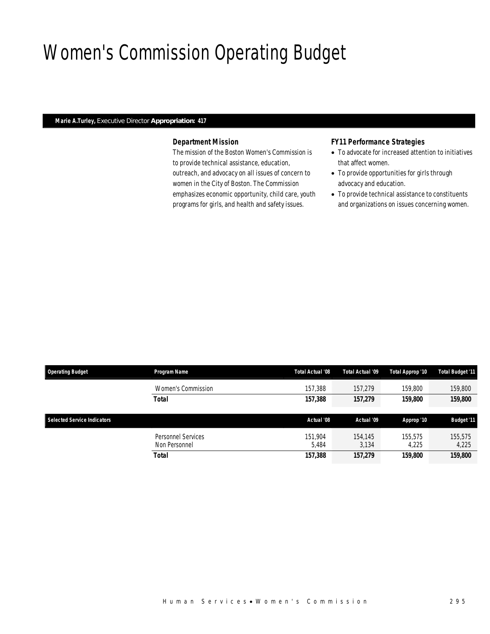# Women's Commission Operating Budget

### *Marie A.Turley, Executive Director Appropriation: 417*

## *Department Mission*

The mission of the Boston Women's Commission is to provide technical assistance, education, outreach, and advocacy on all issues of concern to women in the City of Boston. The Commission emphasizes economic opportunity, child care, youth programs for girls, and health and safety issues.

### *FY11 Performance Strategies*

- To advocate for increased attention to initiatives that affect women.
- To provide opportunities for girls through advocacy and education.
- To provide technical assistance to constituents and organizations on issues concerning women.

| <b>Operating Budget</b>     | Program Name                               | Total Actual '08 | Total Actual '09 | Total Approp '10 | Total Budget '11  |
|-----------------------------|--------------------------------------------|------------------|------------------|------------------|-------------------|
|                             | Women's Commission                         | 157,388          | 157.279          | 159,800          | 159,800           |
|                             | Total                                      | 157,388          | 157,279          | 159,800          | 159,800           |
| Selected Service Indicators |                                            | Actual '08       | Actual '09       | Approp '10       | <b>Budget '11</b> |
|                             | <b>Personnel Services</b><br>Non Personnel | 151,904<br>5.484 | 154,145<br>3.134 | 155,575<br>4.225 | 155.575<br>4,225  |
|                             | <b>Total</b>                               | 157,388          | 157,279          | 159,800          | 159,800           |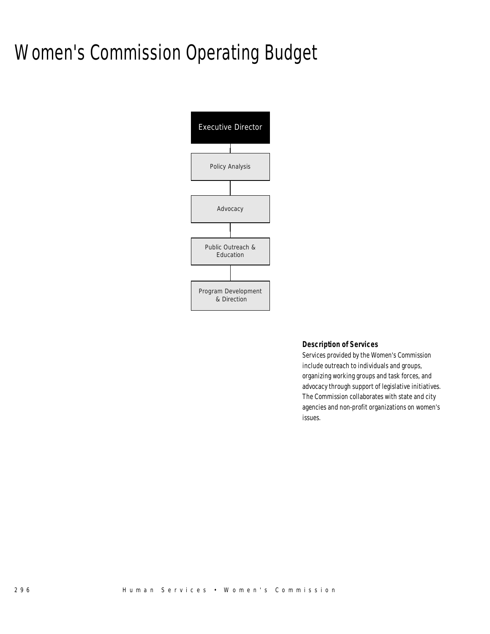# Women's Commission Operating Budget



### *Description of Services*

Services provided by the Women's Commission include outreach to individuals and groups, organizing working groups and task forces, and advocacy through support of legislative initiatives. The Commission collaborates with state and city agencies and non-profit organizations on women's issues.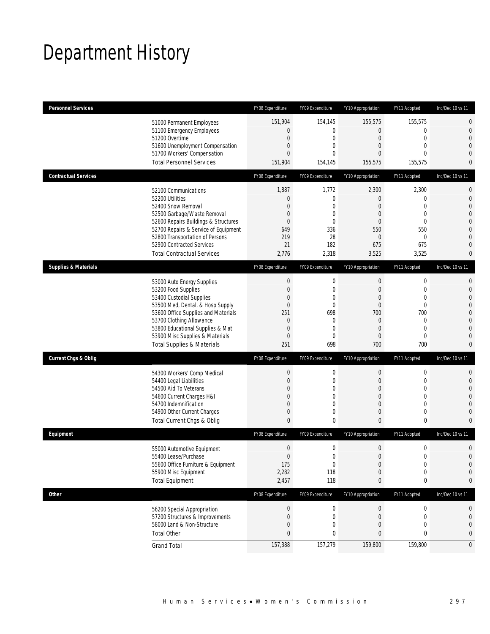# Department History

| <b>Personnel Services</b>       |                                                                                                                                                                                                                                                                                                      | FY08 Expenditure                                                                                  | FY09 Expenditure                                                                                              | FY10 Appropriation                                                                            | FY11 Adopted                                                                                                               | Inc/Dec 10 vs 11                                                              |
|---------------------------------|------------------------------------------------------------------------------------------------------------------------------------------------------------------------------------------------------------------------------------------------------------------------------------------------------|---------------------------------------------------------------------------------------------------|---------------------------------------------------------------------------------------------------------------|-----------------------------------------------------------------------------------------------|----------------------------------------------------------------------------------------------------------------------------|-------------------------------------------------------------------------------|
|                                 | 51000 Permanent Employees<br>51100 Emergency Employees<br>51200 Overtime<br>51600 Unemployment Compensation<br>51700 Workers' Compensation<br><b>Total Personnel Services</b>                                                                                                                        | 151,904<br>0<br>$\mathbf 0$<br>0<br>$\overline{0}$<br>151,904                                     | 154,145<br>$\mathbf 0$<br>$\mathbf 0$<br>0<br>$\theta$<br>154,145                                             | 155,575<br>$\overline{0}$<br>$\mathbf 0$<br>0<br>0<br>155,575                                 | 155,575<br>$\mathbf 0$<br>$\mathbf 0$<br>$\mathbf{0}$<br>$\Omega$<br>155,575                                               | 0<br>0<br>$\overline{0}$<br>0<br>0<br>0                                       |
| <b>Contractual Services</b>     |                                                                                                                                                                                                                                                                                                      | FY08 Expenditure                                                                                  | FY09 Expenditure                                                                                              | FY10 Appropriation                                                                            | FY11 Adopted                                                                                                               | Inc/Dec 10 vs 11                                                              |
|                                 | 52100 Communications<br>52200 Utilities<br>52400 Snow Removal<br>52500 Garbage/Waste Removal<br>52600 Repairs Buildings & Structures<br>52700 Repairs & Service of Equipment<br>52800 Transportation of Persons<br>52900 Contracted Services<br><b>Total Contractual Services</b>                    | 1,887<br>$\theta$<br>0<br>0<br>0<br>649<br>219<br>21<br>2,776                                     | 1,772<br>$\boldsymbol{0}$<br>0<br>$\overline{0}$<br>0<br>336<br>28<br>182<br>2,318                            | 2,300<br>0<br>0<br>0<br>0<br>550<br>0<br>675<br>3,525                                         | 2,300<br>$\mathbf 0$<br>$\overline{0}$<br>$\mathbf{0}$<br>$\mathbf{0}$<br>550<br>$\mathbf 0$<br>675<br>3,525               | 0<br>$\mathbf 0$<br>$\overline{0}$<br>0<br>0<br>$\overline{0}$<br>0<br>0<br>0 |
| <b>Supplies &amp; Materials</b> |                                                                                                                                                                                                                                                                                                      | FY08 Expenditure                                                                                  | FY09 Expenditure                                                                                              | FY10 Appropriation                                                                            | FY11 Adopted                                                                                                               | Inc/Dec 10 vs 11                                                              |
|                                 | 53000 Auto Energy Supplies<br>53200 Food Supplies<br>53400 Custodial Supplies<br>53500 Med, Dental, & Hosp Supply<br>53600 Office Supplies and Materials<br>53700 Clothing Allowance<br>53800 Educational Supplies & Mat<br>53900 Misc Supplies & Materials<br><b>Total Supplies &amp; Materials</b> | $\boldsymbol{0}$<br>$\mathbf 0$<br>0<br>$\mathbf 0$<br>251<br>$\theta$<br>$\mathbf 0$<br>0<br>251 | $\mathbf 0$<br>$\mathbf 0$<br>0<br>$\mathbf 0$<br>698<br>$\mathbf 0$<br>$\overline{0}$<br>$\mathbf{0}$<br>698 | $\boldsymbol{0}$<br>$\mathbf 0$<br>0<br>$\mathbf 0$<br>700<br>0<br>$\overline{0}$<br>0<br>700 | $\boldsymbol{0}$<br>$\mathbf 0$<br>$\mathbf{0}$<br>$\mathbf 0$<br>700<br>$\mathbf 0$<br>$\mathbf{0}$<br>$\mathbf 0$<br>700 | 0<br>$\mathbf 0$<br>0<br>0<br>0<br>$\overline{0}$<br>0<br>0<br>0              |
| <b>Current Chgs &amp; Oblig</b> |                                                                                                                                                                                                                                                                                                      | FY08 Expenditure                                                                                  | FY09 Expenditure                                                                                              | FY10 Appropriation                                                                            | FY11 Adopted                                                                                                               | Inc/Dec 10 vs 11                                                              |
|                                 | 54300 Workers' Comp Medical<br>54400 Legal Liabilities<br>54500 Aid To Veterans<br>54600 Current Charges H&I<br>54700 Indemnification<br>54900 Other Current Charges<br>Total Current Chgs & Oblig                                                                                                   | $\boldsymbol{0}$<br>$\mathbf 0$<br>0<br>0<br>0<br>0<br>$\overline{0}$                             | $\boldsymbol{0}$<br>$\mathbf 0$<br>0<br>$\mathbf 0$<br>$\overline{0}$<br>0<br>$\mathbf 0$                     | $\boldsymbol{0}$<br>$\mathbf 0$<br>0<br>$\mathbf 0$<br>0<br>0<br>$\mathbf{0}$                 | $\boldsymbol{0}$<br>$\mathbf 0$<br>$\mathbf{0}$<br>$\mathbf 0$<br>$\mathbf{0}$<br>$\mathbf 0$<br>$\bf{0}$                  | 0<br>$\mathbf 0$<br>0<br>0<br>0<br>$\mathbf 0$<br>0                           |
| Equipment                       |                                                                                                                                                                                                                                                                                                      | FY08 Expenditure                                                                                  | FY09 Expenditure                                                                                              | FY10 Appropriation                                                                            | FY11 Adopted                                                                                                               | Inc/Dec 10 vs 11                                                              |
|                                 | 55000 Automotive Equipment<br>55400 Lease/Purchase<br>55600 Office Furniture & Equipment<br>55900 Misc Equipment<br><b>Total Equipment</b>                                                                                                                                                           | $\mathbf 0$<br>$\overline{0}$<br>175<br>2,282<br>2,457                                            | $\mathbf 0$<br>$\Omega$<br>$\boldsymbol{0}$<br>118<br>118                                                     | $\mathbf 0$<br>0<br>$\boldsymbol{0}$<br>$\mathbf 0$<br>0                                      | $\mathbf 0$<br>$\mathbf 0$<br>$\boldsymbol{0}$<br>$\mathbf 0$<br>$\pmb{0}$                                                 | 0<br>$\overline{0}$<br>$\mathbf 0$<br>0<br>0                                  |
| <b>Other</b>                    |                                                                                                                                                                                                                                                                                                      | FY08 Expenditure                                                                                  | FY09 Expenditure                                                                                              | FY10 Appropriation                                                                            | FY11 Adopted                                                                                                               | Inc/Dec 10 vs 11                                                              |
|                                 | 56200 Special Appropriation<br>57200 Structures & Improvements<br>58000 Land & Non-Structure<br><b>Total Other</b>                                                                                                                                                                                   | $\boldsymbol{0}$<br>$\boldsymbol{0}$<br>$\mathbf 0$<br>0                                          | 0<br>0<br>$\mathbf 0$<br>0                                                                                    | $\boldsymbol{0}$<br>0<br>$\mathbf 0$<br>0                                                     | 0<br>$\boldsymbol{0}$<br>$\mathbf 0$<br>0                                                                                  | 0<br>0<br>0<br>0                                                              |
|                                 | <b>Grand Total</b>                                                                                                                                                                                                                                                                                   | 157,388                                                                                           | 157,279                                                                                                       | 159,800                                                                                       | 159,800                                                                                                                    | $\overline{0}$                                                                |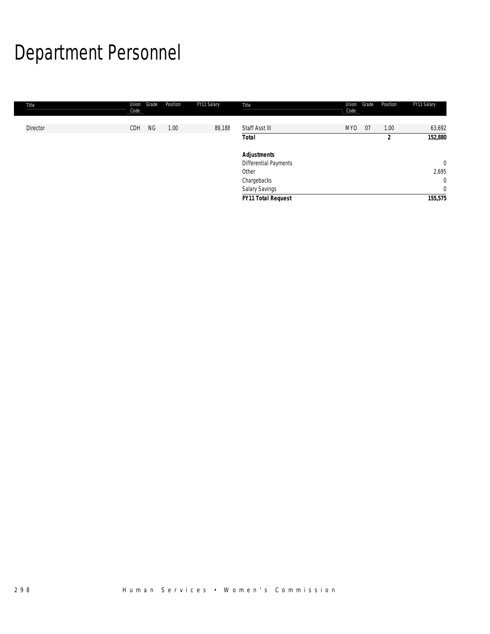# Department Personnel

| Title    | Union<br>Code | Grade | Position | FY11 Salary | Title                     | Union<br>Code | Grade | Position       | FY11 Salary  |
|----------|---------------|-------|----------|-------------|---------------------------|---------------|-------|----------------|--------------|
|          |               |       |          |             |                           |               |       |                |              |
| Director | CDH           | NG    | 1.00     | 89,188      | Staff Asst III            | <b>MYO</b>    | 07    | 1.00           | 63,692       |
|          |               |       |          |             | <b>Total</b>              |               |       | $\overline{2}$ | 152,880      |
|          |               |       |          |             | <b>Adjustments</b>        |               |       |                |              |
|          |               |       |          |             | Differential Payments     |               |       |                | $\mathbf{0}$ |
|          |               |       |          |             | Other                     |               |       |                | 2,695        |
|          |               |       |          |             | Chargebacks               |               |       |                | $\mathbf{0}$ |
|          |               |       |          |             | Salary Savings            |               |       |                | $\mathbf{0}$ |
|          |               |       |          |             | <b>FY11 Total Request</b> |               |       |                | 155,575      |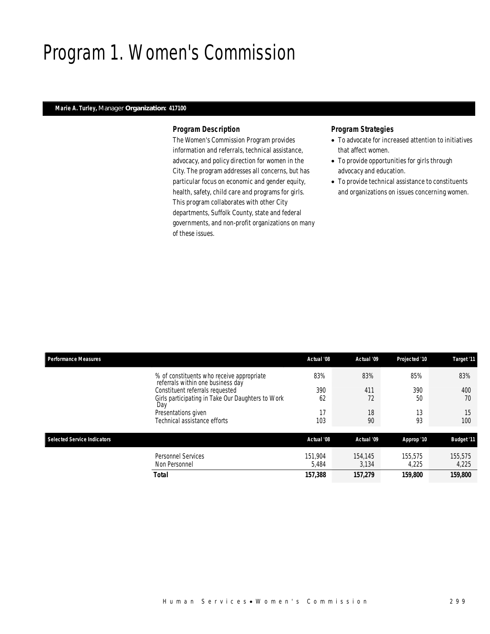## Program 1. Women's Commission

## *Marie A. Turley, Manager Organization: 417100*

### *Program Description*

The Women's Commission Program provides information and referrals, technical assistance, advocacy, and policy direction for women in the City. The program addresses all concerns, but has particular focus on economic and gender equity, health, safety, child care and programs for girls. This program collaborates with other City departments, Suffolk County, state and federal governments, and non-profit organizations on many of these issues.

### *Program Strategies*

- To advocate for increased attention to initiatives that affect women.
- To provide opportunities for girls through advocacy and education.
- To provide technical assistance to constituents and organizations on issues concerning women.

| <b>Performance Measures</b>                |                                                                                | Actual '08       | Actual '09       | Projected '10    | Target '11        |
|--------------------------------------------|--------------------------------------------------------------------------------|------------------|------------------|------------------|-------------------|
|                                            | % of constituents who receive appropriate<br>referrals within one business day | 83%              | 83%              | 85%              | 83%               |
|                                            | Constituent referrals requested                                                | 390              | 411              | 390              | 400               |
| Day                                        | Girls participating in Take Our Daughters to Work                              | 62               | 72               | 50               | 70                |
| Presentations given                        |                                                                                | 17               | 18               | 13               | 15                |
| Technical assistance efforts               |                                                                                | 103              | 90               | 93               | 100               |
|                                            |                                                                                |                  |                  |                  |                   |
| Selected Service Indicators                |                                                                                | Actual '08       | Actual '09       | Approp '10       | <b>Budget '11</b> |
| <b>Personnel Services</b><br>Non Personnel |                                                                                | 151,904<br>5,484 | 154,145<br>3,134 | 155,575<br>4,225 | 155,575<br>4,225  |
| Total                                      |                                                                                | 157,388          | 157,279          | 159,800          | 159,800           |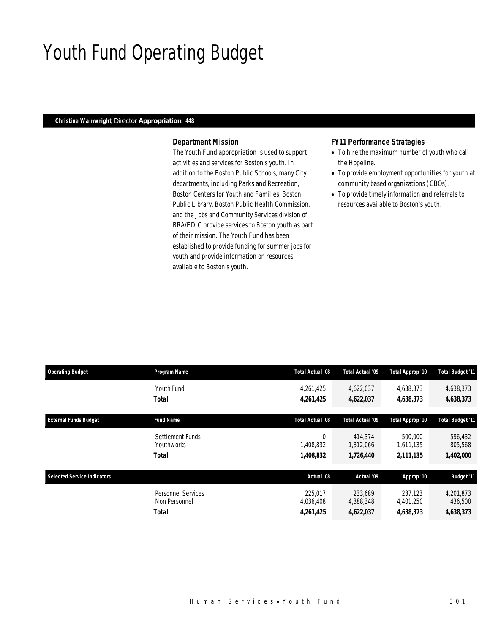# Youth Fund Operating Budget

### *Christine Wainwright, Director Appropriation: 448*

### *Department Mission*

The Youth Fund appropriation is used to support activities and services for Boston's youth. In addition to the Boston Public Schools, many City departments, including Parks and Recreation, Boston Centers for Youth and Families, Boston Public Library, Boston Public Health Commission, and the Jobs and Community Services division of BRA/EDIC provide services to Boston youth as part of their mission. The Youth Fund has been established to provide funding for summer jobs for youth and provide information on resources available to Boston's youth.

### *FY11 Performance Strategies*

- To hire the maximum number of youth who call the Hopeline.
- To provide employment opportunities for youth at community based organizations (CBOs).
- To provide timely information and referrals to resources available to Boston's youth.

| <b>Operating Budget</b>            | Program Name       | Total Actual '08 | Total Actual '09 | Total Approp '10 | <b>Total Budget '11</b> |
|------------------------------------|--------------------|------------------|------------------|------------------|-------------------------|
|                                    | Youth Fund         | 4,261,425        | 4,622,037        | 4,638,373        | 4,638,373               |
|                                    | <b>Total</b>       | 4,261,425        | 4,622,037        | 4,638,373        | 4,638,373               |
| <b>External Funds Budget</b>       | <b>Fund Name</b>   | Total Actual '08 | Total Actual '09 | Total Approp '10 | <b>Total Budget '11</b> |
|                                    | Settlement Funds   |                  | 414,374          | 500,000          | 596,432                 |
|                                    | Youthworks         | 1,408,832        | 1,312,066        | 1,611,135        | 805,568                 |
|                                    | <b>Total</b>       | 1,408,832        | 1,726,440        | 2,111,135        | 1,402,000               |
| <b>Selected Service Indicators</b> |                    | Actual '08       | Actual '09       | Approp '10       | <b>Budget '11</b>       |
|                                    | Personnel Services | 225.017          | 233,689          | 237.123          | 4,201,873               |
|                                    | Non Personnel      | 4,036,408        | 4,388,348        | 4,401,250        | 436,500                 |
|                                    | <b>Total</b>       | 4,261,425        | 4,622,037        | 4.638.373        | 4,638,373               |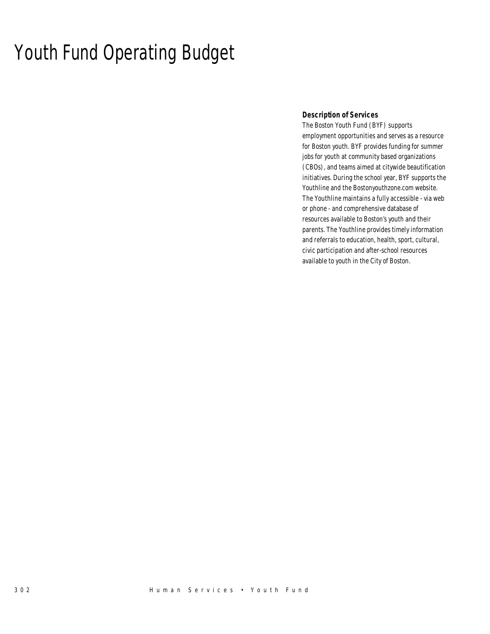# Youth Fund Operating Budget

## *Description of Services*

The Boston Youth Fund (BYF) supports employment opportunities and serves as a resource for Boston youth. BYF provides funding for summer jobs for youth at community based organizations (CBOs), and teams aimed at citywide beautification initiatives. During the school year, BYF supports the Youthline and the Bostonyouthzone.com website. The Youthline maintains a fully accessible - via web or phone - and comprehensive database of resources available to Boston's youth and their parents. The Youthline provides timely information and referrals to education, health, sport, cultural, civic participation and after-school resources available to youth in the City of Boston.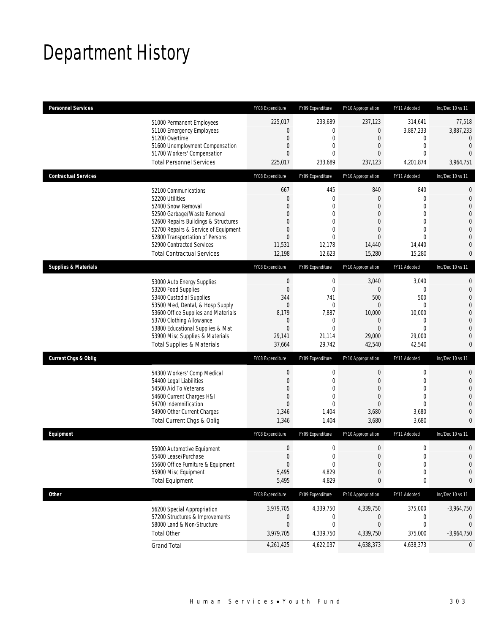# Department History

| <b>Personnel Services</b>                                                    | FY08 Expenditure                     | FY09 Expenditure                | FY10 Appropriation                 | FY11 Adopted                    | Inc/Dec 10 vs 11                 |
|------------------------------------------------------------------------------|--------------------------------------|---------------------------------|------------------------------------|---------------------------------|----------------------------------|
| 51000 Permanent Employees                                                    | 225,017                              | 233,689                         | 237,123                            | 314,641                         | 77,518                           |
| 51100 Emergency Employees                                                    | $\boldsymbol{0}$                     | $\boldsymbol{0}$                | 0                                  | 3,887,233                       | 3,887,233                        |
| 51200 Overtime<br>51600 Unemployment Compensation                            | $\boldsymbol{0}$<br>$\boldsymbol{0}$ | $\mathbf 0$<br>$\mathbf{0}$     | $\boldsymbol{0}$<br>$\overline{0}$ | 0<br>$\mathbf{0}$               | $\mathbf{0}$<br>$\mathbf{0}$     |
| 51700 Workers' Compensation                                                  | $\overline{0}$                       | 0                               | $\overline{0}$                     | $\mathbf 0$                     | $\Omega$                         |
| <b>Total Personnel Services</b>                                              | 225,017                              | 233,689                         | 237,123                            | 4,201,874                       | 3,964,751                        |
| <b>Contractual Services</b>                                                  | FY08 Expenditure                     | FY09 Expenditure                | FY10 Appropriation                 | FY11 Adopted                    | Inc/Dec 10 vs 11                 |
| 52100 Communications                                                         | 667                                  | 445                             | 840                                | 840                             | $\mathbf 0$                      |
| 52200 Utilities                                                              | $\boldsymbol{0}$                     | $\mathbf 0$                     | $\theta$                           | $\mathbf{0}$                    | $\mathbf 0$                      |
| 52400 Snow Removal                                                           | $\Omega$                             | $\theta$                        | $\Omega$                           | $\Omega$                        | $\overline{0}$                   |
| 52500 Garbage/Waste Removal                                                  | 0                                    | 0                               | $\overline{0}$                     | $\overline{0}$                  | $\overline{0}$                   |
| 52600 Repairs Buildings & Structures<br>52700 Repairs & Service of Equipment | 0<br>$\boldsymbol{0}$                | 0<br>$\mathbf 0$                | $\Omega$<br>$\mathbf{0}$           | $\Omega$<br>$\mathbf{0}$        | $\mathbf 0$<br>$\overline{0}$    |
| 52800 Transportation of Persons                                              | $\mathbf{0}$                         | $\mathbf{0}$                    | $\mathbf{0}$                       | $\mathbf{0}$                    | $\mathbf{0}$                     |
| 52900 Contracted Services                                                    | 11,531                               | 12,178                          | 14,440                             | 14,440                          | $\overline{0}$                   |
| <b>Total Contractual Services</b>                                            | 12,198                               | 12,623                          | 15,280                             | 15,280                          | 0                                |
| <b>Supplies &amp; Materials</b>                                              | FY08 Expenditure                     | FY09 Expenditure                | FY10 Appropriation                 | FY11 Adopted                    | Inc/Dec 10 vs 11                 |
| 53000 Auto Energy Supplies                                                   | $\boldsymbol{0}$                     | $\mathbf 0$                     | 3,040                              | 3,040                           | $\mathbf{0}$                     |
| 53200 Food Supplies                                                          | $\boldsymbol{0}$                     | $\mathbf 0$                     | $\theta$                           | 0                               | $\mathbf{0}$                     |
| 53400 Custodial Supplies                                                     | 344                                  | 741                             | 500                                | 500                             | $\overline{0}$                   |
| 53500 Med, Dental, & Hosp Supply                                             | $\boldsymbol{0}$                     | $\boldsymbol{0}$                | $\mathbf{0}$                       | $\mathbf{0}$                    | $\overline{0}$                   |
| 53600 Office Supplies and Materials                                          | 8,179                                | 7,887                           | 10,000                             | 10,000                          | $\mathbf 0$                      |
| 53700 Clothing Allowance<br>53800 Educational Supplies & Mat                 | $\mathbf 0$<br>$\boldsymbol{0}$      | 0<br>$\mathbf{0}$               | $\theta$<br>$\mathbf{0}$           | $\mathbf 0$<br>$\mathbf 0$      | $\overline{0}$<br>$\overline{0}$ |
| 53900 Misc Supplies & Materials                                              | 29,141                               | 21,114                          | 29,000                             | 29,000                          | $\overline{0}$                   |
| <b>Total Supplies &amp; Materials</b>                                        | 37,664                               | 29,742                          | 42,540                             | 42,540                          | $\mathbf{0}$                     |
| <b>Current Chgs &amp; Oblig</b>                                              | FY08 Expenditure                     | FY09 Expenditure                | FY10 Appropriation                 | FY11 Adopted                    | Inc/Dec 10 vs 11                 |
| 54300 Workers' Comp Medical                                                  | $\boldsymbol{0}$                     | $\boldsymbol{0}$                | $\boldsymbol{0}$                   | $\boldsymbol{0}$                | $\mathbf{0}$                     |
| 54400 Legal Liabilities                                                      | $\boldsymbol{0}$                     | $\mathbf 0$                     | $\overline{0}$                     | $\mathbf 0$                     | $\mathbf 0$                      |
| 54500 Aid To Veterans                                                        | 0                                    | $\mathbf{0}$                    | $\overline{0}$                     | $\overline{0}$                  | $\overline{0}$                   |
| 54600 Current Charges H&I                                                    | 0                                    | 0                               | $\overline{0}$                     | $\overline{0}$                  | $\overline{0}$                   |
| 54700 Indemnification                                                        | $\mathbf{0}$                         | 0                               | $\overline{0}$                     | $\theta$                        | $\overline{0}$                   |
| 54900 Other Current Charges<br>Total Current Chgs & Oblig                    | 1,346<br>1,346                       | 1,404<br>1,404                  | 3,680<br>3,680                     | 3,680<br>3,680                  | $\overline{0}$<br>$\overline{0}$ |
| Equipment                                                                    | FY08 Expenditure                     | FY09 Expenditure                | FY10 Appropriation                 | FY11 Adopted                    | Inc/Dec 10 vs 11                 |
|                                                                              |                                      |                                 |                                    |                                 |                                  |
| 55000 Automotive Equipment<br>55400 Lease/Purchase                           | $\boldsymbol{0}$                     | $\boldsymbol{0}$<br>$\mathbf 0$ | $\boldsymbol{0}$<br>0              | $\boldsymbol{0}$<br>$\mathbf 0$ | $\mathbf 0$<br>$\mathbf{0}$      |
| 55600 Office Furniture & Equipment                                           | $\boldsymbol{0}$<br>$\boldsymbol{0}$ | 0                               | $\boldsymbol{0}$                   | $\boldsymbol{0}$                | $\mathbf 0$                      |
| 55900 Misc Equipment                                                         | 5,495                                | 4,829                           | $\theta$                           | $\mathbf 0$                     | $\mathbf 0$                      |
| <b>Total Equipment</b>                                                       | 5,495                                | 4,829                           | 0                                  | 0                               | 0                                |
| <b>Other</b>                                                                 | FY08 Expenditure                     | FY09 Expenditure                | FY10 Appropriation                 | FY11 Adopted                    | Inc/Dec 10 vs 11                 |
| 56200 Special Appropriation                                                  | 3,979,705                            | 4,339,750                       | 4,339,750                          | 375,000                         | $-3,964,750$                     |
| 57200 Structures & Improvements                                              | $\boldsymbol{0}$                     | 0                               | 0                                  | 0                               | 0                                |
| 58000 Land & Non-Structure                                                   | $\boldsymbol{0}$                     | $\boldsymbol{0}$                | $\boldsymbol{0}$                   | $\boldsymbol{0}$                | $\mathbf 0$                      |
| <b>Total Other</b>                                                           | 3,979,705                            | 4,339,750                       | 4,339,750                          | 375,000                         | $-3,964,750$                     |
| <b>Grand Total</b>                                                           | 4,261,425                            | 4,622,037                       | 4,638,373                          | 4,638,373                       | $\mathbf 0$                      |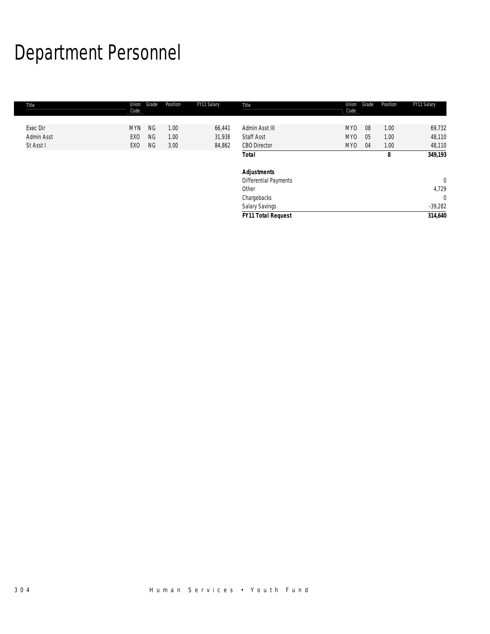# Department Personnel

| Title      | Union<br>Code | Grade     | Position | FY11 Salary | Title                     | Union<br>Code   | Grade | Position | FY11 Salary    |
|------------|---------------|-----------|----------|-------------|---------------------------|-----------------|-------|----------|----------------|
|            |               |           |          |             |                           |                 |       |          |                |
| Exec Dir   | <b>MYN</b>    | <b>NG</b> | 1.00     | 66,441      | Admin Asst III            | MY <sub>0</sub> | 08    | 1.00     | 69,732         |
| Admin Asst | EXO           | <b>NG</b> | 1.00     | 31,938      | <b>Staff Asst</b>         | MY0             | 05    | 1.00     | 48,110         |
| St Asst I  | EXO           | NG        | 3.00     | 84,862      | <b>CBO Director</b>       | MY0             | 04    | 1.00     | 48,110         |
|            |               |           |          |             | Total                     |                 |       | 8        | 349,193        |
|            |               |           |          |             | <b>Adjustments</b>        |                 |       |          |                |
|            |               |           |          |             | Differential Payments     |                 |       |          | $\overline{0}$ |
|            |               |           |          |             | Other                     |                 |       |          | 4,729          |
|            |               |           |          |             | Chargebacks               |                 |       |          | $\mathbf{0}$   |
|            |               |           |          |             | Salary Savings            |                 |       |          | $-39,282$      |
|            |               |           |          |             | <b>FY11 Total Request</b> |                 |       |          | 314,640        |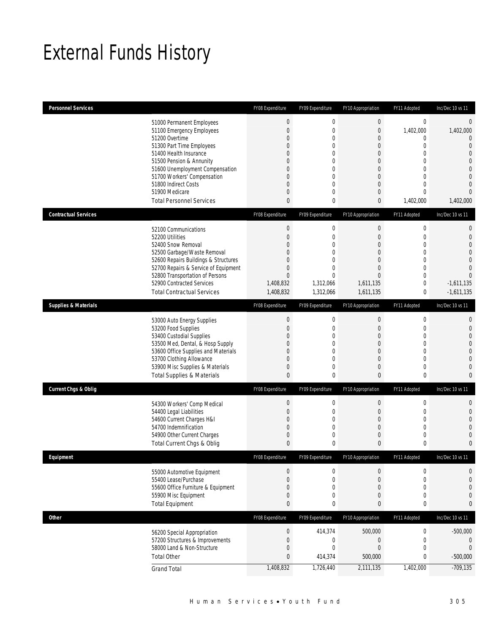# External Funds History

| <b>Personnel Services</b>       |                                                                         | FY08 Expenditure    | FY09 Expenditure    | FY10 Appropriation        | FY11 Adopted                 | Inc/Dec 10 vs 11                 |
|---------------------------------|-------------------------------------------------------------------------|---------------------|---------------------|---------------------------|------------------------------|----------------------------------|
|                                 | 51000 Permanent Employees                                               | $\bf{0}$            | $\boldsymbol{0}$    | $\pmb{0}$                 | $\mathbf 0$                  | $\mathbf{0}$                     |
|                                 | 51100 Emergency Employees                                               | $\boldsymbol{0}$    | $\mathbf 0$         | 0                         | 1,402,000                    | 1,402,000                        |
|                                 | 51200 Overtime                                                          | 0                   | 0                   | 0                         | $\mathbf{0}$                 | $\Omega$                         |
|                                 | 51300 Part Time Employees                                               | 0                   | $\overline{0}$      | $\boldsymbol{0}$          | $\mathbf 0$                  | $\overline{0}$                   |
|                                 | 51400 Health Insurance                                                  | 0                   | $\overline{0}$      | 0                         | $\mathbf{0}$                 | $\mathbf{0}$                     |
|                                 | 51500 Pension & Annunity<br>51600 Unemployment Compensation             | 0<br>0              | 0<br>$\overline{0}$ | 0<br>$\overline{0}$       | $\mathbf{0}$<br>$\mathbf{0}$ | $\overline{0}$<br>$\overline{0}$ |
|                                 | 51700 Workers' Compensation                                             | 0                   | 0                   | 0                         | $\mathbf{0}$                 | $\mathbf{0}$                     |
|                                 | 51800 Indirect Costs                                                    | 0                   | 0                   | 0                         | $\mathbf{0}$                 | $\Omega$                         |
|                                 | 51900 Medicare                                                          | 0                   | 0                   | 0                         | $\mathbf{0}$                 | $\overline{0}$                   |
|                                 | <b>Total Personnel Services</b>                                         | $\mathbf{0}$        | 0                   | 0                         | 1,402,000                    | 1,402,000                        |
| <b>Contractual Services</b>     |                                                                         | FY08 Expenditure    | FY09 Expenditure    | FY10 Appropriation        | FY11 Adopted                 | Inc/Dec 10 vs 11                 |
|                                 | 52100 Communications                                                    | $\bf{0}$            | 0                   | 0                         | $\boldsymbol{0}$             | 0                                |
|                                 | 52200 Utilities                                                         | $\overline{0}$      | $\overline{0}$      | $\overline{0}$            | $\mathbf 0$                  | $\overline{0}$                   |
|                                 | 52400 Snow Removal                                                      | 0                   | $\overline{0}$      | 0                         | $\mathbf{0}$                 | $\mathbf{0}$                     |
|                                 | 52500 Garbage/Waste Removal                                             | 0                   | 0                   | 0                         | $\mathbf 0$                  | $\Omega$                         |
|                                 | 52600 Repairs Buildings & Structures                                    | 0                   | $\Omega$            | $\overline{0}$            | $\mathbf{0}$                 | $\overline{0}$                   |
|                                 | 52700 Repairs & Service of Equipment<br>52800 Transportation of Persons | 0<br>$\mathbf{0}$   | 0<br>$\overline{0}$ | 0<br>$\overline{0}$       | $\mathbf{0}$<br>$\mathbf 0$  | $\Omega$<br>$\Omega$             |
|                                 | 52900 Contracted Services                                               | 1,408,832           | 1,312,066           | 1,611,135                 | $\mathbf 0$                  | $-1,611,135$                     |
|                                 | <b>Total Contractual Services</b>                                       | 1,408,832           | 1,312,066           | 1,611,135                 | 0                            | $-1,611,135$                     |
| <b>Supplies &amp; Materials</b> |                                                                         | FY08 Expenditure    | FY09 Expenditure    | FY10 Appropriation        | FY11 Adopted                 | Inc/Dec 10 vs 11                 |
|                                 |                                                                         | $\bf{0}$            | $\mathbf 0$         | 0                         | $\boldsymbol{0}$             | 0                                |
|                                 | 53000 Auto Energy Supplies<br>53200 Food Supplies                       | $\boldsymbol{0}$    | 0                   | 0                         | $\mathbf 0$                  | $\overline{0}$                   |
|                                 | 53400 Custodial Supplies                                                | 0                   | $\overline{0}$      | 0                         | $\mathbf{0}$                 | $\mathbf{0}$                     |
|                                 | 53500 Med, Dental, & Hosp Supply                                        | 0                   | 0                   | 0                         | $\mathbf 0$                  | $\overline{0}$                   |
|                                 | 53600 Office Supplies and Materials                                     | 0                   | $\overline{0}$      | $\overline{0}$            | $\mathbf{0}$                 | $\overline{0}$                   |
|                                 | 53700 Clothing Allowance                                                | 0                   | 0                   | 0                         | $\mathbf{0}$                 | $\overline{0}$                   |
|                                 | 53900 Misc Supplies & Materials                                         | 0                   | $\mathbf{0}$        | 0                         | $\mathbf 0$                  | $\overline{0}$                   |
|                                 | <b>Total Supplies &amp; Materials</b>                                   | $\pmb{0}$           | $\bf{0}$            | 0                         | $\mathbf 0$                  | $\mathbf{0}$                     |
| <b>Current Chgs &amp; Oblig</b> |                                                                         | FY08 Expenditure    | FY09 Expenditure    | FY10 Appropriation        | FY11 Adopted                 | Inc/Dec 10 vs 11                 |
|                                 | 54300 Workers' Comp Medical                                             | $\boldsymbol{0}$    | 0                   | 0                         | $\mathbf 0$                  | $\mathbf{0}$                     |
|                                 | 54400 Legal Liabilities                                                 | 0                   | 0                   | 0                         | $\mathbf 0$                  | $\overline{0}$                   |
|                                 | 54600 Current Charges H&I<br>54700 Indemnification                      | 0<br>$\overline{0}$ | 0<br>$\overline{0}$ | 0<br>$\overline{0}$       | $\mathbf 0$<br>$\mathbf{0}$  | $\overline{0}$                   |
|                                 | 54900 Other Current Charges                                             | 0                   | 0                   | 0                         | $\mathbf 0$                  | $\overline{0}$<br>$\mathbf{0}$   |
|                                 | Total Current Chgs & Oblig                                              | $\mathbf{0}$        | 0                   | 0                         | 0                            | $\mathbf{0}$                     |
| Equipment                       |                                                                         | FY08 Expenditure    | FY09 Expenditure    | <b>FY10 Appropriation</b> | FY11 Adopted                 | Inc/Dec 10 vs 11                 |
|                                 |                                                                         | $\mathbf 0$         | 0                   | 0                         | 0                            | $\mathbf 0$                      |
|                                 | 55000 Automotive Equipment<br>55400 Lease/Purchase                      | $\boldsymbol{0}$    | 0                   | $\boldsymbol{0}$          | $\mathbf 0$                  | $\mathbf{0}$                     |
|                                 | 55600 Office Furniture & Equipment                                      | 0                   | 0                   | 0                         | 0                            | $\mathbf{0}$                     |
|                                 | 55900 Misc Equipment                                                    | $\boldsymbol{0}$    | 0                   | 0                         | $\mathbf 0$                  | $\theta$                         |
|                                 | <b>Total Equipment</b>                                                  | $\bf{0}$            | 0                   | 0                         | $\bf{0}$                     | $\mathbf{0}$                     |
| Other                           |                                                                         | FY08 Expenditure    | FY09 Expenditure    | FY10 Appropriation        | FY11 Adopted                 | Inc/Dec 10 vs 11                 |
|                                 | 56200 Special Appropriation                                             | $\boldsymbol{0}$    | 414,374             | 500,000                   | $\boldsymbol{0}$             | $-500,000$                       |
|                                 | 57200 Structures & Improvements                                         | $\boldsymbol{0}$    | $\boldsymbol{0}$    | $\boldsymbol{0}$          | $\boldsymbol{0}$             | $\mathbf{0}$                     |
|                                 | 58000 Land & Non-Structure                                              | $\boldsymbol{0}$    | $\boldsymbol{0}$    | $\boldsymbol{0}$          | $\mathbf 0$                  | $\theta$                         |
|                                 | <b>Total Other</b>                                                      | $\pmb{0}$           | 414,374             | 500,000                   | $\pmb{0}$                    | $-500,000$                       |
|                                 | <b>Grand Total</b>                                                      | 1,408,832           | 1,726,440           | 2,111,135                 | 1,402,000                    | $-709,135$                       |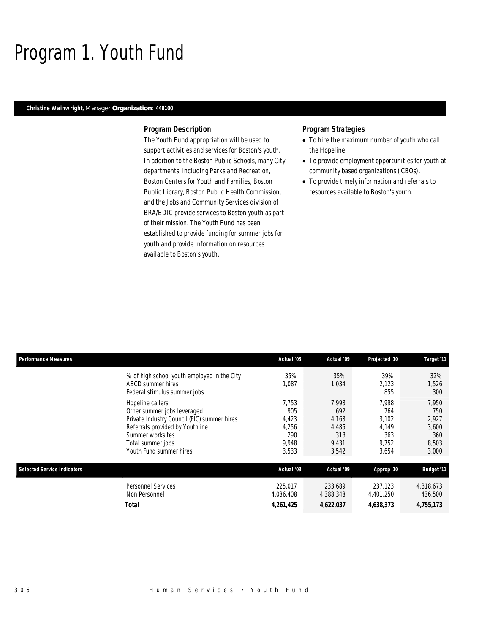## Program 1. Youth Fund

### *Christine Wainwright, Manager Organization: 448100*

#### *Program Description*

The Youth Fund appropriation will be used to support activities and services for Boston's youth. In addition to the Boston Public Schools, many City departments, including Parks and Recreation, Boston Centers for Youth and Families, Boston Public Library, Boston Public Health Commission, and the Jobs and Community Services division of BRA/EDIC provide services to Boston youth as part of their mission. The Youth Fund has been established to provide funding for summer jobs for youth and provide information on resources available to Boston's youth.

### *Program Strategies*

- To hire the maximum number of youth who call the Hopeline.
- To provide employment opportunities for youth at community based organizations (CBOs).
- To provide timely information and referrals to resources available to Boston's youth.

| <b>Performance Measures</b>        |                                                                                                                                                                                                       | Actual '08                                              | Actual '09                                              | Projected '10                                           | Target '11                                              |
|------------------------------------|-------------------------------------------------------------------------------------------------------------------------------------------------------------------------------------------------------|---------------------------------------------------------|---------------------------------------------------------|---------------------------------------------------------|---------------------------------------------------------|
|                                    | % of high school youth employed in the City<br>ABCD summer hires<br>Federal stimulus summer jobs                                                                                                      | 35%<br>1,087                                            | 35%<br>1,034                                            | 39%<br>2,123<br>855                                     | 32%<br>1,526<br>300                                     |
|                                    | Hopeline callers<br>Other summer jobs leveraged<br>Private Industry Council (PIC) summer hires<br>Referrals provided by Youthline<br>Summer worksites<br>Total summer jobs<br>Youth Fund summer hires | 7.753<br>905<br>4,423<br>4,256<br>290<br>9,948<br>3,533 | 7,998<br>692<br>4,163<br>4,485<br>318<br>9,431<br>3,542 | 7,998<br>764<br>3,102<br>4.149<br>363<br>9,752<br>3,654 | 7,950<br>750<br>2,927<br>3,600<br>360<br>8,503<br>3,000 |
| <b>Selected Service Indicators</b> |                                                                                                                                                                                                       | Actual '08                                              | <b>Actual '09</b>                                       | Approp '10                                              | <b>Budget '11</b>                                       |
|                                    | <b>Personnel Services</b><br>Non Personnel                                                                                                                                                            | 225.017<br>4,036,408                                    | 233,689<br>4,388,348                                    | 237,123<br>4,401,250                                    | 4,318,673<br>436,500                                    |
|                                    | <b>Total</b>                                                                                                                                                                                          | 4,261,425                                               | 4,622,037                                               | 4,638,373                                               | 4,755,173                                               |